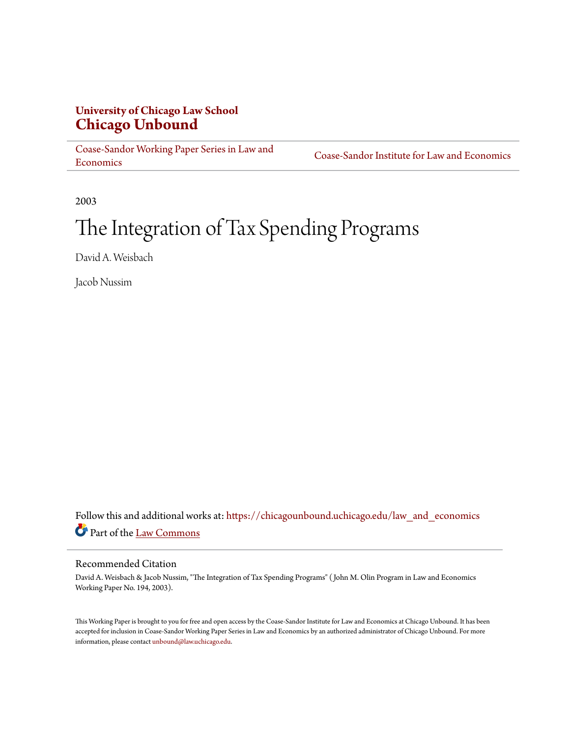# **University of Chicago Law School [Chicago Unbound](https://chicagounbound.uchicago.edu?utm_source=chicagounbound.uchicago.edu%2Flaw_and_economics%2F535&utm_medium=PDF&utm_campaign=PDFCoverPages)**

[Coase-Sandor Working Paper Series in Law and](https://chicagounbound.uchicago.edu/law_and_economics?utm_source=chicagounbound.uchicago.edu%2Flaw_and_economics%2F535&utm_medium=PDF&utm_campaign=PDFCoverPages) [Economics](https://chicagounbound.uchicago.edu/law_and_economics?utm_source=chicagounbound.uchicago.edu%2Flaw_and_economics%2F535&utm_medium=PDF&utm_campaign=PDFCoverPages)

[Coase-Sandor Institute for Law and Economics](https://chicagounbound.uchicago.edu/coase_sandor_institute?utm_source=chicagounbound.uchicago.edu%2Flaw_and_economics%2F535&utm_medium=PDF&utm_campaign=PDFCoverPages)

2003

# The Integration of Tax Spending Programs

David A. Weisbach

Jacob Nussim

Follow this and additional works at: [https://chicagounbound.uchicago.edu/law\\_and\\_economics](https://chicagounbound.uchicago.edu/law_and_economics?utm_source=chicagounbound.uchicago.edu%2Flaw_and_economics%2F535&utm_medium=PDF&utm_campaign=PDFCoverPages) Part of the [Law Commons](http://network.bepress.com/hgg/discipline/578?utm_source=chicagounbound.uchicago.edu%2Flaw_and_economics%2F535&utm_medium=PDF&utm_campaign=PDFCoverPages)

#### Recommended Citation

David A. Weisbach & Jacob Nussim, "The Integration of Tax Spending Programs" ( John M. Olin Program in Law and Economics Working Paper No. 194, 2003).

This Working Paper is brought to you for free and open access by the Coase-Sandor Institute for Law and Economics at Chicago Unbound. It has been accepted for inclusion in Coase-Sandor Working Paper Series in Law and Economics by an authorized administrator of Chicago Unbound. For more information, please contact [unbound@law.uchicago.edu.](mailto:unbound@law.uchicago.edu)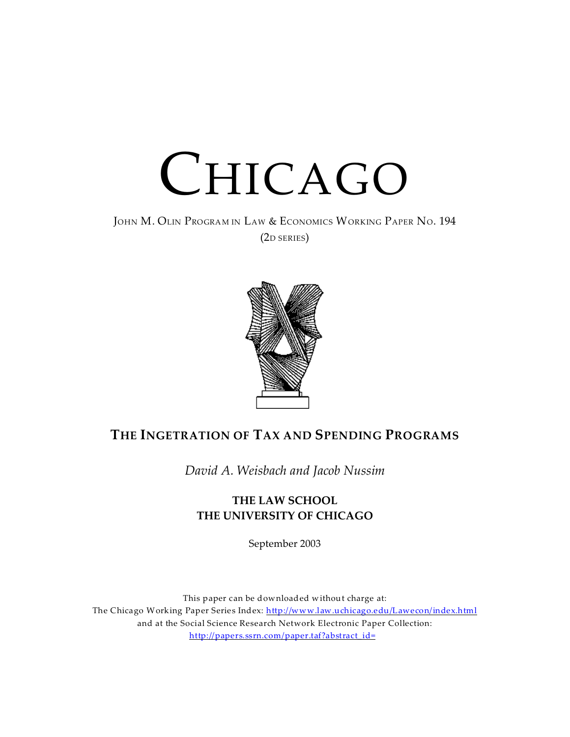

JOHN M. OLIN PROGRAM IN LAW & ECONOMICS WORKING PAPER NO. 194 (2D SERIES)



# **THE INGETRATION OF TAX AND SPENDING PROGRAMS**

*David A. Weisbach and Jacob Nussim*

# **THE LAW SCHOOL THE UNIVERSITY OF CHICAGO**

September 2003

This paper can be downloaded without charge at: The Chicago Working Paper Series Index: http://www.law.uchicago.edu/Lawecon/index.html and at the Social Science Research Network Electronic Paper Collection: http://papers.ssrn.com/paper.taf?abstract\_id=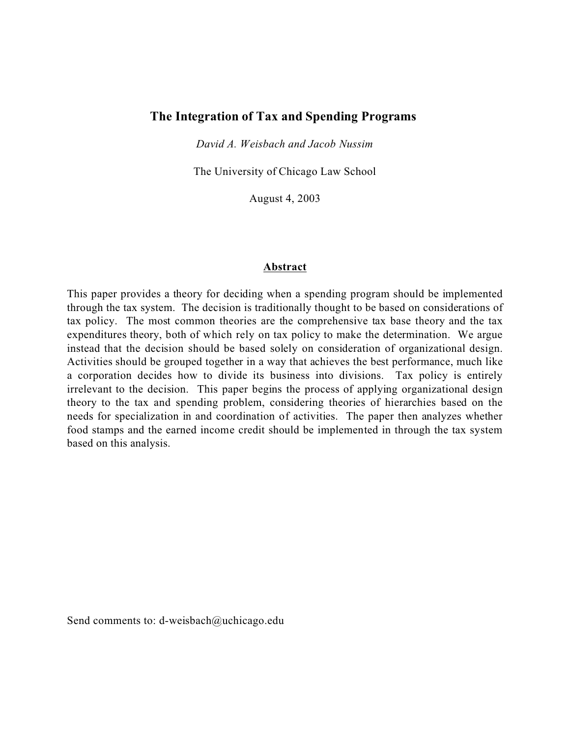# **The Integration of Tax and Spending Programs**

*David A. Weisbach and Jacob Nussim*

The University of Chicago Law School

August 4, 2003

#### **Abstract**

This paper provides a theory for deciding when a spending program should be implemented through the tax system. The decision is traditionally thought to be based on considerations of tax policy. The most common theories are the comprehensive tax base theory and the tax expenditures theory, both of which rely on tax policy to make the determination. We argue instead that the decision should be based solely on consideration of organizational design. Activities should be grouped together in a way that achieves the best performance, much like a corporation decides how to divide its business into divisions. Tax policy is entirely irrelevant to the decision. This paper begins the process of applying organizational design theory to the tax and spending problem, considering theories of hierarchies based on the needs for specialization in and coordination of activities. The paper then analyzes whether food stamps and the earned income credit should be implemented in through the tax system based on this analysis.

Send comments to: d-weisbach@uchicago.edu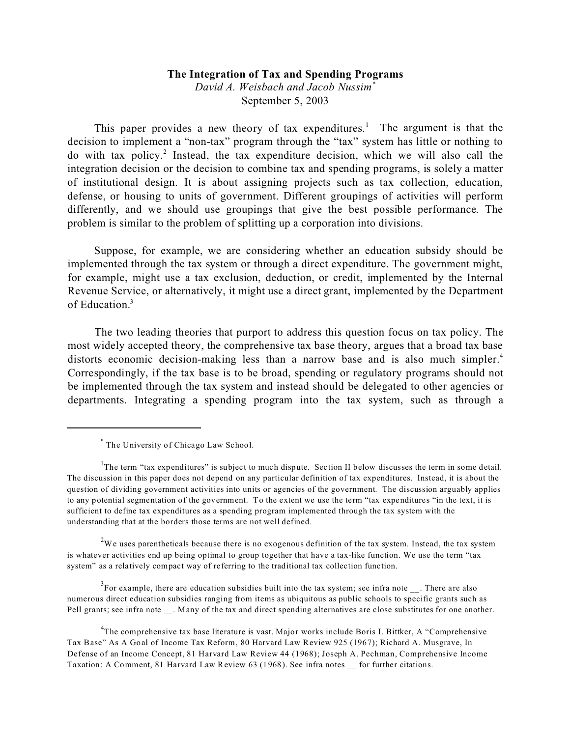#### **The Integration of Tax and Spending Programs**

*David A. Weisbach and Jacob Nussim\** September 5, 2003

This paper provides a new theory of tax expenditures.<sup>1</sup> The argument is that the decision to implement a "non-tax" program through the "tax" system has little or nothing to do with tax policy.<sup>2</sup> Instead, the tax expenditure decision, which we will also call the integration decision or the decision to combine tax and spending programs, is solely a matter of institutional design. It is about assigning projects such as tax collection, education, defense, or housing to units of government. Different groupings of activities will perform differently, and we should use groupings that give the best possible performance. The problem is similar to the problem of splitting up a corporation into divisions.

Suppose, for example, we are considering whether an education subsidy should be implemented through the tax system or through a direct expenditure. The government might, for example, might use a tax exclusion, deduction, or credit, implemented by the Internal Revenue Service, or alternatively, it might use a direct grant, implemented by the Department of Education.<sup>3</sup>

The two leading theories that purport to address this question focus on tax policy. The most widely accepted theory, the comprehensive tax base theory, argues that a broad tax base distorts economic decision-making less than a narrow base and is also much simpler.<sup>4</sup> Correspondingly, if the tax base is to be broad, spending or regulatory programs should not be implemented through the tax system and instead should be delegated to other agencies or departments. Integrating a spending program into the tax system, such as through a

<sup>2</sup>We uses parentheticals because there is no exogenous definition of the tax system. Instead, the tax system is whatever activities end up being optimal to group together that have a tax-like function. We use the term "tax system" as a relatively compact way of referring to the traditional tax collection function.

 $3$ For example, there are education subsidies built into the tax system; see infra note  $\ldots$ . There are also numerous direct education subsidies ranging from items as ubiquitous as public schools to specific grants such as Pell grants; see infra note \_\_. Many of the tax and direct spending alternatives are close substitutes for one another.

<sup>\*</sup> The University of Chicago Law School.

<sup>&</sup>lt;sup>1</sup>The term "tax expenditures" is subject to much dispute. Section II below discusses the term in some detail. The discussion in this paper does not depend on any particular definition of tax expenditures. Instead, it is about the question of dividing government activities into units or agencies of the government. The discussion arguably applies to any potential segmentation of the government. To the extent we use the term "tax expenditures "in the text, it is sufficient to define tax expenditures as a spending program implemented through the tax system with the understanding that at the borders those terms are not well defined.

<sup>&</sup>lt;sup>4</sup>The comprehensive tax base literature is vast. Major works include Boris I. Bittker, A "Comprehensive Tax Base" As A Goal of Income Tax Reform, 80 Harvard Law Review 925 (1967); Richard A. Musgrave, In Defense of an Income Concept, 81 Harvard Law Review 44 (1968); Joseph A. Pechman, Comprehensive Income Taxation: A Comment, 81 Harvard Law Review 63 (1968). See infra notes \_\_ for further citations.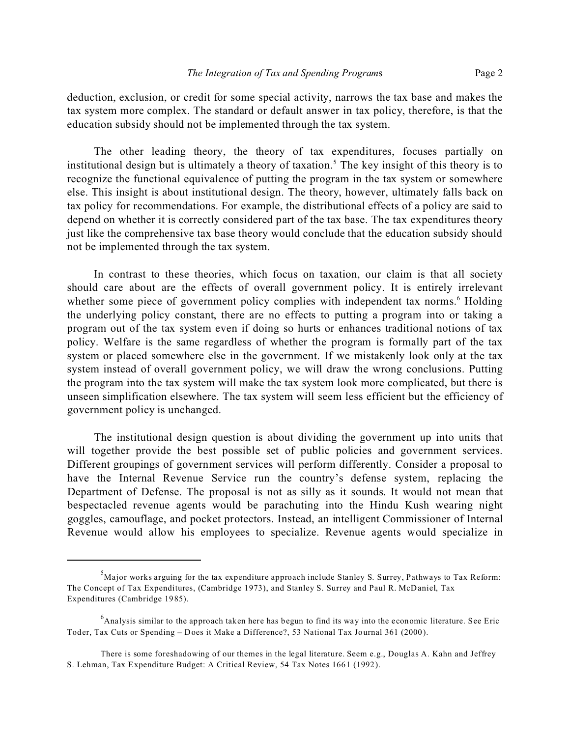deduction, exclusion, or credit for some special activity, narrows the tax base and makes the tax system more complex. The standard or default answer in tax policy, therefore, is that the education subsidy should not be implemented through the tax system.

The other leading theory, the theory of tax expenditures, focuses partially on institutional design but is ultimately a theory of taxation.<sup>5</sup> The key insight of this theory is to recognize the functional equivalence of putting the program in the tax system or somewhere else. This insight is about institutional design. The theory, however, ultimately falls back on tax policy for recommendations. For example, the distributional effects of a policy are said to depend on whether it is correctly considered part of the tax base. The tax expenditures theory just like the comprehensive tax base theory would conclude that the education subsidy should not be implemented through the tax system.

In contrast to these theories, which focus on taxation, our claim is that all society should care about are the effects of overall government policy. It is entirely irrelevant whether some piece of government policy complies with independent tax norms.<sup>6</sup> Holding the underlying policy constant, there are no effects to putting a program into or taking a program out of the tax system even if doing so hurts or enhances traditional notions of tax policy. Welfare is the same regardless of whether the program is formally part of the tax system or placed somewhere else in the government. If we mistakenly look only at the tax system instead of overall government policy, we will draw the wrong conclusions. Putting the program into the tax system will make the tax system look more complicated, but there is unseen simplification elsewhere. The tax system will seem less efficient but the efficiency of government policy is unchanged.

The institutional design question is about dividing the government up into units that will together provide the best possible set of public policies and government services. Different groupings of government services will perform differently. Consider a proposal to have the Internal Revenue Service run the country's defense system, replacing the Department of Defense. The proposal is not as silly as it sounds. It would not mean that bespectacled revenue agents would be parachuting into the Hindu Kush wearing night goggles, camouflage, and pocket protectors. Instead, an intelligent Commissioner of Internal Revenue would allow his employees to specialize. Revenue agents would specialize in

 $<sup>5</sup>M$ ajor works arguing for the tax expenditure approach include Stanley S. Surrey, Pathways to Tax Reform:</sup> The Concept of Tax Expenditures, (Cambridge 1973), and Stanley S. Surrey and Paul R. McDaniel, Tax Expenditures (Cambridge 1985).

<sup>&</sup>lt;sup>6</sup>Analysis similar to the approach taken here has begun to find its way into the economic literature. See Eric Toder, Tax Cuts or Spending – Does it Make a Difference?, 53 National Tax Journal 361 (2000).

There is some foreshadowing of our themes in the legal literature. Seem e.g., Douglas A. Kahn and Jeffrey S. Lehman, Tax Expenditure Budget: A Critical Review, 54 Tax Notes 1661 (1992).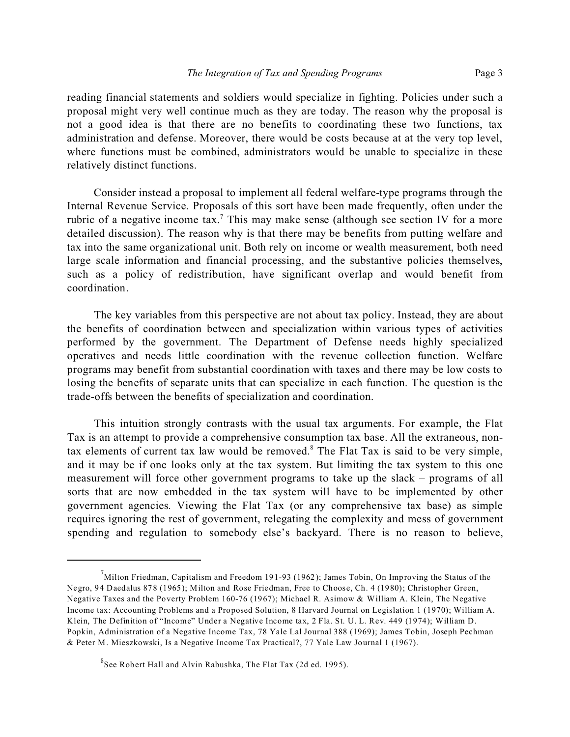reading financial statements and soldiers would specialize in fighting. Policies under such a proposal might very well continue much as they are today. The reason why the proposal is not a good idea is that there are no benefits to coordinating these two functions, tax administration and defense. Moreover, there would be costs because at at the very top level, where functions must be combined, administrators would be unable to specialize in these relatively distinct functions.

Consider instead a proposal to implement all federal welfare-type programs through the Internal Revenue Service. Proposals of this sort have been made frequently, often under the rubric of a negative income tax.<sup>7</sup> This may make sense (although see section IV for a more detailed discussion). The reason why is that there may be benefits from putting welfare and tax into the same organizational unit. Both rely on income or wealth measurement, both need large scale information and financial processing, and the substantive policies themselves, such as a policy of redistribution, have significant overlap and would benefit from coordination.

The key variables from this perspective are not about tax policy. Instead, they are about the benefits of coordination between and specialization within various types of activities performed by the government. The Department of Defense needs highly specialized operatives and needs little coordination with the revenue collection function. Welfare programs may benefit from substantial coordination with taxes and there may be low costs to losing the benefits of separate units that can specialize in each function. The question is the trade-offs between the benefits of specialization and coordination.

This intuition strongly contrasts with the usual tax arguments. For example, the Flat Tax is an attempt to provide a comprehensive consumption tax base. All the extraneous, nontax elements of current tax law would be removed.<sup>8</sup> The Flat Tax is said to be very simple, and it may be if one looks only at the tax system. But limiting the tax system to this one measurement will force other government programs to take up the slack – programs of all sorts that are now embedded in the tax system will have to be implemented by other government agencies. Viewing the Flat Tax (or any comprehensive tax base) as simple requires ignoring the rest of government, relegating the complexity and mess of government spending and regulation to somebody else's backyard. There is no reason to believe,

 $^7$ Milton Friedman, Capitalism and Freedom 191-93 (1962); James Tobin, On Improving the Status of the Negro, 94 Daedalus 878 (1965); Milton and Rose Friedman, Free to Choose, Ch. 4 (1980); Christopher Green, Negative Taxes and the Poverty Problem 160-76 (1967); Michael R. Asimow & William A. Klein, The Negative Income tax: Accounting Problems and a Proposed Solution, 8 Harvard Journal on Legislation 1 (1970); William A. Klein, The Definition of "Income" Under a Negative Income tax, 2 Fla. St. U. L. Rev. 449 (1974); William D. Popkin, Administration of a Negative Income Tax, 78 Yale Lal Journal 388 (1969); James Tobin, Joseph Pechman & Peter M. Mieszkowski, Is a Negative Income Tax Practical?, 77 Yale Law Journal 1 (1967).

 ${}^{8}$ See Robert Hall and Alvin Rabushka, The Flat Tax (2d ed. 1995).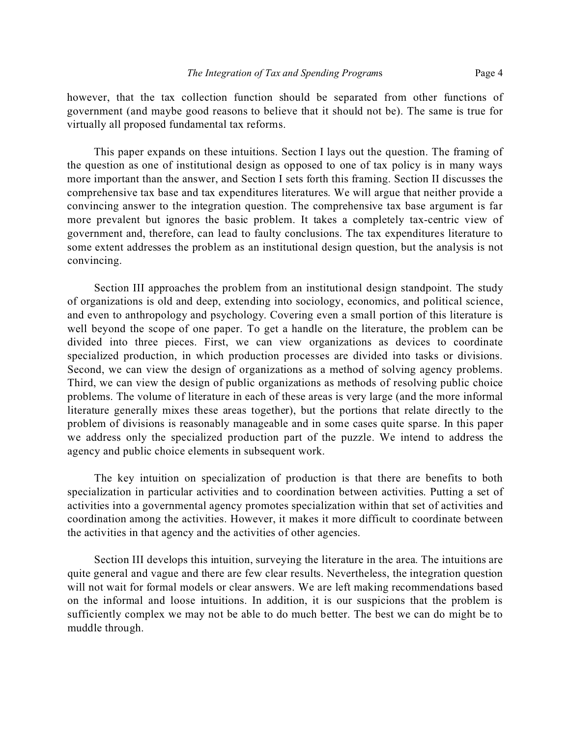however, that the tax collection function should be separated from other functions of government (and maybe good reasons to believe that it should not be). The same is true for virtually all proposed fundamental tax reforms.

This paper expands on these intuitions. Section I lays out the question. The framing of the question as one of institutional design as opposed to one of tax policy is in many ways more important than the answer, and Section I sets forth this framing. Section II discusses the comprehensive tax base and tax expenditures literatures. We will argue that neither provide a convincing answer to the integration question. The comprehensive tax base argument is far more prevalent but ignores the basic problem. It takes a completely tax-centric view of government and, therefore, can lead to faulty conclusions. The tax expenditures literature to some extent addresses the problem as an institutional design question, but the analysis is not convincing.

Section III approaches the problem from an institutional design standpoint. The study of organizations is old and deep, extending into sociology, economics, and political science, and even to anthropology and psychology. Covering even a small portion of this literature is well beyond the scope of one paper. To get a handle on the literature, the problem can be divided into three pieces. First, we can view organizations as devices to coordinate specialized production, in which production processes are divided into tasks or divisions. Second, we can view the design of organizations as a method of solving agency problems. Third, we can view the design of public organizations as methods of resolving public choice problems. The volume of literature in each of these areas is very large (and the more informal literature generally mixes these areas together), but the portions that relate directly to the problem of divisions is reasonably manageable and in some cases quite sparse. In this paper we address only the specialized production part of the puzzle. We intend to address the agency and public choice elements in subsequent work.

The key intuition on specialization of production is that there are benefits to both specialization in particular activities and to coordination between activities. Putting a set of activities into a governmental agency promotes specialization within that set of activities and coordination among the activities. However, it makes it more difficult to coordinate between the activities in that agency and the activities of other agencies.

Section III develops this intuition, surveying the literature in the area. The intuitions are quite general and vague and there are few clear results. Nevertheless, the integration question will not wait for formal models or clear answers. We are left making recommendations based on the informal and loose intuitions. In addition, it is our suspicions that the problem is sufficiently complex we may not be able to do much better. The best we can do might be to muddle through.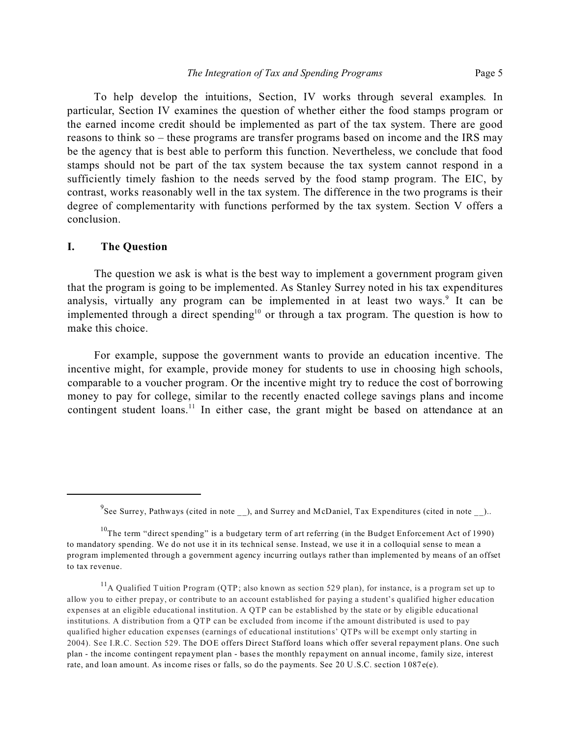To help develop the intuitions, Section, IV works through several examples. In particular, Section IV examines the question of whether either the food stamps program or the earned income credit should be implemented as part of the tax system. There are good reasons to think so – these programs are transfer programs based on income and the IRS may be the agency that is best able to perform this function. Nevertheless, we conclude that food stamps should not be part of the tax system because the tax system cannot respond in a sufficiently timely fashion to the needs served by the food stamp program. The EIC, by contrast, works reasonably well in the tax system. The difference in the two programs is their degree of complementarity with functions performed by the tax system. Section V offers a conclusion.

#### **I. The Question**

The question we ask is what is the best way to implement a government program given that the program is going to be implemented. As Stanley Surrey noted in his tax expenditures analysis, virtually any program can be implemented in at least two ways.<sup>9</sup> It can be implemented through a direct spending<sup>10</sup> or through a tax program. The question is how to make this choice.

For example, suppose the government wants to provide an education incentive. The incentive might, for example, provide money for students to use in choosing high schools, comparable to a voucher program. Or the incentive might try to reduce the cost of borrowing money to pay for college, similar to the recently enacted college savings plans and income contingent student loans.<sup>11</sup> In either case, the grant might be based on attendance at an

 $^{9}$ See Surrey, Pathways (cited in note \_\_), and Surrey and McDaniel, Tax Expenditures (cited in note \_\_)..

 $10$ The term "direct spending" is a budgetary term of art referring (in the Budget Enforcement Act of 1990) to mandatory spending. We do not use it in its technical sense. Instead, we use it in a colloquial sense to mean a program implemented through a government agency incurring outlays rather than implemented by means of an offset to tax revenue.

<sup>&</sup>lt;sup>11</sup>A Qualified Tuition Program (QTP; also known as section 529 plan), for instance, is a program set up to allow you to either prepay, or contribute to an account established for paying a student's qualified higher education expenses at an eligible educational institution. A QTP can be established by the state or by eligible educational institutions. A distribution from a QTP can be excluded from income if the amount distributed is used to pay qualified higher education expenses (earnings of educational institutions' QTPs will be exempt only starting in 2004). See I.R.C. Section 529. The DOE offers Direct Stafford loans which offer several repayment plans. One such plan - the income contingent repayment plan - bases the monthly repayment on annual income, family size, interest rate, and loan amount. As income rises or falls, so do the payments. See 20 U.S.C. section 1087e(e).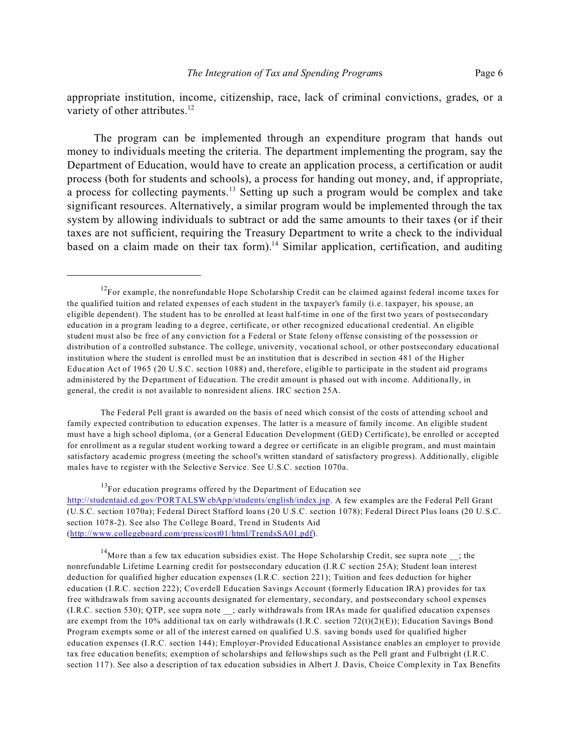appropriate institution, income, citizenship, race, lack of criminal convictions, grades, or a variety of other attributes.<sup>12</sup>

The program can be implemented through an expenditure program that hands out money to individuals meeting the criteria. The department implementing the program, say the Department of Education, would have to create an application process, a certification or audit process (both for students and schools), a process for handing out money, and, if appropriate, a process for collecting payments.<sup>13</sup> Setting up such a program would be complex and take significant resources. Alternatively, a similar program would be implemented through the tax system by allowing individuals to subtract or add the same amounts to their taxes (or if their taxes are not sufficient, requiring the Treasury Department to write a check to the individual based on a claim made on their tax form).<sup>14</sup> Similar application, certification, and auditing

The Federal Pell grant is awarded on the basis of need which consist of the costs of attending school and family expected contribution to education expenses. The latter is a measure of family income. An eligible student must have a high school diploma, (or a General Education Development (GED) Certificate), be enrolled or accepted for enrollment as a regular student working toward a degree or certificate in an eligible program, and must maintain satisfactory academic progress (meeting the school's written standard of satisfactory progress). Additionally, eligible males have to register with the Selective Service. See U.S.C. section 1070a.

 $13$ For education programs offered by the Department of Education see http://studentaid.ed.gov/PORTALSWebApp/students/english/index.jsp. A few examples are the Federal Pell Grant (U.S.C. section 1070a); Federal Direct Stafford loans (20 U.S.C. section 1078); Federal Direct Plus loans (20 U.S.C. section 1078-2). See also The College Board, Trend in Students Aid (http://www.collegeboard.com/press/cost01/html/TrendsSA01.pdf).

<sup>14</sup>More than a few tax education subsidies exist. The Hope Scholarship Credit, see supra note \_\_; the nonrefundable Lifetime Learning credit for postsecondary education (I.R.C section 25A); Student loan interest deduction for qualified higher education expenses (I.R.C. section 221); Tuition and fees deduction for higher education (I.R.C. section 222); Coverdell Education Savings Account (formerly Education IRA) provides for tax free withdrawals from saving accounts designated for elementary, secondary, and postsecondary school expenses (I.R.C. section 530); QTP, see supra note \_\_; early withdrawals from IRAs made for qualified education expenses are exempt from the 10% additional tax on early withdrawals  $(I.R.C.$  section  $72(t)(2)(E)$ ; Education Savings Bond Program exempts some or all of the interest earned on qualified U.S. saving bonds used for qualified higher education expenses (I.R.C. section 144); Employer-Provided Educational Assistance enables an employer to provide tax free education benefits; exemption of scholarships and fellowships such as the Pell grant and Fulbright (I.R.C. section 117). See also a description of tax education subsidies in Albert J. Davis, Choice Complexity in Tax Benefits

 $12$ For example, the nonrefundable Hope Scholarship Credit can be claimed against federal income taxes for the qualified tuition and related expenses of each student in the taxpayer's family (i.e. taxpayer, his spouse, an eligible dependent). The student has to be enrolled at least half-time in one of the first two years of postsecondary education in a program leading to a degree, certificate, or other recognized educational credential. An eligible student must also be free of any conviction for a Federal or State felony offense consisting of the possession or distribution of a controlled substance. The college, university, vocational school, or other postsecondary educational institution where the student is enrolled must be an institution that is described in section 481 of the Higher Education Act of 1965 (20 U.S.C. section 1088) and, therefore, eligible to participate in the student aid programs administered by the Department of Education. The credit amount is phased out with income. Additionally, in general, the credit is not available to nonresident aliens. IRC section 25A.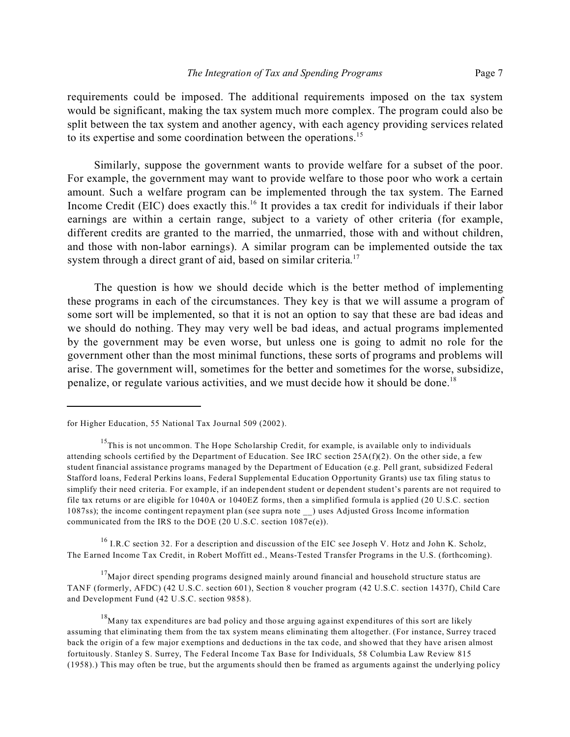requirements could be imposed. The additional requirements imposed on the tax system would be significant, making the tax system much more complex. The program could also be split between the tax system and another agency, with each agency providing services related to its expertise and some coordination between the operations.<sup>15</sup>

Similarly, suppose the government wants to provide welfare for a subset of the poor. For example, the government may want to provide welfare to those poor who work a certain amount. Such a welfare program can be implemented through the tax system. The Earned Income Credit (EIC) does exactly this.<sup>16</sup> It provides a tax credit for individuals if their labor earnings are within a certain range, subject to a variety of other criteria (for example, different credits are granted to the married, the unmarried, those with and without children, and those with non-labor earnings). A similar program can be implemented outside the tax system through a direct grant of aid, based on similar criteria.<sup>17</sup>

The question is how we should decide which is the better method of implementing these programs in each of the circumstances. They key is that we will assume a program of some sort will be implemented, so that it is not an option to say that these are bad ideas and we should do nothing. They may very well be bad ideas, and actual programs implemented by the government may be even worse, but unless one is going to admit no role for the government other than the most minimal functions, these sorts of programs and problems will arise. The government will, sometimes for the better and sometimes for the worse, subsidize, penalize, or regulate various activities, and we must decide how it should be done.<sup>18</sup>

 $16$  I.R.C section 32. For a description and discussion of the EIC see Joseph V. Hotz and John K. Scholz, The Earned Income Tax Credit, in Robert Moffitt ed., Means-Tested Transfer Programs in the U.S. (forthcoming).

 $17$ Major direct spending programs designed mainly around financial and household structure status are TANF (formerly, AFDC) (42 U.S.C. section 601), Section 8 voucher program (42 U.S.C. section 1437f), Child Care and Development Fund (42 U.S.C. section 9858).

for Higher Education, 55 National Tax Journal 509 (2002).

<sup>&</sup>lt;sup>15</sup>This is not uncommon. The Hope Scholarship Credit, for example, is available only to individuals attending schools certified by the Department of Education. See IRC section 25A(f)(2). On the other side, a few student financial assistance programs managed by the Department of Education (e.g. Pell grant, subsidized Federal Stafford loans, Federal Perkins loans, Federal Supplemental Education Opportunity Grants) use tax filing status to simplify their need criteria. For example, if an independent student or dependent student's parents are not required to file tax returns or are eligible for 1040A or 1040EZ forms, then a simplified formula is applied (20 U.S.C. section 1087ss); the income contingent repayment plan (see supra note \_\_) uses Adjusted Gross Income information communicated from the IRS to the DOE (20 U.S.C. section 1087e(e)).

<sup>&</sup>lt;sup>18</sup>Many tax expenditures are bad policy and those arguing against expenditures of this sort are likely assuming that eliminating them from the tax system means eliminating them altogether. (For instance, Surrey traced back the origin of a few major exemptions and deductions in the tax code, and showed that they have arisen almost fortuitously. Stanley S. Surrey, The Federal Income Tax Base for Individuals, 58 Columbia Law Review 815 (1958).) This may often be true, but the arguments should then be framed as arguments against the underlying policy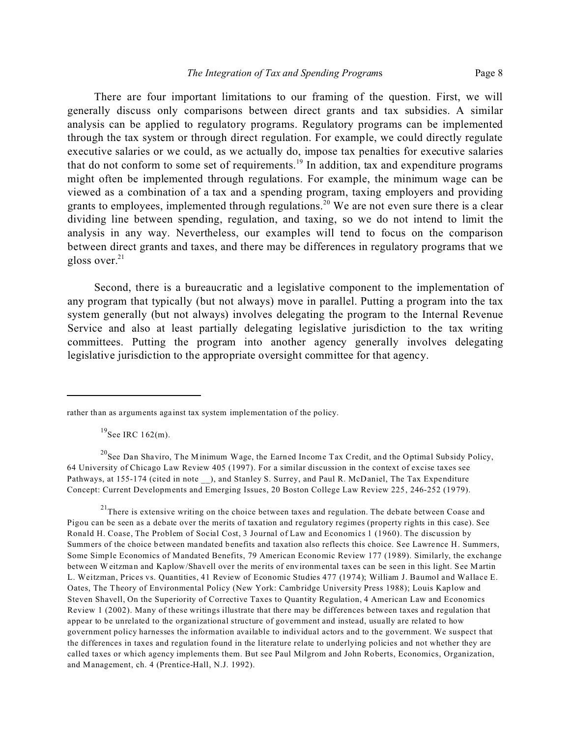There are four important limitations to our framing of the question. First, we will generally discuss only comparisons between direct grants and tax subsidies. A similar analysis can be applied to regulatory programs. Regulatory programs can be implemented through the tax system or through direct regulation. For example, we could directly regulate executive salaries or we could, as we actually do, impose tax penalties for executive salaries that do not conform to some set of requirements.<sup>19</sup> In addition, tax and expenditure programs might often be implemented through regulations. For example, the minimum wage can be viewed as a combination of a tax and a spending program, taxing employers and providing grants to employees, implemented through regulations.<sup>20</sup> We are not even sure there is a clear dividing line between spending, regulation, and taxing, so we do not intend to limit the analysis in any way. Nevertheless, our examples will tend to focus on the comparison between direct grants and taxes, and there may be differences in regulatory programs that we gloss over. $21$ 

Second, there is a bureaucratic and a legislative component to the implementation of any program that typically (but not always) move in parallel. Putting a program into the tax system generally (but not always) involves delegating the program to the Internal Revenue Service and also at least partially delegating legislative jurisdiction to the tax writing committees. Putting the program into another agency generally involves delegating legislative jurisdiction to the appropriate oversight committee for that agency.

 $^{19}$ See IRC 162(m).

<sup>20</sup>See Dan Shaviro, The Minimum Wage, the Earned Income Tax Credit, and the Optimal Subsidy Policy, 64 University of Chicago Law Review 405 (1997). For a similar discussion in the context of excise taxes see Pathways, at 155-174 (cited in note ), and Stanley S. Surrey, and Paul R. McDaniel, The Tax Expenditure Concept: Current Developments and Emerging Issues, 20 Boston College Law Review 225, 246-252 (1979).

 $21$ There is extensive writing on the choice between taxes and regulation. The debate between Coase and Pigou can be seen as a debate over the merits of taxation and regulatory regimes (property rights in this case). See Ronald H. Coase, The Problem of Social Cost, 3 Journal of Law and Economics 1 (1960). The discussion by Summers of the choice between mandated benefits and taxation also reflects this choice. See Lawrence H. Summers, Some Simple Economics of Mandated Benefits, 79 American Economic Review 177 (1989). Similarly, the exchange between Weitzman and Kaplow/Shavell over the merits of environmental taxes can be seen in this light. See Martin L. Weitzman, Prices vs. Quantities, 41 Review of Economic Studies 477 (1974); William J. Baumol and Wallace E. Oates, The Theory of Environmental Policy (New York: Cambridge University Press 1988); Louis Kaplow and Steven Shavell, On the Superiority of Corrective Taxes to Quantity Regulation, 4 American Law and Economics Review 1 (2002). Many of these writings illustrate that there may be differences between taxes and regulation that appear to be unrelated to the organizational structure of government and instead, usually are related to how government policy harnesses the information available to individual actors and to the government. We suspect that the differences in taxes and regulation found in the literature relate to underlying policies and not whether they are called taxes or which agency implements them. But see Paul Milgrom and John Roberts, Economics, Organization, and Management, ch. 4 (Prentice-Hall, N.J. 1992).

rather than as arguments against tax system implementation of the policy.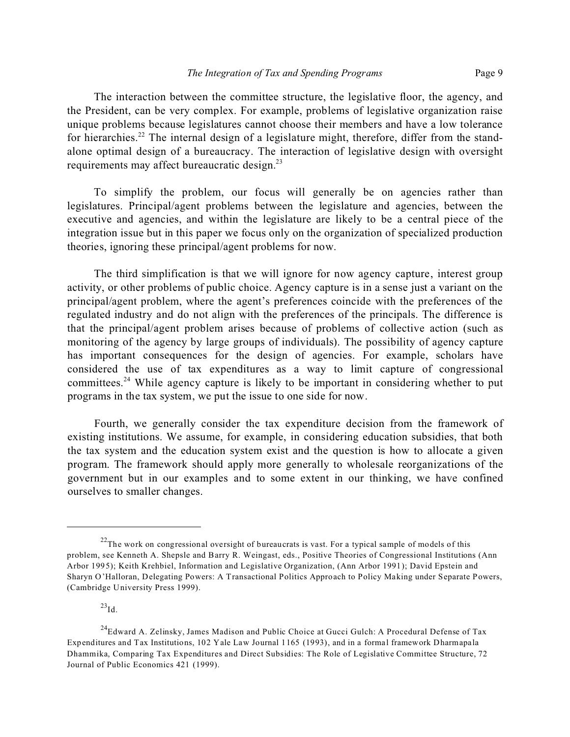The interaction between the committee structure, the legislative floor, the agency, and the President, can be very complex. For example, problems of legislative organization raise unique problems because legislatures cannot choose their members and have a low tolerance for hierarchies.<sup>22</sup> The internal design of a legislature might, therefore, differ from the standalone optimal design of a bureaucracy. The interaction of legislative design with oversight requirements may affect bureaucratic design.<sup>23</sup>

To simplify the problem, our focus will generally be on agencies rather than legislatures. Principal/agent problems between the legislature and agencies, between the executive and agencies, and within the legislature are likely to be a central piece of the integration issue but in this paper we focus only on the organization of specialized production theories, ignoring these principal/agent problems for now.

The third simplification is that we will ignore for now agency capture, interest group activity, or other problems of public choice. Agency capture is in a sense just a variant on the principal/agent problem, where the agent's preferences coincide with the preferences of the regulated industry and do not align with the preferences of the principals. The difference is that the principal/agent problem arises because of problems of collective action (such as monitoring of the agency by large groups of individuals). The possibility of agency capture has important consequences for the design of agencies. For example, scholars have considered the use of tax expenditures as a way to limit capture of congressional committees.<sup>24</sup> While agency capture is likely to be important in considering whether to put programs in the tax system, we put the issue to one side for now.

Fourth, we generally consider the tax expenditure decision from the framework of existing institutions. We assume, for example, in considering education subsidies, that both the tax system and the education system exist and the question is how to allocate a given program. The framework should apply more generally to wholesale reorganizations of the government but in our examples and to some extent in our thinking, we have confined ourselves to smaller changes.

 $^{23}$ Id.

 $22$ The work on congressional oversight of bureaucrats is vast. For a typical sample of models of this problem, see Kenneth A. Shepsle and Barry R. Weingast, eds., Positive Theories of Congressional Institutions (Ann Arbor 1995); Keith Krehbiel, Information and Legislative Organization, (Ann Arbor 1991); David Epstein and Sharyn O'Halloran, Delegating Powers: A Transactional Politics Approach to Policy Making under Separate Powers, (Cambridge University Press 1999).

<sup>&</sup>lt;sup>24</sup>Edward A. Zelinsky, James Madison and Public Choice at Gucci Gulch: A Procedural Defense of Tax Expenditures and Tax Institutions, 102 Yale Law Journal 1165 (1993), and in a formal framework Dharmapala Dhammika, Comparing Tax Expenditures and Direct Subsidies: The Role of Legislative Committee Structure, 72 Journal of Public Economics 421 (1999).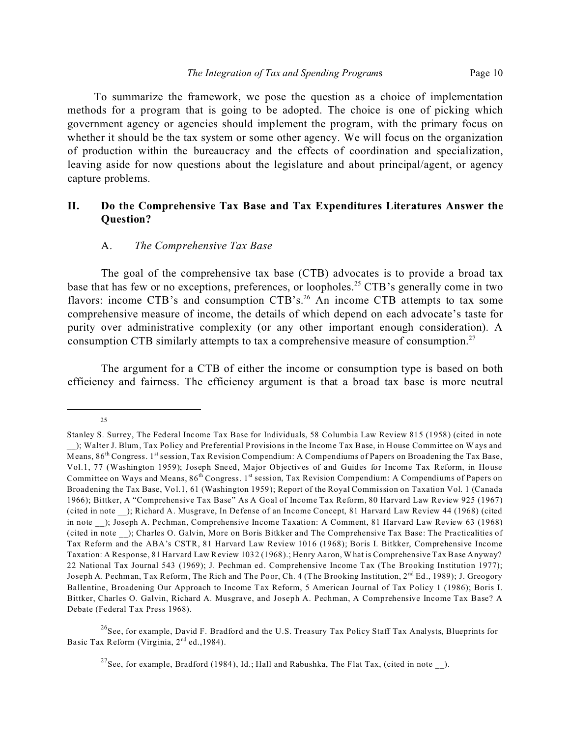To summarize the framework, we pose the question as a choice of implementation methods for a program that is going to be adopted. The choice is one of picking which government agency or agencies should implement the program, with the primary focus on whether it should be the tax system or some other agency. We will focus on the organization of production within the bureaucracy and the effects of coordination and specialization, leaving aside for now questions about the legislature and about principal/agent, or agency capture problems.

## **II. Do the Comprehensive Tax Base and Tax Expenditures Literatures Answer the Question?**

#### A. *The Comprehensive Tax Base*

The goal of the comprehensive tax base (CTB) advocates is to provide a broad tax base that has few or no exceptions, preferences, or loopholes.<sup>25</sup> CTB's generally come in two flavors: income CTB's and consumption CTB's.<sup>26</sup> An income CTB attempts to tax some comprehensive measure of income, the details of which depend on each advocate's taste for purity over administrative complexity (or any other important enough consideration). A consumption CTB similarly attempts to tax a comprehensive measure of consumption.<sup>27</sup>

The argument for a CTB of either the income or consumption type is based on both efficiency and fairness. The efficiency argument is that a broad tax base is more neutral

25

<sup>26</sup>See, for example, David F. Bradford and the U.S. Treasury Tax Policy Staff Tax Analysts, Blueprints for Basic Tax Reform (Virginia, 2<sup>nd</sup> ed., 1984).

<sup>27</sup>See, for example, Bradford (1984), Id.; Hall and Rabushka, The Flat Tax, (cited in note  $\Box$ ).

Stanley S. Surrey, The Federal Income Tax Base for Individuals, 58 Columbia Law Review 815 (1958) (cited in note \_\_); Walter J. Blum, Tax Policy and Preferential Provisions in the Income Tax Base, in House Committee on W ays and Means, 86<sup>th</sup> Congress. 1st session, Tax Revision Compendium: A Compendiums of Papers on Broadening the Tax Base, Vol.1, 77 (Washington 1959); Joseph Sneed, Major Objectives of and Guides for Income Tax Reform, in House Committee on Ways and Means, 86<sup>th</sup> Congress. 1<sup>st</sup> session, Tax Revision Compendium: A Compendiums of Papers on Broadening the Tax Base, Vol.1, 61 (Washington 1959); Report of the Royal Commission on Taxation Vol. 1 (Canada 1966); Bittker, A "Comprehensive Tax Base" As A Goal of Income Tax Reform, 80 Harvard Law Review 925 (1967) (cited in note \_\_); Richard A. Musgrave, In Defense of an Income Concept, 81 Harvard Law Review 44 (1968) (cited in note ); Joseph A. Pechman, Comprehensive Income Taxation: A Comment, 81 Harvard Law Review 63 (1968) (cited in note \_\_); Charles O. Galvin, More on Boris Bitkker and The Comprehensive Tax Base: The Practicalities of Tax Reform and the ABA's CSTR, 81 Harvard Law Review 1016 (1968); Boris I. Bitkker, Comprehensive Income Taxation: A Response, 81 Harvard Law Review 1032 (1968).; Henry Aaron, What is Comprehensive Tax Base Anyway? 22 National Tax Journal 543 (1969); J. Pechman ed. Comprehensive Income Tax (The Brooking Institution 1977); Joseph A. Pechman, Tax Reform, The Rich and The Poor, Ch. 4 (The Brooking Institution, 2<sup>nd</sup> Ed., 1989); J. Greogory Ballentine, Broadening Our Approach to Income Tax Reform, 5 American Journal of Tax Policy 1 (1986); Boris I. Bittker, Charles O. Galvin, Richard A. Musgrave, and Joseph A. Pechman, A Comprehensive Income Tax Base? A Debate (Federal Tax Press 1968).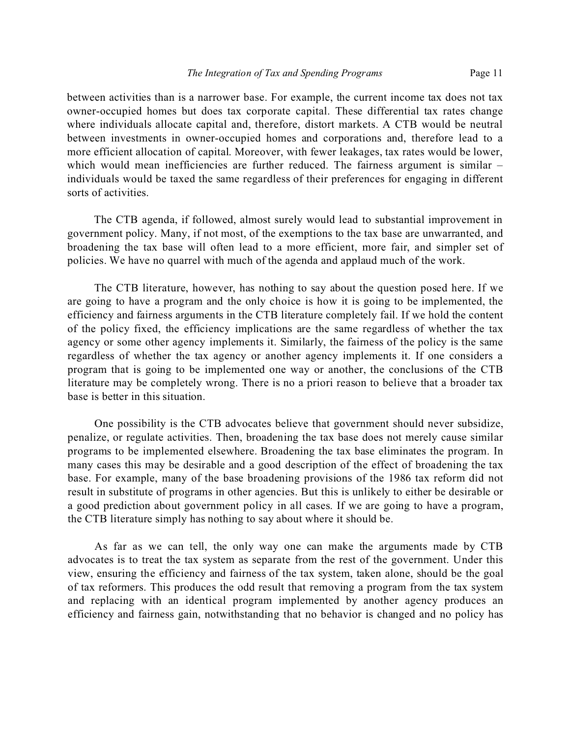between activities than is a narrower base. For example, the current income tax does not tax owner-occupied homes but does tax corporate capital. These differential tax rates change where individuals allocate capital and, therefore, distort markets. A CTB would be neutral between investments in owner-occupied homes and corporations and, therefore lead to a more efficient allocation of capital. Moreover, with fewer leakages, tax rates would be lower, which would mean inefficiencies are further reduced. The fairness argument is similar – individuals would be taxed the same regardless of their preferences for engaging in different sorts of activities.

The CTB agenda, if followed, almost surely would lead to substantial improvement in government policy. Many, if not most, of the exemptions to the tax base are unwarranted, and broadening the tax base will often lead to a more efficient, more fair, and simpler set of policies. We have no quarrel with much of the agenda and applaud much of the work.

The CTB literature, however, has nothing to say about the question posed here. If we are going to have a program and the only choice is how it is going to be implemented, the efficiency and fairness arguments in the CTB literature completely fail. If we hold the content of the policy fixed, the efficiency implications are the same regardless of whether the tax agency or some other agency implements it. Similarly, the fairness of the policy is the same regardless of whether the tax agency or another agency implements it. If one considers a program that is going to be implemented one way or another, the conclusions of the CTB literature may be completely wrong. There is no a priori reason to believe that a broader tax base is better in this situation.

One possibility is the CTB advocates believe that government should never subsidize, penalize, or regulate activities. Then, broadening the tax base does not merely cause similar programs to be implemented elsewhere. Broadening the tax base eliminates the program. In many cases this may be desirable and a good description of the effect of broadening the tax base. For example, many of the base broadening provisions of the 1986 tax reform did not result in substitute of programs in other agencies. But this is unlikely to either be desirable or a good prediction about government policy in all cases. If we are going to have a program, the CTB literature simply has nothing to say about where it should be.

As far as we can tell, the only way one can make the arguments made by CTB advocates is to treat the tax system as separate from the rest of the government. Under this view, ensuring the efficiency and fairness of the tax system, taken alone, should be the goal of tax reformers. This produces the odd result that removing a program from the tax system and replacing with an identical program implemented by another agency produces an efficiency and fairness gain, notwithstanding that no behavior is changed and no policy has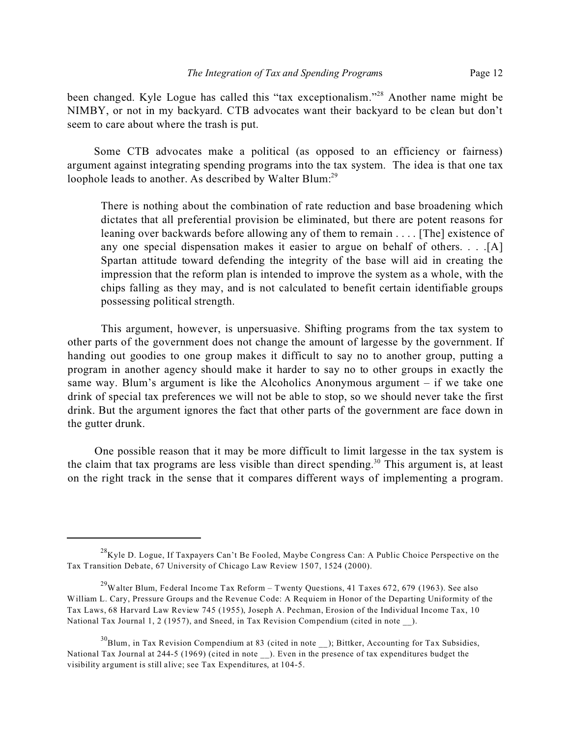been changed. Kyle Logue has called this "tax exceptionalism."<sup>28</sup> Another name might be NIMBY, or not in my backyard. CTB advocates want their backyard to be clean but don't seem to care about where the trash is put.

Some CTB advocates make a political (as opposed to an efficiency or fairness) argument against integrating spending programs into the tax system. The idea is that one tax loophole leads to another. As described by Walter Blum:<sup>29</sup>

There is nothing about the combination of rate reduction and base broadening which dictates that all preferential provision be eliminated, but there are potent reasons for leaning over backwards before allowing any of them to remain . . . . [The] existence of any one special dispensation makes it easier to argue on behalf of others. . . .[A] Spartan attitude toward defending the integrity of the base will aid in creating the impression that the reform plan is intended to improve the system as a whole, with the chips falling as they may, and is not calculated to benefit certain identifiable groups possessing political strength.

This argument, however, is unpersuasive. Shifting programs from the tax system to other parts of the government does not change the amount of largesse by the government. If handing out goodies to one group makes it difficult to say no to another group, putting a program in another agency should make it harder to say no to other groups in exactly the same way. Blum's argument is like the Alcoholics Anonymous argument – if we take one drink of special tax preferences we will not be able to stop, so we should never take the first drink. But the argument ignores the fact that other parts of the government are face down in the gutter drunk.

One possible reason that it may be more difficult to limit largesse in the tax system is the claim that tax programs are less visible than direct spending.<sup>30</sup> This argument is, at least on the right track in the sense that it compares different ways of implementing a program.

 $^{28}$ Kyle D. Logue, If Taxpayers Can't Be Fooled, Maybe Congress Can: A Public Choice Perspective on the Tax Transition Debate, 67 University of Chicago Law Review 1507, 1524 (2000).

 $^{29}$ Walter Blum, Federal Income Tax Reform – Twenty Questions, 41 Taxes 672, 679 (1963). See also William L. Cary, Pressure Groups and the Revenue Code: A Requiem in Honor of the Departing Uniformity of the Tax Laws, 68 Harvard Law Review 745 (1955), Joseph A. Pechman, Erosion of the Individual Income Tax, 10 National Tax Journal 1, 2 (1957), and Sneed, in Tax Revision Compendium (cited in note ).

 $30B$ lum, in Tax Revision Compendium at 83 (cited in note ); Bittker, Accounting for Tax Subsidies, National Tax Journal at 244-5 (1969) (cited in note ). Even in the presence of tax expenditures budget the visibility argument is still alive; see Tax Expenditures, at 104-5.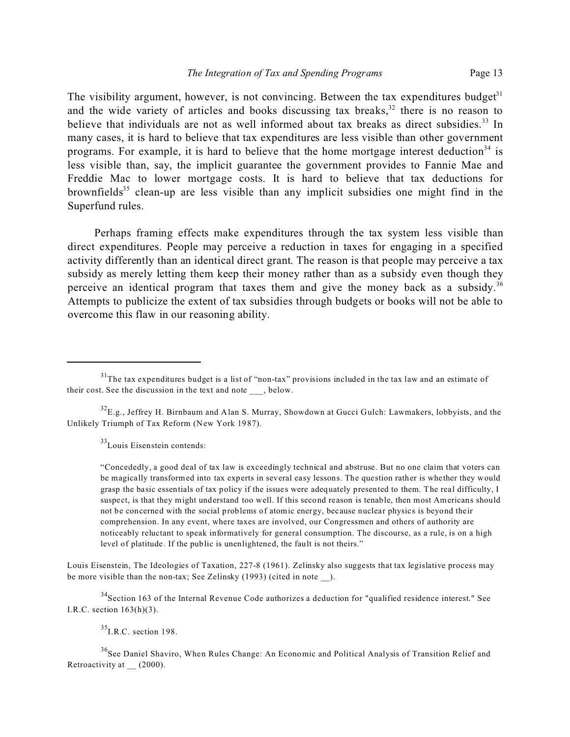The visibility argument, however, is not convincing. Between the tax expenditures budget $3<sup>1</sup>$ and the wide variety of articles and books discussing tax breaks, $32$  there is no reason to believe that individuals are not as well informed about tax breaks as direct subsidies.<sup>33</sup> In many cases, it is hard to believe that tax expenditures are less visible than other government programs. For example, it is hard to believe that the home mortgage interest deduction<sup>34</sup> is less visible than, say, the implicit guarantee the government provides to Fannie Mae and Freddie Mac to lower mortgage costs. It is hard to believe that tax deductions for brownfields<sup>35</sup> clean-up are less visible than any implicit subsidies one might find in the Superfund rules.

Perhaps framing effects make expenditures through the tax system less visible than direct expenditures. People may perceive a reduction in taxes for engaging in a specified activity differently than an identical direct grant. The reason is that people may perceive a tax subsidy as merely letting them keep their money rather than as a subsidy even though they perceive an identical program that taxes them and give the money back as a subsidy.<sup>36</sup> Attempts to publicize the extent of tax subsidies through budgets or books will not be able to overcome this flaw in our reasoning ability.

 $33$ Louis Eisenstein contends:

"Concededly, a good deal of tax law is exceedingly technical and abstruse. But no one claim that voters can be magically transformed into tax experts in several easy lessons. The question rather is whether they would grasp the basic essentials of tax policy if the issues were adequately presented to them. The real difficulty, I suspect, is that they might understand too well. If this second reason is tenable, then most Americans should not be concerned with the social problems of atomic energy, because nuclear physics is beyond their comprehension. In any event, where taxes are involved, our Congressmen and others of authority are noticeably reluctant to speak informatively for general consumption. The discourse, as a rule, is on a high level of platitude. If the public is unenlightened, the fault is not theirs."

Louis Eisenstein, The Ideologies of Taxation, 227-8 (1961). Zelinsky also suggests that tax legislative process may be more visible than the non-tax; See Zelinsky (1993) (cited in note ).

 $34$ Section 163 of the Internal Revenue Code authorizes a deduction for "qualified residence interest." See I.R.C. section 163(h)(3).

 $^{35}$ I.R.C. section 198.

<sup>36</sup>See Daniel Shaviro, When Rules Change: An Economic and Political Analysis of Transition Relief and Retroactivity at (2000).

<sup>&</sup>lt;sup>31</sup>The tax expenditures budget is a list of "non-tax" provisions included in the tax law and an estimate of their cost. See the discussion in the text and note , below.

 $^{32}$ E.g., Jeffrey H. Birnbaum and Alan S. Murray, Showdown at Gucci Gulch: Lawmakers, lobbyists, and the Unlikely Triumph of Tax Reform (New York 1987).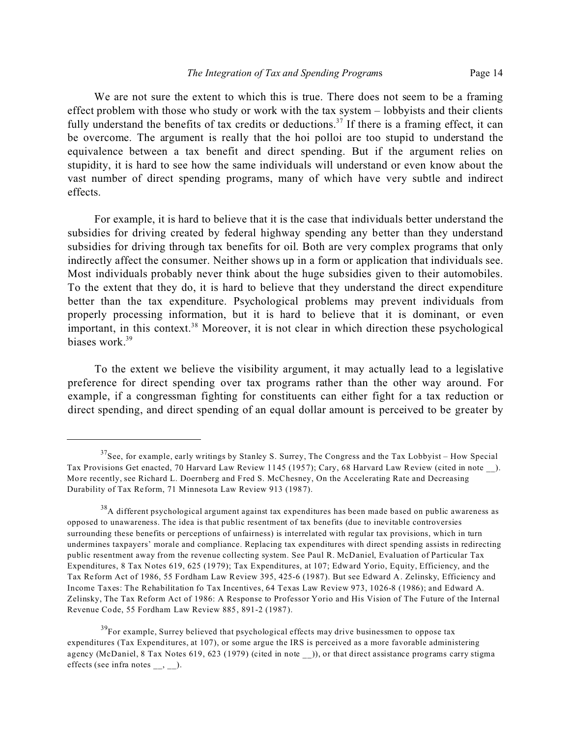We are not sure the extent to which this is true. There does not seem to be a framing effect problem with those who study or work with the tax system – lobbyists and their clients fully understand the benefits of tax credits or deductions.<sup>37</sup> If there is a framing effect, it can be overcome. The argument is really that the hoi polloi are too stupid to understand the equivalence between a tax benefit and direct spending. But if the argument relies on stupidity, it is hard to see how the same individuals will understand or even know about the vast number of direct spending programs, many of which have very subtle and indirect effects.

For example, it is hard to believe that it is the case that individuals better understand the subsidies for driving created by federal highway spending any better than they understand subsidies for driving through tax benefits for oil. Both are very complex programs that only indirectly affect the consumer. Neither shows up in a form or application that individuals see. Most individuals probably never think about the huge subsidies given to their automobiles. To the extent that they do, it is hard to believe that they understand the direct expenditure better than the tax expenditure. Psychological problems may prevent individuals from properly processing information, but it is hard to believe that it is dominant, or even important, in this context.<sup>38</sup> Moreover, it is not clear in which direction these psychological biases work.<sup>39</sup>

To the extent we believe the visibility argument, it may actually lead to a legislative preference for direct spending over tax programs rather than the other way around. For example, if a congressman fighting for constituents can either fight for a tax reduction or direct spending, and direct spending of an equal dollar amount is perceived to be greater by

 $37$ See, for example, early writings by Stanley S. Surrey, The Congress and the Tax Lobbyist – How Special Tax Provisions Get enacted, 70 Harvard Law Review 1145 (1957); Cary, 68 Harvard Law Review (cited in note \_\_). More recently, see Richard L. Doernberg and Fred S. McChesney, On the Accelerating Rate and Decreasing Durability of Tax Reform, 71 Minnesota Law Review 913 (1987).

<sup>&</sup>lt;sup>38</sup>A different psychological argument against tax expenditures has been made based on public awareness as opposed to unawareness. The idea is that public resentment of tax benefits (due to inevitable controversies surrounding these benefits or perceptions of unfairness) is interrelated with regular tax provisions, which in turn undermines taxpayers' morale and compliance. Replacing tax expenditures with direct spending assists in redirecting public resentment away from the revenue collecting system. See Paul R. McDaniel, Evaluation of Particular Tax Expenditures, 8 Tax Notes 619, 625 (1979); Tax Expenditures, at 107; Edward Yorio, Equity, Efficiency, and the Tax Reform Act of 1986, 55 Fordham Law Review 395, 425-6 (1987). But see Edward A. Zelinsky, Efficiency and Income Taxes: The Rehabilitation fo Tax Incentives, 64 Texas Law Review 973, 1026-8 (1986); and Edward A. Zelinsky, The Tax Reform Act of 1986: A Response to Professor Yorio and His Vision of The Future of the Internal Revenue Code, 55 Fordham Law Review 885, 891-2 (1987).

 $39<sup>39</sup>$  For example, Surrey believed that psychological effects may drive businessmen to oppose tax expenditures (Tax Expenditures, at 107), or some argue the IRS is perceived as a more favorable administering agency (McDaniel, 8 Tax Notes 619, 623 (1979) (cited in note \_\_)), or that direct assistance programs carry stigma effects (see infra notes \_\_, \_\_).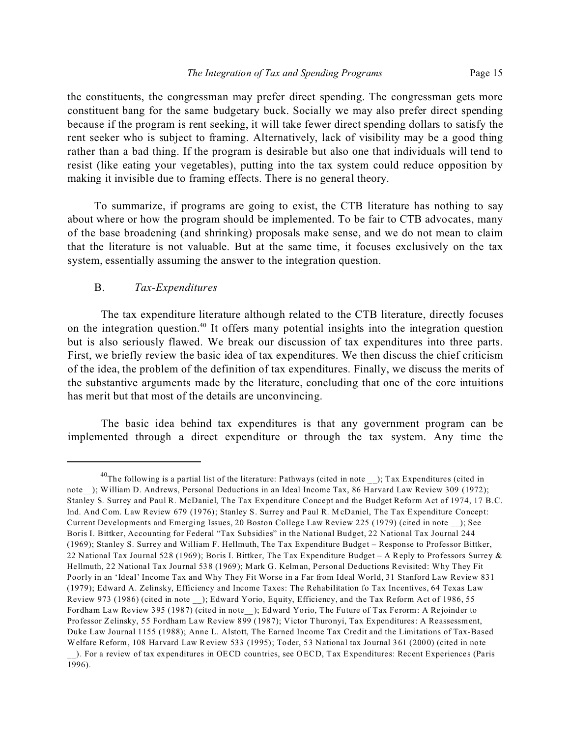the constituents, the congressman may prefer direct spending. The congressman gets more constituent bang for the same budgetary buck. Socially we may also prefer direct spending because if the program is rent seeking, it will take fewer direct spending dollars to satisfy the rent seeker who is subject to framing. Alternatively, lack of visibility may be a good thing rather than a bad thing. If the program is desirable but also one that individuals will tend to resist (like eating your vegetables), putting into the tax system could reduce opposition by making it invisible due to framing effects. There is no general theory.

To summarize, if programs are going to exist, the CTB literature has nothing to say about where or how the program should be implemented. To be fair to CTB advocates, many of the base broadening (and shrinking) proposals make sense, and we do not mean to claim that the literature is not valuable. But at the same time, it focuses exclusively on the tax system, essentially assuming the answer to the integration question.

## B. *Tax-Expenditures*

The tax expenditure literature although related to the CTB literature, directly focuses on the integration question.<sup>40</sup> It offers many potential insights into the integration question but is also seriously flawed. We break our discussion of tax expenditures into three parts. First, we briefly review the basic idea of tax expenditures. We then discuss the chief criticism of the idea, the problem of the definition of tax expenditures. Finally, we discuss the merits of the substantive arguments made by the literature, concluding that one of the core intuitions has merit but that most of the details are unconvincing.

The basic idea behind tax expenditures is that any government program can be implemented through a direct expenditure or through the tax system. Any time the

<sup>&</sup>lt;sup>40</sup>The following is a partial list of the literature: Pathways (cited in note ); Tax Expenditures (cited in note ); William D. Andrews, Personal Deductions in an Ideal Income Tax, 86 Harvard Law Review 309 (1972); Stanley S. Surrey and Paul R. McDaniel, The Tax Expenditure Concept and the Budget Reform Act of 1974, 17 B.C. Ind. And Com. Law Review 679 (1976); Stanley S. Surrey and Paul R. McDaniel, The Tax Expenditure Concept: Current Developments and Emerging Issues, 20 Boston College Law Review 225 (1979) (cited in note \_\_); See Boris I. Bittker, Accounting for Federal "Tax Subsidies" in the National Budget, 22 National Tax Journal 244 (1969); Stanley S. Surrey and William F. Hellmuth, The Tax Expenditure Budget – Response to Professor Bittker, 22 National Tax Journal 528 (1969); Boris I. Bittker, The Tax Expenditure Budget – A Reply to Professors Surrey & Hellmuth, 22 National Tax Journal 538 (1969); Mark G. Kelman, Personal Deductions Revisited: Why They Fit Poorly in an 'Ideal' Income Tax and Why They Fit Worse in a Far from Ideal World, 31 Stanford Law Review 831 (1979); Edward A. Zelinsky, Efficiency and Income Taxes: The Rehabilitation fo Tax Incentives, 64 Texas Law Review 973 (1986) (cited in note \_\_); Edward Yorio, Equity, Efficiency, and the Tax Reform Act of 1986, 55 Fordham Law Review 395 (1987) (cited in note\_\_); Edward Yorio, The Future of Tax Ferorm: A Rejoinder to Professor Zelinsky, 55 Fordham Law Review 899 (1987); Victor Thuronyi, Tax Expenditures: A Reassessment, Duke Law Journal 1155 (1988); Anne L. Alstott, The Earned Income Tax Credit and the Limitations of Tax-Based Welfare Reform, 108 Harvard Law Review 533 (1995); Toder, 53 National tax Journal 361 (2000) (cited in note \_\_). For a review of tax expenditures in OECD countries, see OECD, Tax Expenditures: Recent Experiences (Paris 1996).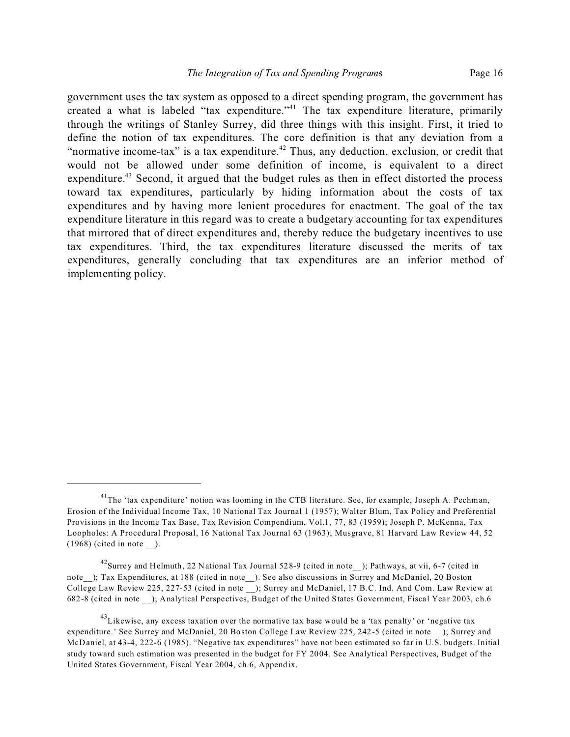government uses the tax system as opposed to a direct spending program, the government has created a what is labeled "tax expenditure." 41 The tax expenditure literature, primarily through the writings of Stanley Surrey, did three things with this insight. First, it tried to define the notion of tax expenditures. The core definition is that any deviation from a "normative income-tax" is a tax expenditure. $42$  Thus, any deduction, exclusion, or credit that would not be allowed under some definition of income, is equivalent to a direct expenditure.<sup>43</sup> Second, it argued that the budget rules as then in effect distorted the process toward tax expenditures, particularly by hiding information about the costs of tax expenditures and by having more lenient procedures for enactment. The goal of the tax expenditure literature in this regard was to create a budgetary accounting for tax expenditures that mirrored that of direct expenditures and, thereby reduce the budgetary incentives to use tax expenditures. Third, the tax expenditures literature discussed the merits of tax expenditures, generally concluding that tax expenditures are an inferior method of implementing policy.

<sup>&</sup>lt;sup>41</sup>The 'tax expenditure' notion was looming in the CTB literature. See, for example, Joseph A. Pechman, Erosion of the Individual Income Tax, 10 National Tax Journal 1 (1957); Walter Blum, Tax Policy and Preferential Provisions in the Income Tax Base, Tax Revision Compendium, Vol.1, 77, 83 (1959); Joseph P. McKenna, Tax Loopholes: A Procedural Proposal, 16 National Tax Journal 63 (1963); Musgrave, 81 Harvard Law Review 44, 52  $(1968)$  (cited in note ).

<sup>42</sup>Surrey and Helmuth, 22 National Tax Journal 528-9 (cited in note\_\_); Pathways, at vii, 6-7 (cited in note ); Tax Expenditures, at 188 (cited in note ). See also discussions in Surrey and McDaniel, 20 Boston College Law Review 225, 227-53 (cited in note \_\_); Surrey and McDaniel, 17 B.C. Ind. And Com. Law Review at 682-8 (cited in note \_\_); Analytical Perspectives, Budget of the United States Government, Fiscal Year 2003, ch.6

 $^{43}$ Likewise, any excess taxation over the normative tax base would be a 'tax penalty' or 'negative tax expenditure.' See Surrey and McDaniel, 20 Boston College Law Review 225, 242-5 (cited in note ); Surrey and McDaniel, at 43-4, 222-6 (1985). "Negative tax expenditures" have not been estimated so far in U.S. budgets. Initial study toward such estimation was presented in the budget for FY 2004. See Analytical Perspectives, Budget of the United States Government, Fiscal Year 2004, ch.6, Appendix.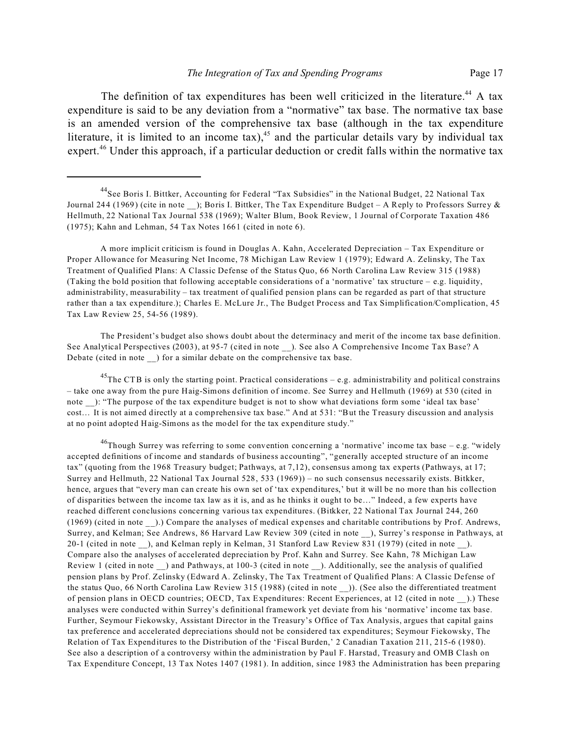The definition of tax expenditures has been well criticized in the literature.<sup>44</sup> A tax expenditure is said to be any deviation from a "normative" tax base. The normative tax base is an amended version of the comprehensive tax base (although in the tax expenditure literature, it is limited to an income tax),<sup>45</sup> and the particular details vary by individual tax expert.<sup>46</sup> Under this approach, if a particular deduction or credit falls within the normative tax

A more implicit criticism is found in Douglas A. Kahn, Accelerated Depreciation – Tax Expenditure or Proper Allowance for Measuring Net Income, 78 Michigan Law Review 1 (1979); Edward A. Zelinsky, The Tax Treatment of Qualified Plans: A Classic Defense of the Status Quo, 66 North Carolina Law Review 315 (1988) (Taking the bold position that following acceptable considerations of a 'normative' tax structure – e.g. liquidity, administrability, measurability – tax treatment of qualified pension plans can be regarded as part of that structure rather than a tax expenditure.); Charles E. McLure Jr., The Budget Process and Tax Simplification/Complication, 45 Tax Law Review 25, 54-56 (1989).

The President's budget also shows doubt about the determinacy and merit of the income tax base definition. See Analytical Perspectives (2003), at 95-7 (cited in note \_\_). See also A Comprehensive Income Tax Base? A Debate (cited in note \_\_) for a similar debate on the comprehensive tax base.

<sup>45</sup>The CTB is only the starting point. Practical considerations  $-$  e.g. administrability and political constrains – take one away from the pure Haig-Simons definition of income. See Surrey and Hellmuth (1969) at 530 (cited in note ): "The purpose of the tax expenditure budget is not to show what deviations form some 'ideal tax base' cost… It is not aimed directly at a comprehensive tax base." And at 531: "But the Treasury discussion and analysis at no point adopted Haig-Simons as the model for the tax expenditure study."

 $^{46}$ Though Surrey was referring to some convention concerning a 'normative' income tax base – e.g. "widely accepted definitions of income and standards of business accounting", "generally accepted structure of an income tax" (quoting from the 1968 Treasury budget; Pathways, at 7,12), consensus among tax experts (Pathways, at 17; Surrey and Hellmuth, 22 National Tax Journal 528, 533 (1969)) – no such consensus necessarily exists. Bitkker, hence, argues that "every man can create his own set of 'tax expenditures,' but it will be no more than his collection of disparities between the income tax law as it is, and as he thinks it ought to be…" Indeed, a few experts have reached different conclusions concerning various tax expenditures. (Bitkker, 22 National Tax Journal 244, 260 (1969) (cited in note \_\_).) Compare the analyses of medical expenses and charitable contributions by Prof. Andrews, Surrey, and Kelman; See Andrews, 86 Harvard Law Review 309 (cited in note \_\_), Surrey's response in Pathways, at 20-1 (cited in note ), and Kelman reply in Kelman, 31 Stanford Law Review 831 (1979) (cited in note ). Compare also the analyses of accelerated depreciation by Prof. Kahn and Surrey. See Kahn, 78 Michigan Law Review 1 (cited in note ) and Pathways, at 100-3 (cited in note ). Additionally, see the analysis of qualified pension plans by Prof. Zelinsky (Edward A. Zelinsky, The Tax Treatment of Qualified Plans: A Classic Defense of the status Quo, 66 North Carolina Law Review 315 (1988) (cited in note \_\_)). (See also the differentiated treatment of pension plans in OECD countries; OECD, Tax Expenditures: Recent Experiences, at 12 (cited in note \_\_).) These analyses were conducted within Surrey's definitional framework yet deviate from his 'normative' income tax base. Further, Seymour Fiekowsky, Assistant Director in the Treasury's Office of Tax Analysis, argues that capital gains tax preference and accelerated depreciations should not be considered tax expenditures; Seymour Fiekowsky, The Relation of Tax Expenditures to the Distribution of the 'Fiscal Burden,' 2 Canadian Taxation 211, 215-6 (1980). See also a description of a controversy within the administration by Paul F. Harstad, Treasury and OMB Clash on Tax Expenditure Concept, 13 Tax Notes 1407 (1981). In addition, since 1983 the Administration has been preparing

<sup>&</sup>lt;sup>44</sup>See Boris I. Bittker, Accounting for Federal "Tax Subsidies" in the National Budget, 22 National Tax Journal 244 (1969) (cite in note ); Boris I. Bittker, The Tax Expenditure Budget – A Reply to Professors Surrey & Hellmuth, 22 National Tax Journal 538 (1969); Walter Blum, Book Review, 1 Journal of Corporate Taxation 486 (1975); Kahn and Lehman, 54 Tax Notes 1661 (cited in note 6).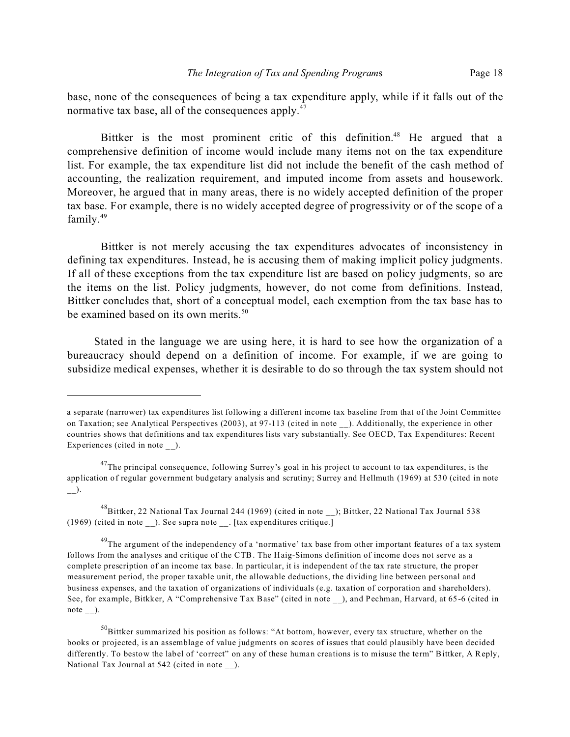base, none of the consequences of being a tax expenditure apply, while if it falls out of the normative tax base, all of the consequences apply.<sup>47</sup>

Bittker is the most prominent critic of this definition.<sup>48</sup> He argued that a comprehensive definition of income would include many items not on the tax expenditure list. For example, the tax expenditure list did not include the benefit of the cash method of accounting, the realization requirement, and imputed income from assets and housework. Moreover, he argued that in many areas, there is no widely accepted definition of the proper tax base. For example, there is no widely accepted degree of progressivity or of the scope of a family.<sup>49</sup>

Bittker is not merely accusing the tax expenditures advocates of inconsistency in defining tax expenditures. Instead, he is accusing them of making implicit policy judgments. If all of these exceptions from the tax expenditure list are based on policy judgments, so are the items on the list. Policy judgments, however, do not come from definitions. Instead, Bittker concludes that, short of a conceptual model, each exemption from the tax base has to be examined based on its own merits.<sup>50</sup>

Stated in the language we are using here, it is hard to see how the organization of a bureaucracy should depend on a definition of income. For example, if we are going to subsidize medical expenses, whether it is desirable to do so through the tax system should not

a separate (narrower) tax expenditures list following a different income tax baseline from that of the Joint Committee on Taxation; see Analytical Perspectives (2003), at 97-113 (cited in note ). Additionally, the experience in other countries shows that definitions and tax expenditures lists vary substantially. See OECD, Tax Expenditures: Recent Experiences (cited in note ).

<sup>&</sup>lt;sup>47</sup>The principal consequence, following Surrey's goal in his project to account to tax expenditures, is the application of regular government budgetary analysis and scrutiny; Surrey and Hellmuth (1969) at 530 (cited in note  $\overline{\phantom{a}}$ ).

<sup>48</sup>Bittker, 22 National Tax Journal 244 (1969) (cited in note ); Bittker, 22 National Tax Journal 538 (1969) (cited in note \_\_). See supra note \_\_. [tax expenditures critique.]

<sup>&</sup>lt;sup>49</sup>The argument of the independency of a 'normative' tax base from other important features of a tax system follows from the analyses and critique of the CTB. The Haig-Simons definition of income does not serve as a complete prescription of an income tax base. In particular, it is independent of the tax rate structure, the proper measurement period, the proper taxable unit, the allowable deductions, the dividing line between personal and business expenses, and the taxation of organizations of individuals (e.g. taxation of corporation and shareholders). See, for example, Bitkker, A "Comprehensive Tax Base" (cited in note \_\_), and Pechman, Harvard, at 65-6 (cited in note  $\_\)$ .

<sup>&</sup>lt;sup>50</sup>Bittker summarized his position as follows: "At bottom, however, every tax structure, whether on the books or projected, is an assemblage of value judgments on scores of issues that could plausibly have been decided differently. To bestow the label of 'correct" on any of these human creations is to misuse the term" Bittker, A Reply, National Tax Journal at 542 (cited in note ).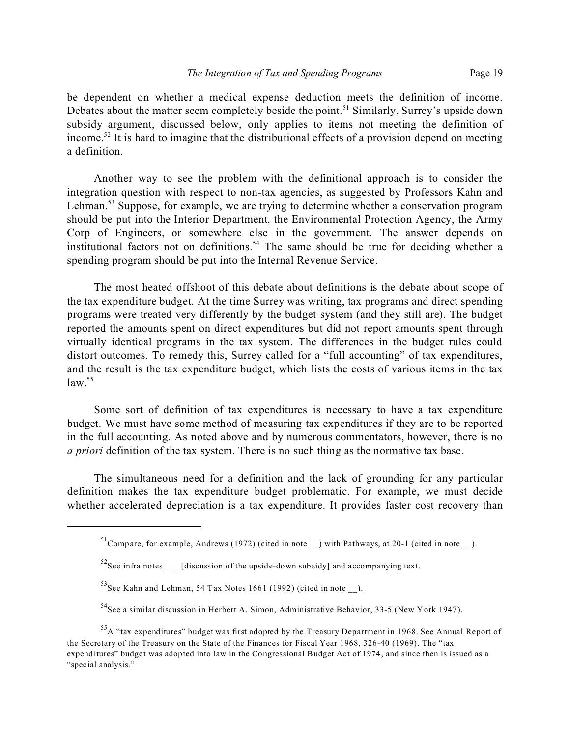be dependent on whether a medical expense deduction meets the definition of income. Debates about the matter seem completely beside the point.<sup>51</sup> Similarly, Surrey's upside down subsidy argument, discussed below, only applies to items not meeting the definition of income.<sup>52</sup> It is hard to imagine that the distributional effects of a provision depend on meeting a definition.

Another way to see the problem with the definitional approach is to consider the integration question with respect to non-tax agencies, as suggested by Professors Kahn and Lehman.<sup>53</sup> Suppose, for example, we are trying to determine whether a conservation program should be put into the Interior Department, the Environmental Protection Agency, the Army Corp of Engineers, or somewhere else in the government. The answer depends on institutional factors not on definitions.<sup>54</sup> The same should be true for deciding whether a spending program should be put into the Internal Revenue Service.

The most heated offshoot of this debate about definitions is the debate about scope of the tax expenditure budget. At the time Surrey was writing, tax programs and direct spending programs were treated very differently by the budget system (and they still are). The budget reported the amounts spent on direct expenditures but did not report amounts spent through virtually identical programs in the tax system. The differences in the budget rules could distort outcomes. To remedy this, Surrey called for a "full accounting" of tax expenditures, and the result is the tax expenditure budget, which lists the costs of various items in the tax  $law.<sup>55</sup>$ 

Some sort of definition of tax expenditures is necessary to have a tax expenditure budget. We must have some method of measuring tax expenditures if they are to be reported in the full accounting. As noted above and by numerous commentators, however, there is no *a priori* definition of the tax system. There is no such thing as the normative tax base.

The simultaneous need for a definition and the lack of grounding for any particular definition makes the tax expenditure budget problematic. For example, we must decide whether accelerated depreciation is a tax expenditure. It provides faster cost recovery than

 $51$ Compare, for example, Andrews (1972) (cited in note ) with Pathways, at 20-1 (cited in note ).

 $52$ See infra notes [discussion of the upside-down subsidy] and accompanying text.

 $^{53}$ See Kahn and Lehman, 54 Tax Notes 1661 (1992) (cited in note ).

<sup>54</sup>See a similar discussion in Herbert A. Simon, Administrative Behavior, 33-5 (New York 1947).

<sup>55</sup>A "tax expenditures" budget was first adopted by the Treasury Department in 1968. See Annual Report of the Secretary of the Treasury on the State of the Finances for Fiscal Year 1968, 326-40 (1969). The "tax expenditures" budget was adopted into law in the Congressional Budget Act of 1974, and since then is issued as a "special analysis."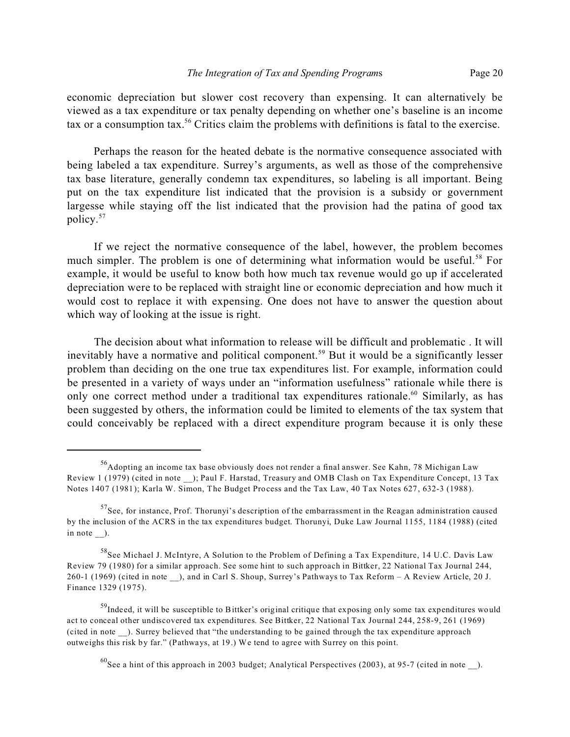economic depreciation but slower cost recovery than expensing. It can alternatively be viewed as a tax expenditure or tax penalty depending on whether one's baseline is an income tax or a consumption tax.<sup>56</sup> Critics claim the problems with definitions is fatal to the exercise.

Perhaps the reason for the heated debate is the normative consequence associated with being labeled a tax expenditure. Surrey's arguments, as well as those of the comprehensive tax base literature, generally condemn tax expenditures, so labeling is all important. Being put on the tax expenditure list indicated that the provision is a subsidy or government largesse while staying off the list indicated that the provision had the patina of good tax policy.<sup>57</sup>

If we reject the normative consequence of the label, however, the problem becomes much simpler. The problem is one of determining what information would be useful.<sup>58</sup> For example, it would be useful to know both how much tax revenue would go up if accelerated depreciation were to be replaced with straight line or economic depreciation and how much it would cost to replace it with expensing. One does not have to answer the question about which way of looking at the issue is right.

The decision about what information to release will be difficult and problematic . It will inevitably have a normative and political component.<sup>59</sup> But it would be a significantly lesser problem than deciding on the one true tax expenditures list. For example, information could be presented in a variety of ways under an "information usefulness" rationale while there is only one correct method under a traditional tax expenditures rationale.<sup>60</sup> Similarly, as has been suggested by others, the information could be limited to elements of the tax system that could conceivably be replaced with a direct expenditure program because it is only these

<sup>&</sup>lt;sup>56</sup>Adopting an income tax base obviously does not render a final answer. See Kahn, 78 Michigan Law Review 1 (1979) (cited in note \_\_); Paul F. Harstad, Treasury and OMB Clash on Tax Expenditure Concept, 13 Tax Notes 1407 (1981); Karla W. Simon, The Budget Process and the Tax Law, 40 Tax Notes 627, 632-3 (1988).

 $57$ See, for instance, Prof. Thorunyi's description of the embarrassment in the Reagan administration caused by the inclusion of the ACRS in the tax expenditures budget. Thorunyi, Duke Law Journal 1155, 1184 (1988) (cited in note  $\_\)$ .

<sup>58</sup>See Michael J. McIntyre, A Solution to the Problem of Defining a Tax Expenditure, 14 U.C. Davis Law Review 79 (1980) for a similar approach. See some hint to such approach in Bittker, 22 National Tax Journal 244, 260-1 (1969) (cited in note \_\_), and in Carl S. Shoup, Surrey's Pathways to Tax Reform – A Review Article, 20 J. Finance 1329 (1975).

<sup>&</sup>lt;sup>59</sup>Indeed, it will be susceptible to Bittker's original critique that exposing only some tax expenditures would act to conceal other undiscovered tax expenditures. See Bittker, 22 National Tax Journal 244, 258-9, 261 (1969) (cited in note \_\_). Surrey believed that "the understanding to be gained through the tax expenditure approach outweighs this risk by far." (Pathways, at 19.) We tend to agree with Surrey on this point.

 $^{60}$ See a hint of this approach in 2003 budget; Analytical Perspectives (2003), at 95-7 (cited in note  $\Box$ ).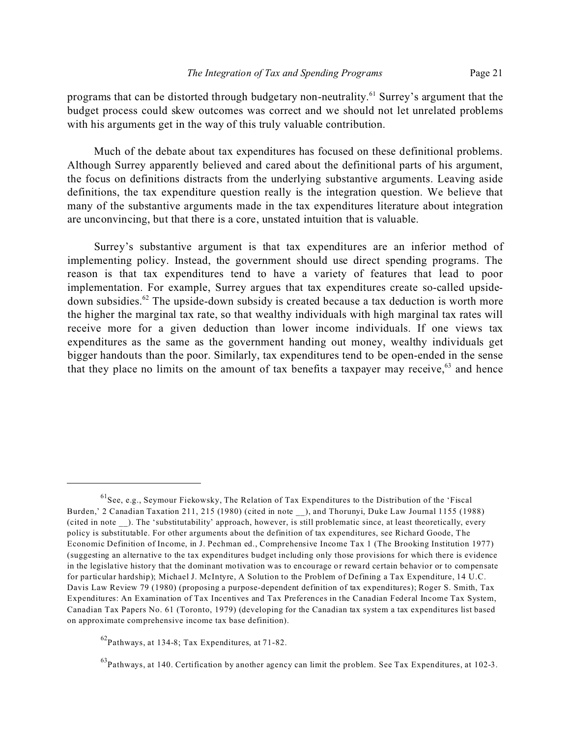programs that can be distorted through budgetary non-neutrality.<sup>61</sup> Surrey's argument that the budget process could skew outcomes was correct and we should not let unrelated problems with his arguments get in the way of this truly valuable contribution.

Much of the debate about tax expenditures has focused on these definitional problems. Although Surrey apparently believed and cared about the definitional parts of his argument, the focus on definitions distracts from the underlying substantive arguments. Leaving aside definitions, the tax expenditure question really is the integration question. We believe that many of the substantive arguments made in the tax expenditures literature about integration are unconvincing, but that there is a core, unstated intuition that is valuable.

Surrey's substantive argument is that tax expenditures are an inferior method of implementing policy. Instead, the government should use direct spending programs. The reason is that tax expenditures tend to have a variety of features that lead to poor implementation. For example, Surrey argues that tax expenditures create so-called upsidedown subsidies.<sup>62</sup> The upside-down subsidy is created because a tax deduction is worth more the higher the marginal tax rate, so that wealthy individuals with high marginal tax rates will receive more for a given deduction than lower income individuals. If one views tax expenditures as the same as the government handing out money, wealthy individuals get bigger handouts than the poor. Similarly, tax expenditures tend to be open-ended in the sense that they place no limits on the amount of tax benefits a taxpayer may receive,  $63$  and hence

<sup>&</sup>lt;sup>61</sup>See, e.g., Seymour Fiekowsky, The Relation of Tax Expenditures to the Distribution of the 'Fiscal Burden,' 2 Canadian Taxation 211, 215 (1980) (cited in note \_\_), and Thorunyi, Duke Law Journal 1155 (1988) (cited in note \_\_). The 'substitutability' approach, however, is still problematic since, at least theoretically, every policy is substitutable. For other arguments about the definition of tax expenditures, see Richard Goode, The Economic Definition of Income, in J. Pechman ed., Comprehensive Income Tax 1 (The Brooking Institution 1977) (suggesting an alternative to the tax expenditures budget including only those provisions for which there is evidence in the legislative history that the dominant motivation was to encourage or reward certain behavior or to compensate for particular hardship); Michael J. McIntyre, A Solution to the Problem of Defining a Tax Expenditure, 14 U.C. Davis Law Review 79 (1980) (proposing a purpose-dependent definition of tax expenditures); Roger S. Smith, Tax Expenditures: An Examination of Tax Incentives and Tax Preferences in the Canadian Federal Income Tax System, Canadian Tax Papers No. 61 (Toronto, 1979) (developing for the Canadian tax system a tax expenditures list based on approximate comprehensive income tax base definition).

<sup>62</sup>Pathways, at 134-8; Tax Expenditures, at 71-82.

<sup>&</sup>lt;sup>63</sup>Pathways, at 140. Certification by another agency can limit the problem. See Tax Expenditures, at 102-3.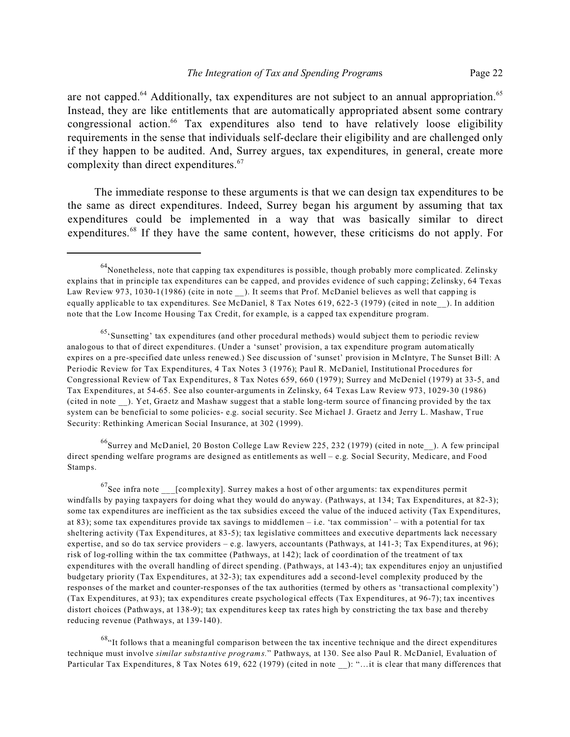are not capped.<sup>64</sup> Additionally, tax expenditures are not subject to an annual appropriation.<sup>65</sup> Instead, they are like entitlements that are automatically appropriated absent some contrary congressional action.<sup>66</sup> Tax expenditures also tend to have relatively loose eligibility requirements in the sense that individuals self-declare their eligibility and are challenged only if they happen to be audited. And, Surrey argues, tax expenditures, in general, create more complexity than direct expenditures.<sup>67</sup>

The immediate response to these arguments is that we can design tax expenditures to be the same as direct expenditures. Indeed, Surrey began his argument by assuming that tax expenditures could be implemented in a way that was basically similar to direct expenditures.<sup>68</sup> If they have the same content, however, these criticisms do not apply. For

<sup>66</sup>Surrey and McDaniel, 20 Boston College Law Review 225, 232 (1979) (cited in note\_\_). A few principal direct spending welfare programs are designed as entitlements as well – e.g. Social Security, Medicare, and Food Stamps.

 $^{67}$ See infra note [complexity]. Surrey makes a host of other arguments: tax expenditures permit windfalls by paying taxpayers for doing what they would do anyway. (Pathways, at 134; Tax Expenditures, at 82-3); some tax expenditures are inefficient as the tax subsidies exceed the value of the induced activity (Tax Expenditures, at 83); some tax expenditures provide tax savings to middlemen – i.e. 'tax commission' – with a potential for tax sheltering activity (Tax Expenditures, at 83-5); tax legislative committees and executive departments lack necessary expertise, and so do tax service providers – e.g. lawyers, accountants (Pathways, at 141-3; Tax Expenditures, at 96); risk of log-rolling within the tax committee (Pathways, at 142); lack of coordination of the treatment of tax expenditures with the overall handling of direct spending. (Pathways, at 143-4); tax expenditures enjoy an unjustified budgetary priority (Tax Expenditures, at 32-3); tax expenditures add a second-level complexity produced by the responses of the market and counter-responses of the tax authorities (termed by others as 'transactional complexity') (Tax Expenditures, at 93); tax expenditures create psychological effects (Tax Expenditures, at 96-7); tax incentives distort choices (Pathways, at 138-9); tax expenditures keep tax rates high by constricting the tax base and thereby reducing revenue (Pathways, at 139-140).

 $68$ "It follows that a meaningful comparison between the tax incentive technique and the direct expenditures technique must involve *similar substantive programs.*" Pathways, at 130. See also Paul R. McDaniel, Evaluation of Particular Tax Expenditures, 8 Tax Notes 619, 622 (1979) (cited in note ): "…it is clear that many differences that

 $^{64}$ Nonetheless, note that capping tax expenditures is possible, though probably more complicated. Zelinsky explains that in principle tax expenditures can be capped, and provides evidence of such capping; Zelinsky, 64 Texas Law Review 973, 1030-1(1986) (cite in note ). It seems that Prof. McDaniel believes as well that capping is equally applicable to tax expenditures. See McDaniel, 8 Tax Notes 619, 622-3 (1979) (cited in note ). In addition note that the Low Income Housing Tax Credit, for example, is a capped tax expenditure program.

 $65'$ Sunsetting' tax expenditures (and other procedural methods) would subject them to periodic review analogous to that of direct expenditures. (Under a 'sunset' provision, a tax expenditure program automatically expires on a pre-specified date unless renewed.) See discussion of 'sunset' provision in McIntyre, The Sunset Bill: A Periodic Review for Tax Expenditures, 4 Tax Notes 3 (1976); Paul R. McDaniel, Institutional Procedures for Congressional Review of Tax Expenditures, 8 Tax Notes 659, 660 (1979); Surrey and McDeniel (1979) at 33-5, and Tax Expenditures, at 54-65. See also counter-arguments in Zelinsky, 64 Texas Law Review 973, 1029-30 (1986) (cited in note \_\_). Yet, Graetz and Mashaw suggest that a stable long-term source of financing provided by the tax system can be beneficial to some policies- e.g. social security. See Michael J. Graetz and Jerry L. Mashaw, True Security: Rethinking American Social Insurance, at 302 (1999).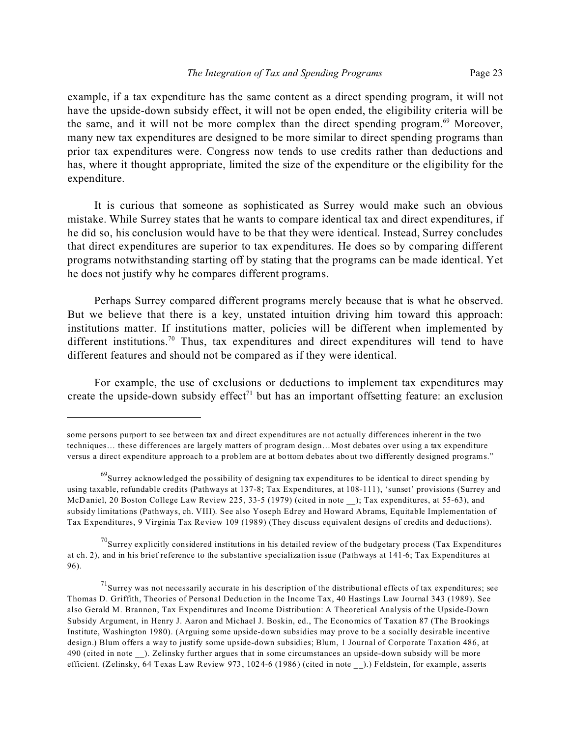example, if a tax expenditure has the same content as a direct spending program, it will not have the upside-down subsidy effect, it will not be open ended, the eligibility criteria will be the same, and it will not be more complex than the direct spending program.<sup>69</sup> Moreover, many new tax expenditures are designed to be more similar to direct spending programs than prior tax expenditures were. Congress now tends to use credits rather than deductions and has, where it thought appropriate, limited the size of the expenditure or the eligibility for the expenditure.

It is curious that someone as sophisticated as Surrey would make such an obvious mistake. While Surrey states that he wants to compare identical tax and direct expenditures, if he did so, his conclusion would have to be that they were identical. Instead, Surrey concludes that direct expenditures are superior to tax expenditures. He does so by comparing different programs notwithstanding starting off by stating that the programs can be made identical. Yet he does not justify why he compares different programs.

Perhaps Surrey compared different programs merely because that is what he observed. But we believe that there is a key, unstated intuition driving him toward this approach: institutions matter. If institutions matter, policies will be different when implemented by different institutions.<sup>70</sup> Thus, tax expenditures and direct expenditures will tend to have different features and should not be compared as if they were identical.

For example, the use of exclusions or deductions to implement tax expenditures may create the upside-down subsidy effect<sup> $71$ </sup> but has an important offsetting feature: an exclusion

some persons purport to see between tax and direct expenditures are not actually differences inherent in the two techniques… these differences are largely matters of program design…Most debates over using a tax expenditure versus a direct expenditure approach to a problem are at bottom debates about two differently designed programs."

 $^{69}$ Surrey acknowledged the possibility of designing tax expenditures to be identical to direct spending by using taxable, refundable credits (Pathways at 137-8; Tax Expenditures, at 108-111), 'sunset' provisions (Surrey and McDaniel, 20 Boston College Law Review 225, 33-5 (1979) (cited in note ); Tax expenditures, at 55-63), and subsidy limitations (Pathways, ch. VIII). See also Yoseph Edrey and Howard Abrams, Equitable Implementation of Tax Expenditures, 9 Virginia Tax Review 109 (1989) (They discuss equivalent designs of credits and deductions).

 $^{70}$ Surrey explicitly considered institutions in his detailed review of the budgetary process (Tax Expenditures at ch. 2), and in his brief reference to the substantive specialization issue (Pathways at 141-6; Tax Expenditures at 96).

 $^{71}$ Surrey was not necessarily accurate in his description of the distributional effects of tax expenditures; see Thomas D. Griffith, Theories of Personal Deduction in the Income Tax, 40 Hastings Law Journal 343 (1989). See also Gerald M. Brannon, Tax Expenditures and Income Distribution: A Theoretical Analysis of the Upside-Down Subsidy Argument, in Henry J. Aaron and Michael J. Boskin, ed., The Economics of Taxation 87 (The Brookings Institute, Washington 1980). (Arguing some upside-down subsidies may prove to be a socially desirable incentive design.) Blum offers a way to justify some upside-down subsidies; Blum, 1 Journal of Corporate Taxation 486, at 490 (cited in note \_\_). Zelinsky further argues that in some circumstances an upside-down subsidy will be more efficient. (Zelinsky, 64 Texas Law Review 973, 1024-6 (1986) (cited in note \_\_).) Feldstein, for example, asserts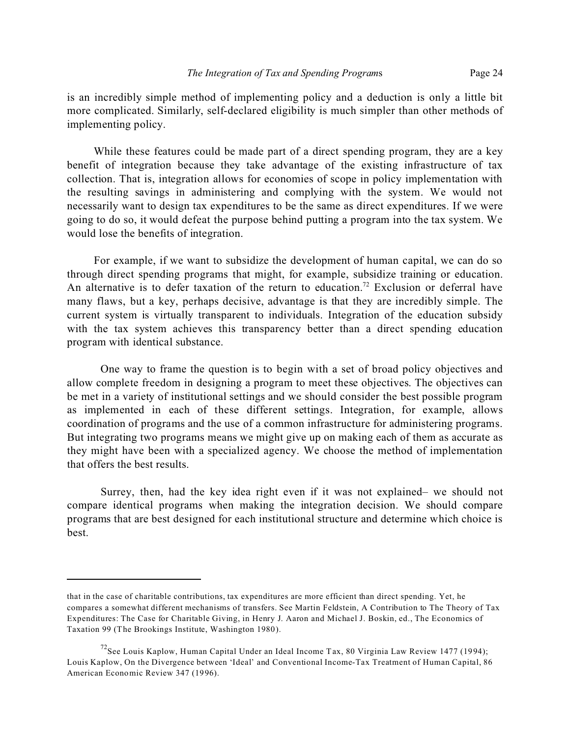is an incredibly simple method of implementing policy and a deduction is only a little bit more complicated. Similarly, self-declared eligibility is much simpler than other methods of implementing policy.

While these features could be made part of a direct spending program, they are a key benefit of integration because they take advantage of the existing infrastructure of tax collection. That is, integration allows for economies of scope in policy implementation with the resulting savings in administering and complying with the system. We would not necessarily want to design tax expenditures to be the same as direct expenditures. If we were going to do so, it would defeat the purpose behind putting a program into the tax system. We would lose the benefits of integration.

For example, if we want to subsidize the development of human capital, we can do so through direct spending programs that might, for example, subsidize training or education. An alternative is to defer taxation of the return to education.<sup>72</sup> Exclusion or deferral have many flaws, but a key, perhaps decisive, advantage is that they are incredibly simple. The current system is virtually transparent to individuals. Integration of the education subsidy with the tax system achieves this transparency better than a direct spending education program with identical substance.

One way to frame the question is to begin with a set of broad policy objectives and allow complete freedom in designing a program to meet these objectives. The objectives can be met in a variety of institutional settings and we should consider the best possible program as implemented in each of these different settings. Integration, for example, allows coordination of programs and the use of a common infrastructure for administering programs. But integrating two programs means we might give up on making each of them as accurate as they might have been with a specialized agency. We choose the method of implementation that offers the best results.

Surrey, then, had the key idea right even if it was not explained– we should not compare identical programs when making the integration decision. We should compare programs that are best designed for each institutional structure and determine which choice is best.

that in the case of charitable contributions, tax expenditures are more efficient than direct spending. Yet, he compares a somewhat different mechanisms of transfers. See Martin Feldstein, A Contribution to The Theory of Tax Expenditures: The Case for Charitable Giving, in Henry J. Aaron and Michael J. Boskin, ed., The Economics of Taxation 99 (The Brookings Institute, Washington 1980).

<sup>&</sup>lt;sup>72</sup>See Louis Kaplow, Human Capital Under an Ideal Income Tax, 80 Virginia Law Review 1477 (1994); Louis Kaplow, On the Divergence between 'Ideal' and Conventional Income-Tax Treatment of Human Capital, 86 American Economic Review 347 (1996).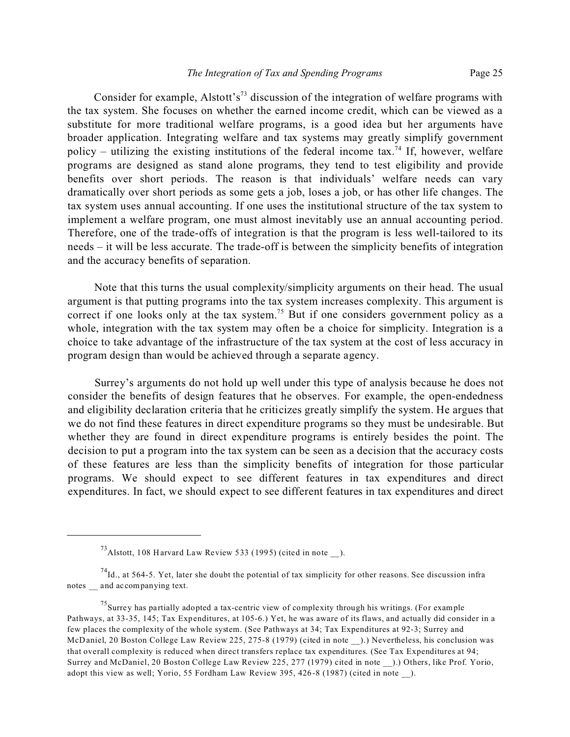Consider for example, Alstott's<sup>73</sup> discussion of the integration of welfare programs with the tax system. She focuses on whether the earned income credit, which can be viewed as a substitute for more traditional welfare programs, is a good idea but her arguments have broader application. Integrating welfare and tax systems may greatly simplify government policy – utilizing the existing institutions of the federal income tax.<sup>74</sup> If, however, welfare programs are designed as stand alone programs, they tend to test eligibility and provide benefits over short periods. The reason is that individuals' welfare needs can vary dramatically over short periods as some gets a job, loses a job, or has other life changes. The tax system uses annual accounting. If one uses the institutional structure of the tax system to implement a welfare program, one must almost inevitably use an annual accounting period. Therefore, one of the trade-offs of integration is that the program is less well-tailored to its needs – it will be less accurate. The trade-off is between the simplicity benefits of integration and the accuracy benefits of separation.

Note that this turns the usual complexity/simplicity arguments on their head. The usual argument is that putting programs into the tax system increases complexity. This argument is correct if one looks only at the tax system.<sup>75</sup> But if one considers government policy as a whole, integration with the tax system may often be a choice for simplicity. Integration is a choice to take advantage of the infrastructure of the tax system at the cost of less accuracy in program design than would be achieved through a separate agency.

Surrey's arguments do not hold up well under this type of analysis because he does not consider the benefits of design features that he observes. For example, the open-endedness and eligibility declaration criteria that he criticizes greatly simplify the system. He argues that we do not find these features in direct expenditure programs so they must be undesirable. But whether they are found in direct expenditure programs is entirely besides the point. The decision to put a program into the tax system can be seen as a decision that the accuracy costs of these features are less than the simplicity benefits of integration for those particular programs. We should expect to see different features in tax expenditures and direct expenditures. In fact, we should expect to see different features in tax expenditures and direct

 $^{73}$ Alstott, 108 Harvard Law Review 533 (1995) (cited in note ).

 $^{74}$ Id., at 564-5. Yet, later she doubt the potential of tax simplicity for other reasons. See discussion infra notes \_\_ and accompanying text.

<sup>&</sup>lt;sup>75</sup>Surrey has partially adopted a tax-centric view of complexity through his writings. (For example Pathways, at 33-35, 145; Tax Expenditures, at 105-6.) Yet, he was aware of its flaws, and actually did consider in a few places the complexity of the whole system. (See Pathways at 34; Tax Expenditures at 92-3; Surrey and McDaniel, 20 Boston College Law Review 225, 275-8 (1979) (cited in note \_\_).) Nevertheless, his conclusion was that overall complexity is reduced when direct transfers replace tax expenditures. (See Tax Expenditures at 94; Surrey and McDaniel, 20 Boston College Law Review 225, 277 (1979) cited in note \_\_).) Others, like Prof. Yorio, adopt this view as well; Yorio, 55 Fordham Law Review 395, 426-8 (1987) (cited in note \_\_).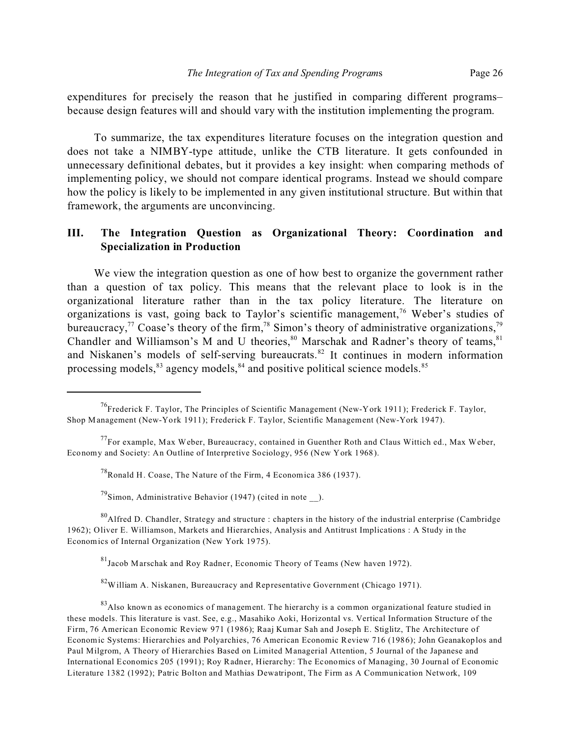expenditures for precisely the reason that he justified in comparing different programs– because design features will and should vary with the institution implementing the program.

To summarize, the tax expenditures literature focuses on the integration question and does not take a NIMBY-type attitude, unlike the CTB literature. It gets confounded in unnecessary definitional debates, but it provides a key insight: when comparing methods of implementing policy, we should not compare identical programs. Instead we should compare how the policy is likely to be implemented in any given institutional structure. But within that framework, the arguments are unconvincing.

## **III. The Integration Question as Organizational Theory: Coordination and Specialization in Production**

We view the integration question as one of how best to organize the government rather than a question of tax policy. This means that the relevant place to look is in the organizational literature rather than in the tax policy literature. The literature on organizations is vast, going back to Taylor's scientific management,<sup>76</sup> Weber's studies of bureaucracy,<sup>77</sup> Coase's theory of the firm,<sup>78</sup> Simon's theory of administrative organizations,<sup>79</sup> Chandler and Williamson's M and U theories,  $80$  Marschak and Radner's theory of teams,  $81$ and Niskanen's models of self-serving bureaucrats.<sup>82</sup> It continues in modern information processing models, $83$  agency models,  $84$  and positive political science models.  $85$ 

 $^{78}$ Ronald H. Coase, The Nature of the Firm, 4 Economica 386 (1937).

 $^{79}$ Simon, Administrative Behavior (1947) (cited in note ).

<sup>80</sup>Alfred D. Chandler, Strategy and structure : chapters in the history of the industrial enterprise (Cambridge 1962); Oliver E. Williamson, Markets and Hierarchies, Analysis and Antitrust Implications : A Study in the Economics of Internal Organization (New York 1975).

<sup>81</sup>Jacob Marschak and Roy Radner, Economic Theory of Teams (New haven 1972).

 $82$ William A. Niskanen, Bureaucracy and Representative Government (Chicago 1971).

<sup>83</sup>Also known as economics of management. The hierarchy is a common organizational feature studied in these models. This literature is vast. See, e.g., Masahiko Aoki, Horizontal vs. Vertical Information Structure of the Firm, 76 American Economic Review 971 (1986); Raaj Kumar Sah and Joseph E. Stiglitz, The Architecture of Economic Systems: Hierarchies and Polyarchies, 76 American Economic Review 716 (1986); John Geanakoplos and Paul Milgrom, A Theory of Hierarchies Based on Limited Managerial Attention, 5 Journal of the Japanese and International Economics 205 (1991); Roy Radner, Hierarchy: The Economics of Managing, 30 Journal of Economic Literature 1382 (1992); Patric Bolton and Mathias Dewatripont, The Firm as A Communication Network, 109

<sup>&</sup>lt;sup>76</sup>Frederick F. Taylor, The Principles of Scientific Management (New-York 1911); Frederick F. Taylor, Shop Management (New-York 1911); Frederick F. Taylor, Scientific Management (New-York 1947).

 $^{77}$ For example, Max Weber, Bureaucracy, contained in Guenther Roth and Claus Wittich ed., Max Weber, Economy and Society: An Outline of Interpretive Sociology, 956 (New York 1968).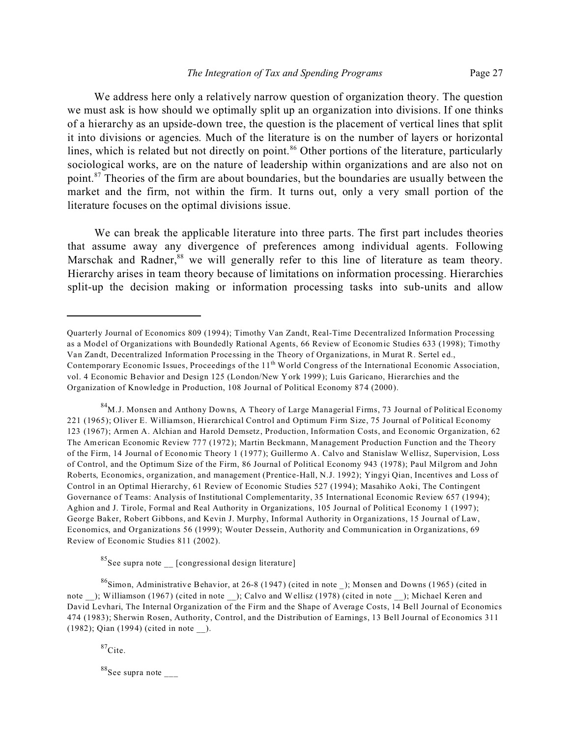We address here only a relatively narrow question of organization theory. The question we must ask is how should we optimally split up an organization into divisions. If one thinks of a hierarchy as an upside-down tree, the question is the placement of vertical lines that split it into divisions or agencies. Much of the literature is on the number of layers or horizontal lines, which is related but not directly on point.<sup>86</sup> Other portions of the literature, particularly sociological works, are on the nature of leadership within organizations and are also not on point.<sup>87</sup> Theories of the firm are about boundaries, but the boundaries are usually between the market and the firm, not within the firm. It turns out, only a very small portion of the literature focuses on the optimal divisions issue.

We can break the applicable literature into three parts. The first part includes theories that assume away any divergence of preferences among individual agents. Following Marschak and Radner,<sup>88</sup> we will generally refer to this line of literature as team theory. Hierarchy arises in team theory because of limitations on information processing. Hierarchies split-up the decision making or information processing tasks into sub-units and allow

<sup>84</sup>M.J. Monsen and Anthony Downs, A Theory of Large Managerial Firms, 73 Journal of Political Economy 221 (1965); Oliver E. Williamson, Hierarchical Control and Optimum Firm Size, 75 Journal of Political Economy 123 (1967); Armen A. Alchian and Harold Demsetz, Production, Information Costs, and Economic Organization, 62 The American Economic Review 777 (1972); Martin Beckmann, Management Production Function and the Theory of the Firm, 14 Journal of Economic Theory 1 (1977); Guillermo A. Calvo and Stanislaw Wellisz, Supervision, Loss of Control, and the Optimum Size of the Firm, 86 Journal of Political Economy 943 (1978); Paul Milgrom and John Roberts, Economics, organization, and management (Prentice-Hall, N.J. 1992); Yingyi Qian, Incentives and Loss of Control in an Optimal Hierarchy, 61 Review of Economic Studies 527 (1994); Masahiko Aoki, The Contingent Governance of Teams: Analysis of Institutional Complementarity, 35 International Economic Review 657 (1994); Aghion and J. Tirole, Formal and Real Authority in Organizations, 105 Journal of Political Economy 1 (1997); George Baker, Robert Gibbons, and Kevin J. Murphy, Informal Authority in Organizations, 15 Journal of Law, Economics, and Organizations 56 (1999); Wouter Dessein, Authority and Communication in Organizations, 69 Review of Economic Studies 811 (2002).

 ${}^{85}$ See supra note [congressional design literature]

 $^{86}$ Simon, Administrative Behavior, at 26-8 (1947) (cited in note ); Monsen and Downs (1965) (cited in note \_\_); Williamson (1967) (cited in note \_\_); Calvo and Wellisz (1978) (cited in note \_\_); Michael Keren and David Levhari, The Internal Organization of the Firm and the Shape of Average Costs, 14 Bell Journal of Economics 474 (1983); Sherwin Rosen, Authority, Control, and the Distribution of Earnings, 13 Bell Journal of Economics 311 (1982); Qian (1994) (cited in note \_\_).

 $87$ Cite.

 $88$ See supra note \_\_\_\_

Quarterly Journal of Economics 809 (1994); Timothy Van Zandt, Real-Time Decentralized Information Processing as a Model of Organizations with Boundedly Rational Agents, 66 Review of Economic Studies 633 (1998); Timothy Van Zandt, Decentralized Information Processing in the Theory of Organizations, in Murat R. Sertel ed., Contemporary Economic Issues, Proceedings of the 11<sup>th</sup> World Congress of the International Economic Association, vol. 4 Economic Behavior and Design 125 (London/New York 1999); Luis Garicano, Hierarchies and the Organization of Knowledge in Production, 108 Journal of Political Economy 874 (2000).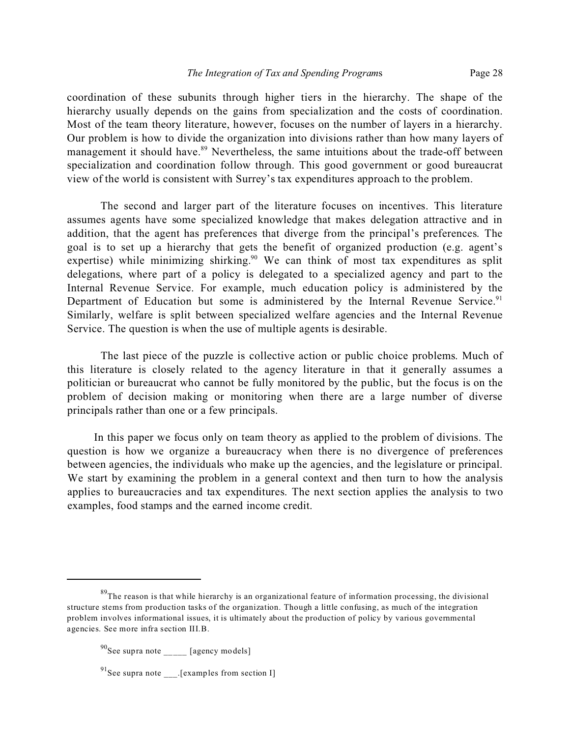coordination of these subunits through higher tiers in the hierarchy. The shape of the hierarchy usually depends on the gains from specialization and the costs of coordination. Most of the team theory literature, however, focuses on the number of layers in a hierarchy. Our problem is how to divide the organization into divisions rather than how many layers of management it should have.<sup>89</sup> Nevertheless, the same intuitions about the trade-off between specialization and coordination follow through. This good government or good bureaucrat view of the world is consistent with Surrey's tax expenditures approach to the problem.

The second and larger part of the literature focuses on incentives. This literature assumes agents have some specialized knowledge that makes delegation attractive and in addition, that the agent has preferences that diverge from the principal's preferences. The goal is to set up a hierarchy that gets the benefit of organized production (e.g. agent's expertise) while minimizing shirking.<sup>90</sup> We can think of most tax expenditures as split delegations, where part of a policy is delegated to a specialized agency and part to the Internal Revenue Service. For example, much education policy is administered by the Department of Education but some is administered by the Internal Revenue Service.<sup>91</sup> Similarly, welfare is split between specialized welfare agencies and the Internal Revenue Service. The question is when the use of multiple agents is desirable.

The last piece of the puzzle is collective action or public choice problems. Much of this literature is closely related to the agency literature in that it generally assumes a politician or bureaucrat who cannot be fully monitored by the public, but the focus is on the problem of decision making or monitoring when there are a large number of diverse principals rather than one or a few principals.

In this paper we focus only on team theory as applied to the problem of divisions. The question is how we organize a bureaucracy when there is no divergence of preferences between agencies, the individuals who make up the agencies, and the legislature or principal. We start by examining the problem in a general context and then turn to how the analysis applies to bureaucracies and tax expenditures. The next section applies the analysis to two examples, food stamps and the earned income credit.

 $89$ The reason is that while hierarchy is an organizational feature of information processing, the divisional structure stems from production tasks of the organization. Though a little confusing, as much of the integration problem involves informational issues, it is ultimately about the production of policy by various governmental agencies. See more infra section III.B.

 $^{90}$ See supra note \_\_\_\_\_ [agency models]

<sup>&</sup>lt;sup>91</sup>See supra note [examples from section I]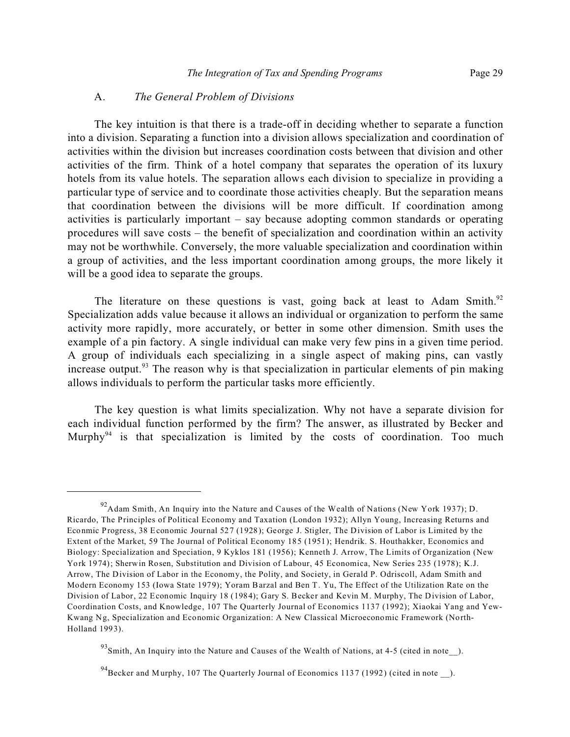#### A. *The General Problem of Divisions*

The key intuition is that there is a trade-off in deciding whether to separate a function into a division. Separating a function into a division allows specialization and coordination of activities within the division but increases coordination costs between that division and other activities of the firm. Think of a hotel company that separates the operation of its luxury hotels from its value hotels. The separation allows each division to specialize in providing a particular type of service and to coordinate those activities cheaply. But the separation means that coordination between the divisions will be more difficult. If coordination among activities is particularly important – say because adopting common standards or operating procedures will save costs – the benefit of specialization and coordination within an activity may not be worthwhile. Conversely, the more valuable specialization and coordination within a group of activities, and the less important coordination among groups, the more likely it will be a good idea to separate the groups.

The literature on these questions is vast, going back at least to Adam Smith.<sup>92</sup> Specialization adds value because it allows an individual or organization to perform the same activity more rapidly, more accurately, or better in some other dimension. Smith uses the example of a pin factory. A single individual can make very few pins in a given time period. A group of individuals each specializing in a single aspect of making pins, can vastly increase output.<sup>93</sup> The reason why is that specialization in particular elements of pin making allows individuals to perform the particular tasks more efficiently.

The key question is what limits specialization. Why not have a separate division for each individual function performed by the firm? The answer, as illustrated by Becker and Murphy<sup>94</sup> is that specialization is limited by the costs of coordination. Too much

 $^{92}$ Adam Smith, An Inquiry into the Nature and Causes of the Wealth of Nations (New York 1937); D. Ricardo, The Principles of Political Economy and Taxation (London 1932); Allyn Young, Increasing Returns and Econmic Progress, 38 Economic Journal 527 (1928); George J. Stigler, The Division of Labor is Limited by the Extent of the Market, 59 The Journal of Political Economy 185 (1951); Hendrik. S. Houthakker, Economics and Biology: Specialization and Speciation, 9 Kyklos 181 (1956); Kenneth J. Arrow, The Limits of Organization (New York 1974); Sherwin Rosen, Substitution and Division of Labour, 45 Economica, New Series 235 (1978); K.J. Arrow, The Division of Labor in the Economy, the Polity, and Society, in Gerald P. Odriscoll, Adam Smith and Modern Economy 153 (Iowa State 1979); Yoram Barzal and Ben T. Yu, The Effect of the Utilization Rate on the Division of Labor, 22 Economic Inquiry 18 (1984); Gary S. Becker and Kevin M. Murphy, The Division of Labor, Coordination Costs, and Knowledge, 107 The Quarterly Journal of Economics 1137 (1992); Xiaokai Yang and Yew-Kwang Ng, Specialization and Economic Organization: A New Classical Microeconomic Framework (North-Holland 1993).

 $93\$ Smith, An Inquiry into the Nature and Causes of the Wealth of Nations, at 4-5 (cited in note).

 $^{94}$ Becker and Murphy, 107 The Quarterly Journal of Economics 1137 (1992) (cited in note  $\Box$ ).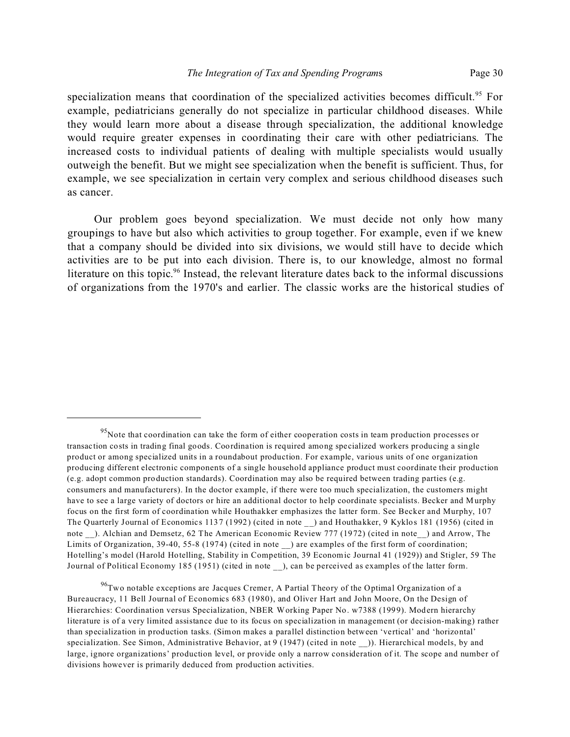specialization means that coordination of the specialized activities becomes difficult.<sup>95</sup> For example, pediatricians generally do not specialize in particular childhood diseases. While they would learn more about a disease through specialization, the additional knowledge would require greater expenses in coordinating their care with other pediatricians. The increased costs to individual patients of dealing with multiple specialists would usually outweigh the benefit. But we might see specialization when the benefit is sufficient. Thus, for example, we see specialization in certain very complex and serious childhood diseases such as cancer.

Our problem goes beyond specialization. We must decide not only how many groupings to have but also which activities to group together. For example, even if we knew that a company should be divided into six divisions, we would still have to decide which activities are to be put into each division. There is, to our knowledge, almost no formal literature on this topic.<sup>96</sup> Instead, the relevant literature dates back to the informal discussions of organizations from the 1970's and earlier. The classic works are the historical studies of

<sup>&</sup>lt;sup>95</sup>Note that coordination can take the form of either cooperation costs in team production processes or transaction costs in trading final goods. Coordination is required among specialized workers producing a single product or among specialized units in a roundabout production. For example, various units of one organization producing different electronic components of a single household appliance product must coordinate their production (e.g. adopt common production standards). Coordination may also be required between trading parties (e.g. consumers and manufacturers). In the doctor example, if there were too much specialization, the customers might have to see a large variety of doctors or hire an additional doctor to help coordinate specialists. Becker and Murphy focus on the first form of coordination while Houthakker emphasizes the latter form. See Becker and Murphy, 107 The Quarterly Journal of Economics 1137 (1992) (cited in note \_\_) and Houthakker, 9 Kyklos 181 (1956) (cited in note ). Alchian and Demsetz, 62 The American Economic Review 777 (1972) (cited in note) and Arrow, The Limits of Organization, 39-40, 55-8 (1974) (cited in note ) are examples of the first form of coordination; Hotelling's model (Harold Hotelling, Stability in Competition, 39 Economic Journal 41 (1929)) and Stigler, 59 The Journal of Political Economy 185 (1951) (cited in note \_\_), can be perceived as examples of the latter form.

<sup>&</sup>lt;sup>96</sup>Two notable exceptions are Jacques Cremer, A Partial Theory of the Optimal Organization of a Bureaucracy, 11 Bell Journal of Economics 683 (1980), and Oliver Hart and John Moore, On the Design of Hierarchies: Coordination versus Specialization, NBER Working Paper No. w7388 (1999). Modern hierarchy literature is of a very limited assistance due to its focus on specialization in management (or decision-making) rather than specialization in production tasks. (Simon makes a parallel distinction between 'vertical' and 'horizontal' specialization. See Simon, Administrative Behavior, at 9 (1947) (cited in note )). Hierarchical models, by and large, ignore organizations' production level, or provide only a narrow consideration of it. The scope and number of divisions however is primarily deduced from production activities.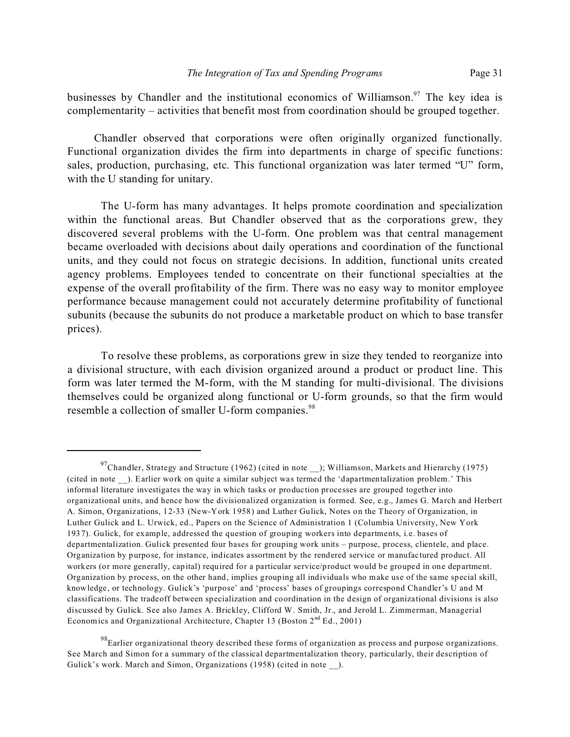businesses by Chandler and the institutional economics of Williamson.<sup>97</sup> The key idea is complementarity – activities that benefit most from coordination should be grouped together.

Chandler observed that corporations were often originally organized functionally. Functional organization divides the firm into departments in charge of specific functions: sales, production, purchasing, etc. This functional organization was later termed "U" form, with the U standing for unitary.

The U-form has many advantages. It helps promote coordination and specialization within the functional areas. But Chandler observed that as the corporations grew, they discovered several problems with the U-form. One problem was that central management became overloaded with decisions about daily operations and coordination of the functional units, and they could not focus on strategic decisions. In addition, functional units created agency problems. Employees tended to concentrate on their functional specialties at the expense of the overall profitability of the firm. There was no easy way to monitor employee performance because management could not accurately determine profitability of functional subunits (because the subunits do not produce a marketable product on which to base transfer prices).

To resolve these problems, as corporations grew in size they tended to reorganize into a divisional structure, with each division organized around a product or product line. This form was later termed the M-form, with the M standing for multi-divisional. The divisions themselves could be organized along functional or U-form grounds, so that the firm would resemble a collection of smaller U-form companies.<sup>98</sup>

 $^{97}$ Chandler, Strategy and Structure (1962) (cited in note \_\_); Williamson, Markets and Hierarchy (1975) (cited in note \_\_). Earlier work on quite a similar subject was termed the 'dapartmentalization problem.' This informal literature investigates the way in which tasks or production processes are grouped together into organizational units, and hence how the divisionalized organization is formed. See, e.g., James G. March and Herbert A. Simon, Organizations, 12-33 (New-York 1958) and Luther Gulick, Notes on the Theory of Organization, in Luther Gulick and L. Urwick, ed., Papers on the Science of Administration 1 (Columbia University, New York 1937). Gulick, for example, addressed the question of grouping workers into departments, i.e. bases of departmentalization. Gulick presented four bases for grouping work units – purpose, process, clientele, and place. Organization by purpose, for instance, indicates assortment by the rendered service or manufactured product. All workers (or more generally, capital) required for a particular service/product would be grouped in one department. Organization by process, on the other hand, implies grouping all individuals who make use of the same special skill, knowledge, or technology. Gulick's 'purpose' and 'process' bases of groupings correspond Chandler's U and M classifications. The tradeoff between specialization and coordination in the design of organizational divisions is also discussed by Gulick. See also James A. Brickley, Clifford W. Smith, Jr., and Jerold L. Zimmerman, Managerial Economics and Organizational Architecture, Chapter 13 (Boston 2<sup>nd</sup> Ed., 2001)

 $^{98}$ Earlier organizational theory described these forms of organization as process and purpose organizations. See March and Simon for a summary of the classical departmentalization theory, particularly, their description of Gulick's work. March and Simon, Organizations (1958) (cited in note ).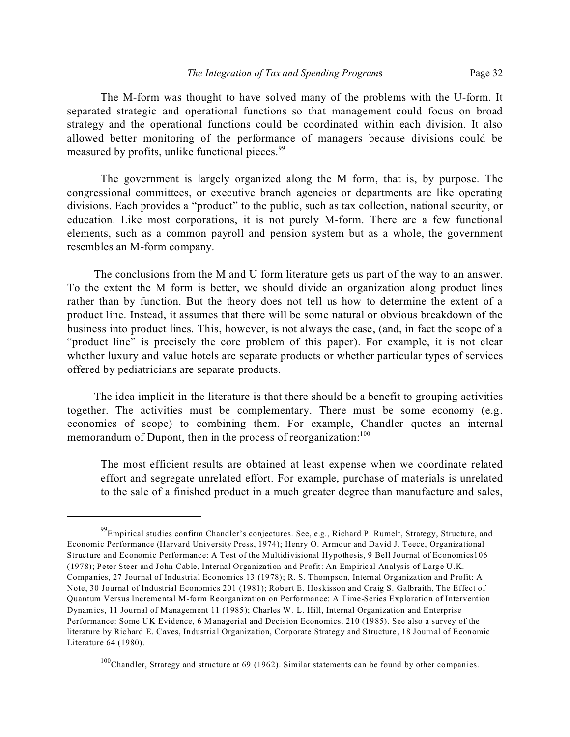The M-form was thought to have solved many of the problems with the U-form. It separated strategic and operational functions so that management could focus on broad strategy and the operational functions could be coordinated within each division. It also allowed better monitoring of the performance of managers because divisions could be measured by profits, unlike functional pieces.<sup>99</sup>

The government is largely organized along the M form, that is, by purpose. The congressional committees, or executive branch agencies or departments are like operating divisions. Each provides a "product" to the public, such as tax collection, national security, or education. Like most corporations, it is not purely M-form. There are a few functional elements, such as a common payroll and pension system but as a whole, the government resembles an M-form company.

The conclusions from the M and U form literature gets us part of the way to an answer. To the extent the M form is better, we should divide an organization along product lines rather than by function. But the theory does not tell us how to determine the extent of a product line. Instead, it assumes that there will be some natural or obvious breakdown of the business into product lines. This, however, is not always the case, (and, in fact the scope of a "product line" is precisely the core problem of this paper). For example, it is not clear whether luxury and value hotels are separate products or whether particular types of services offered by pediatricians are separate products.

The idea implicit in the literature is that there should be a benefit to grouping activities together. The activities must be complementary. There must be some economy (e.g. economies of scope) to combining them. For example, Chandler quotes an internal memorandum of Dupont, then in the process of reorganization: $100$ 

The most efficient results are obtained at least expense when we coordinate related effort and segregate unrelated effort. For example, purchase of materials is unrelated to the sale of a finished product in a much greater degree than manufacture and sales,

<sup>&</sup>lt;sup>99</sup>Empirical studies confirm Chandler's conjectures. See, e.g., Richard P. Rumelt, Strategy, Structure, and Economic Performance (Harvard University Press, 1974); Henry O. Armour and David J. Teece, Organizational Structure and Economic Performance: A Test of the Multidivisional Hypothesis, 9 Bell Journal of Economics106 (1978); Peter Steer and John Cable, Internal Organization and Profit: An Empirical Analysis of Large U.K. Companies, 27 Journal of Industrial Economics 13 (1978); R. S. Thompson, Internal Organization and Profit: A Note, 30 Journal of Industrial Economics 201 (1981); Robert E. Hoskisson and Craig S. Galbraith, The Effect of Quantum Versus Incremental M-form Reorganization on Performance: A Time-Series Exploration of Intervention Dynamics, 11 Journal of Management 11 (1985); Charles W. L. Hill, Internal Organization and Enterprise Performance: Some UK Evidence, 6 Managerial and Decision Economics, 210 (1985). See also a survey of the literature by Richard E. Caves, Industrial Organization, Corporate Strategy and Structure, 18 Journal of Economic Literature 64 (1980).

<sup>100</sup>Chandler, Strategy and structure at 69 (1962). Similar statements can be found by other companies.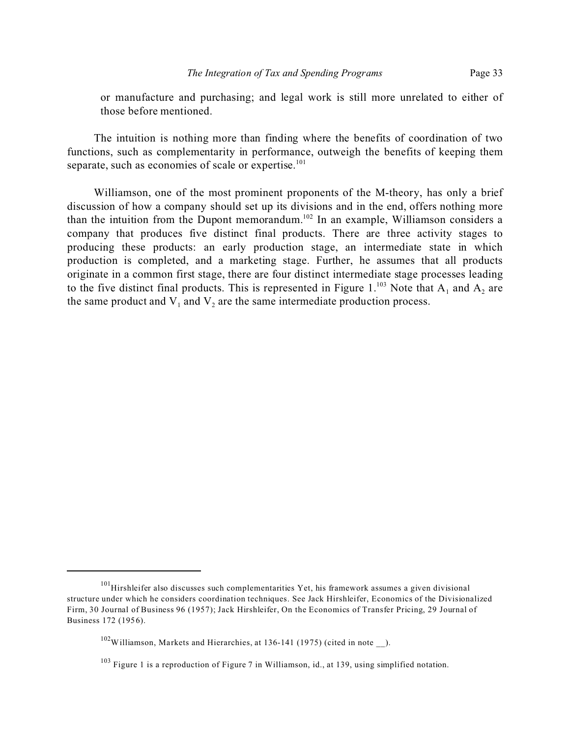or manufacture and purchasing; and legal work is still more unrelated to either of those before mentioned.

The intuition is nothing more than finding where the benefits of coordination of two functions, such as complementarity in performance, outweigh the benefits of keeping them separate, such as economies of scale or expertise. $101$ 

Williamson, one of the most prominent proponents of the M-theory, has only a brief discussion of how a company should set up its divisions and in the end, offers nothing more than the intuition from the Dupont memorandum.<sup>102</sup> In an example, Williamson considers a company that produces five distinct final products. There are three activity stages to producing these products: an early production stage, an intermediate state in which production is completed, and a marketing stage. Further, he assumes that all products originate in a common first stage, there are four distinct intermediate stage processes leading to the five distinct final products. This is represented in Figure 1.<sup>103</sup> Note that  $A_1$  and  $A_2$  are the same product and  $V_1$  and  $V_2$  are the same intermediate production process.

 $101$  Hirshleifer also discusses such complementarities Yet, his framework assumes a given divisional structure under which he considers coordination techniques. See Jack Hirshleifer, Economics of the Divisionalized Firm, 30 Journal of Business 96 (1957); Jack Hirshleifer, On the Economics of Transfer Pricing, 29 Journal of Business 172 (1956).

 $102$ Williamson, Markets and Hierarchies, at 136-141 (1975) (cited in note ).

<sup>&</sup>lt;sup>103</sup> Figure 1 is a reproduction of Figure 7 in Williamson, id., at 139, using simplified notation.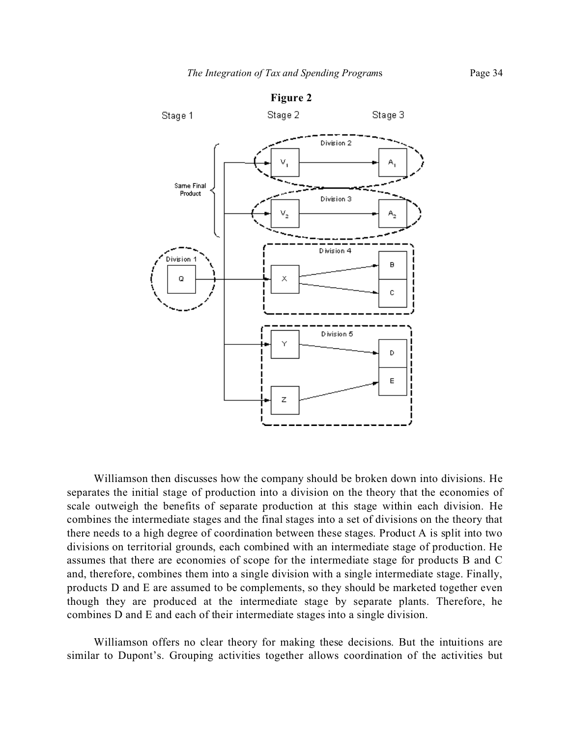

Williamson then discusses how the company should be broken down into divisions. He separates the initial stage of production into a division on the theory that the economies of scale outweigh the benefits of separate production at this stage within each division. He combines the intermediate stages and the final stages into a set of divisions on the theory that there needs to a high degree of coordination between these stages. Product A is split into two divisions on territorial grounds, each combined with an intermediate stage of production. He assumes that there are economies of scope for the intermediate stage for products B and C and, therefore, combines them into a single division with a single intermediate stage. Finally, products D and E are assumed to be complements, so they should be marketed together even though they are produced at the intermediate stage by separate plants. Therefore, he combines D and E and each of their intermediate stages into a single division.

Williamson offers no clear theory for making these decisions. But the intuitions are similar to Dupont's. Grouping activities together allows coordination of the activities but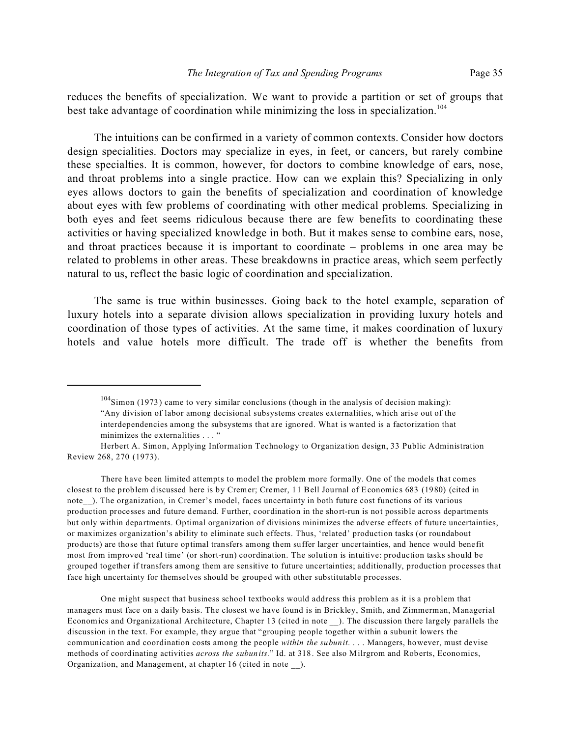reduces the benefits of specialization. We want to provide a partition or set of groups that best take advantage of coordination while minimizing the loss in specialization.<sup>104</sup>

The intuitions can be confirmed in a variety of common contexts. Consider how doctors design specialities. Doctors may specialize in eyes, in feet, or cancers, but rarely combine these specialties. It is common, however, for doctors to combine knowledge of ears, nose, and throat problems into a single practice. How can we explain this? Specializing in only eyes allows doctors to gain the benefits of specialization and coordination of knowledge about eyes with few problems of coordinating with other medical problems. Specializing in both eyes and feet seems ridiculous because there are few benefits to coordinating these activities or having specialized knowledge in both. But it makes sense to combine ears, nose, and throat practices because it is important to coordinate – problems in one area may be related to problems in other areas. These breakdowns in practice areas, which seem perfectly natural to us, reflect the basic logic of coordination and specialization.

The same is true within businesses. Going back to the hotel example, separation of luxury hotels into a separate division allows specialization in providing luxury hotels and coordination of those types of activities. At the same time, it makes coordination of luxury hotels and value hotels more difficult. The trade off is whether the benefits from

There have been limited attempts to model the problem more formally. One of the models that comes closest to the problem discussed here is by Cremer; Cremer, 11 Bell Journal of Economics 683 (1980) (cited in note ). The organization, in Cremer's model, faces uncertainty in both future cost functions of its various production processes and future demand. Further, coordination in the short-run is not possible across departments but only within departments. Optimal organization of divisions minimizes the adverse effects of future uncertainties, or maximizes organization's ability to eliminate such effects. Thus, 'related' production tasks (or roundabout products) are those that future optimal transfers among them suffer larger uncertainties, and hence would benefit most from improved 'real time' (or short-run) coordination. The solution is intuitive: production tasks should be grouped together if transfers among them are sensitive to future uncertainties; additionally, production processes that face high uncertainty for themselves should be grouped with other substitutable processes.

One might suspect that business school textbooks would address this problem as it is a problem that managers must face on a daily basis. The closest we have found is in Brickley, Smith, and Zimmerman, Managerial Economics and Organizational Architecture, Chapter 13 (cited in note \_\_). The discussion there largely parallels the discussion in the text. For example, they argue that "grouping people together within a subunit lowers the communication and coordination costs among the people *within the subunit*. . . . Managers, however, must devise methods of coordinating activities *across the subunits.*" Id. at 318. See also Milrgrom and Roberts, Economics, Organization, and Management, at chapter 16 (cited in note \_\_).

 $104$ Simon (1973) came to very similar conclusions (though in the analysis of decision making): "Any division of labor among decisional subsystems creates externalities, which arise out of the interdependencies among the subsystems that are ignored. What is wanted is a factorization that minimizes the externalities . . . "

Herbert A. Simon, Applying Information Technology to Organization design, 33 Public Administration Review 268, 270 (1973).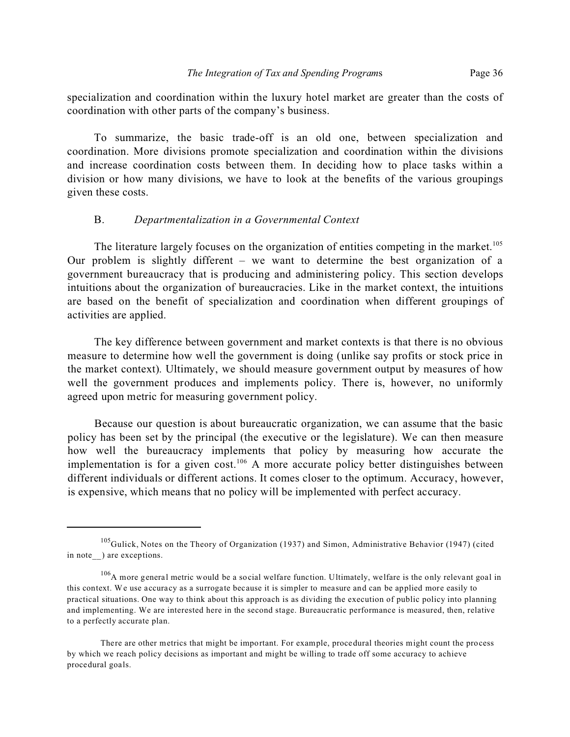specialization and coordination within the luxury hotel market are greater than the costs of coordination with other parts of the company's business.

To summarize, the basic trade-off is an old one, between specialization and coordination. More divisions promote specialization and coordination within the divisions and increase coordination costs between them. In deciding how to place tasks within a division or how many divisions, we have to look at the benefits of the various groupings given these costs.

# B. *Departmentalization in a Governmental Context*

The literature largely focuses on the organization of entities competing in the market.<sup>105</sup> Our problem is slightly different – we want to determine the best organization of a government bureaucracy that is producing and administering policy. This section develops intuitions about the organization of bureaucracies. Like in the market context, the intuitions are based on the benefit of specialization and coordination when different groupings of activities are applied.

The key difference between government and market contexts is that there is no obvious measure to determine how well the government is doing (unlike say profits or stock price in the market context). Ultimately, we should measure government output by measures of how well the government produces and implements policy. There is, however, no uniformly agreed upon metric for measuring government policy.

Because our question is about bureaucratic organization, we can assume that the basic policy has been set by the principal (the executive or the legislature). We can then measure how well the bureaucracy implements that policy by measuring how accurate the implementation is for a given cost.<sup>106</sup> A more accurate policy better distinguishes between different individuals or different actions. It comes closer to the optimum. Accuracy, however, is expensive, which means that no policy will be implemented with perfect accuracy.

<sup>&</sup>lt;sup>105</sup>Gulick, Notes on the Theory of Organization (1937) and Simon, Administrative Behavior (1947) (cited in note ) are exceptions.

<sup>&</sup>lt;sup>106</sup>A more general metric would be a social welfare function. Ultimately, welfare is the only relevant goal in this context. We use accuracy as a surrogate because it is simpler to measure and can be applied more easily to practical situations. One way to think about this approach is as dividing the execution of public policy into planning and implementing. We are interested here in the second stage. Bureaucratic performance is measured, then, relative to a perfectly accurate plan.

There are other metrics that might be important. For example, procedural theories might count the process by which we reach policy decisions as important and might be willing to trade off some accuracy to achieve procedural goals.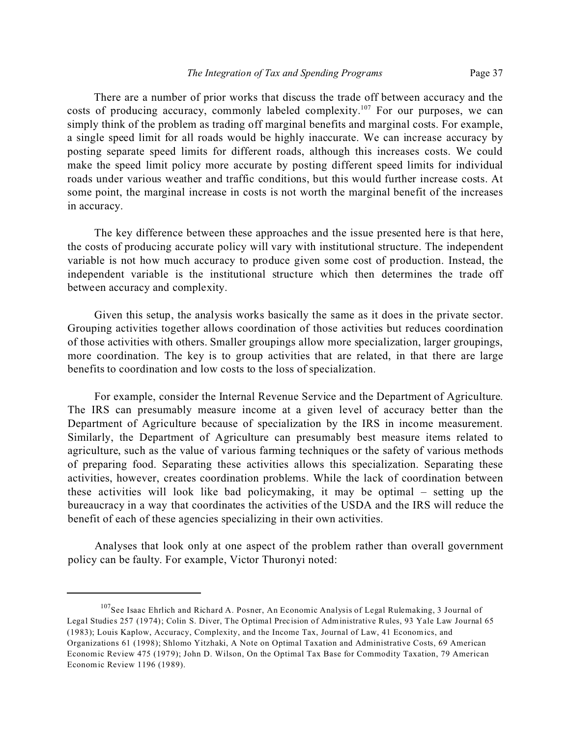There are a number of prior works that discuss the trade off between accuracy and the costs of producing accuracy, commonly labeled complexity.<sup>107</sup> For our purposes, we can simply think of the problem as trading off marginal benefits and marginal costs. For example, a single speed limit for all roads would be highly inaccurate. We can increase accuracy by posting separate speed limits for different roads, although this increases costs. We could make the speed limit policy more accurate by posting different speed limits for individual roads under various weather and traffic conditions, but this would further increase costs. At some point, the marginal increase in costs is not worth the marginal benefit of the increases in accuracy.

The key difference between these approaches and the issue presented here is that here, the costs of producing accurate policy will vary with institutional structure. The independent variable is not how much accuracy to produce given some cost of production. Instead, the independent variable is the institutional structure which then determines the trade off between accuracy and complexity.

Given this setup, the analysis works basically the same as it does in the private sector. Grouping activities together allows coordination of those activities but reduces coordination of those activities with others. Smaller groupings allow more specialization, larger groupings, more coordination. The key is to group activities that are related, in that there are large benefits to coordination and low costs to the loss of specialization.

For example, consider the Internal Revenue Service and the Department of Agriculture. The IRS can presumably measure income at a given level of accuracy better than the Department of Agriculture because of specialization by the IRS in income measurement. Similarly, the Department of Agriculture can presumably best measure items related to agriculture, such as the value of various farming techniques or the safety of various methods of preparing food. Separating these activities allows this specialization. Separating these activities, however, creates coordination problems. While the lack of coordination between these activities will look like bad policymaking, it may be optimal – setting up the bureaucracy in a way that coordinates the activities of the USDA and the IRS will reduce the benefit of each of these agencies specializing in their own activities.

Analyses that look only at one aspect of the problem rather than overall government policy can be faulty. For example, Victor Thuronyi noted:

<sup>&</sup>lt;sup>107</sup>See Isaac Ehrlich and Richard A. Posner, An Economic Analysis of Legal Rulemaking, 3 Journal of Legal Studies 257 (1974); Colin S. Diver, The Optimal Precision of Administrative Rules, 93 Yale Law Journal 65 (1983); Louis Kaplow, Accuracy, Complexity, and the Income Tax, Journal of Law, 41 Economics, and Organizations 61 (1998); Shlomo Yitzhaki, A Note on Optimal Taxation and Administrative Costs, 69 American Economic Review 475 (1979); John D. Wilson, On the Optimal Tax Base for Commodity Taxation, 79 American Economic Review 1196 (1989).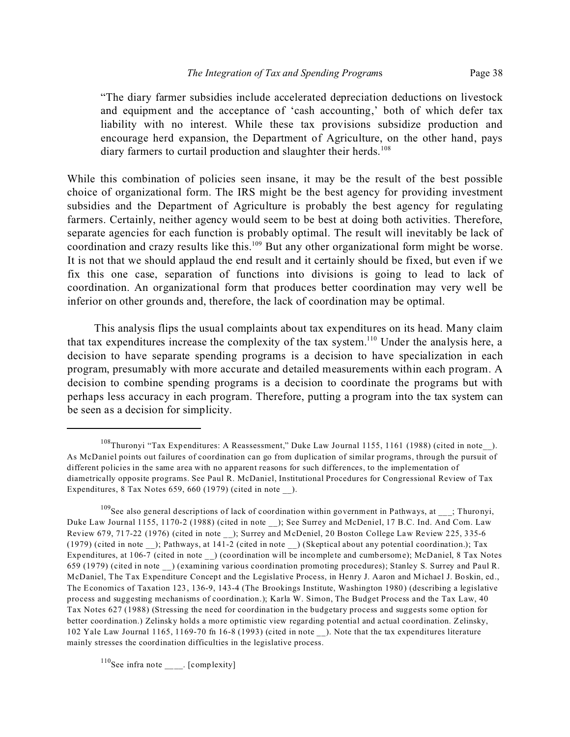"The diary farmer subsidies include accelerated depreciation deductions on livestock and equipment and the acceptance of 'cash accounting,' both of which defer tax liability with no interest. While these tax provisions subsidize production and encourage herd expansion, the Department of Agriculture, on the other hand, pays diary farmers to curtail production and slaughter their herds.<sup>108</sup>

While this combination of policies seen insane, it may be the result of the best possible choice of organizational form. The IRS might be the best agency for providing investment subsidies and the Department of Agriculture is probably the best agency for regulating farmers. Certainly, neither agency would seem to be best at doing both activities. Therefore, separate agencies for each function is probably optimal. The result will inevitably be lack of coordination and crazy results like this.<sup>109</sup> But any other organizational form might be worse. It is not that we should applaud the end result and it certainly should be fixed, but even if we fix this one case, separation of functions into divisions is going to lead to lack of coordination. An organizational form that produces better coordination may very well be inferior on other grounds and, therefore, the lack of coordination may be optimal.

This analysis flips the usual complaints about tax expenditures on its head. Many claim that tax expenditures increase the complexity of the tax system.<sup>110</sup> Under the analysis here, a decision to have separate spending programs is a decision to have specialization in each program, presumably with more accurate and detailed measurements within each program. A decision to combine spending programs is a decision to coordinate the programs but with perhaps less accuracy in each program. Therefore, putting a program into the tax system can be seen as a decision for simplicity.

<sup>&</sup>lt;sup>108</sup>Thuronyi "Tax Expenditures: A Reassessment," Duke Law Journal 1155, 1161 (1988) (cited in note\_\_). As McDaniel points out failures of coordination can go from duplication of similar programs, through the pursuit of different policies in the same area with no apparent reasons for such differences, to the implementation of diametrically opposite programs. See Paul R. McDaniel, Institutional Procedures for Congressional Review of Tax Expenditures,  $8$  Tax Notes 659, 660 (1979) (cited in note ).

<sup>&</sup>lt;sup>109</sup>See also general descriptions of lack of coordination within government in Pathways, at <sub>\_\_\_</sub>; Thuronyi, Duke Law Journal 1155, 1170-2 (1988) (cited in note ); See Surrey and McDeniel, 17 B.C. Ind. And Com. Law Review 679, 717-22 (1976) (cited in note \_\_); Surrey and McDeniel, 20 Boston College Law Review 225, 335-6 (1979) (cited in note \_\_); Pathways, at 141-2 (cited in note \_\_) (Skeptical about any potential coordination.); Tax Expenditures, at 106-7 (cited in note \_\_) (coordination will be incomplete and cumbersome); McDaniel, 8 Tax Notes 659 (1979) (cited in note \_\_) (examining various coordination promoting procedures); Stanley S. Surrey and Paul R. McDaniel, The Tax Expenditure Concept and the Legislative Process, in Henry J. Aaron and Michael J. Boskin, ed., The Economics of Taxation 123, 136-9, 143-4 (The Brookings Institute, Washington 1980) (describing a legislative process and suggesting mechanisms of coordination.); Karla W. Simon, The Budget Process and the Tax Law, 40 Tax Notes 627 (1988) (Stressing the need for coordination in the budgetary process and suggests some option for better coordination.) Zelinsky holds a more optimistic view regarding potential and actual coordination. Zelinsky, 102 Yale Law Journal 1165, 1169-70 fn 16-8 (1993) (cited in note ). Note that the tax expenditures literature mainly stresses the coordination difficulties in the legislative process.

 $^{110}$ See infra note . [complexity]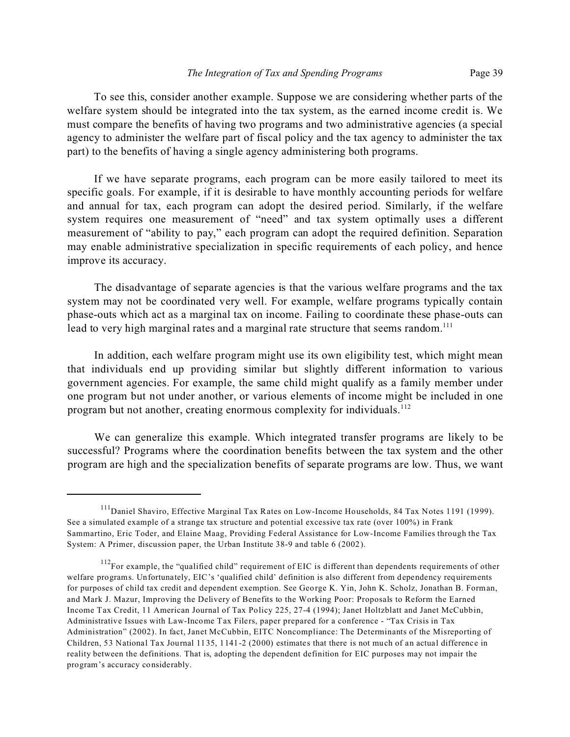To see this, consider another example. Suppose we are considering whether parts of the welfare system should be integrated into the tax system, as the earned income credit is. We must compare the benefits of having two programs and two administrative agencies (a special agency to administer the welfare part of fiscal policy and the tax agency to administer the tax part) to the benefits of having a single agency administering both programs.

If we have separate programs, each program can be more easily tailored to meet its specific goals. For example, if it is desirable to have monthly accounting periods for welfare and annual for tax, each program can adopt the desired period. Similarly, if the welfare system requires one measurement of "need" and tax system optimally uses a different measurement of "ability to pay," each program can adopt the required definition. Separation may enable administrative specialization in specific requirements of each policy, and hence improve its accuracy.

The disadvantage of separate agencies is that the various welfare programs and the tax system may not be coordinated very well. For example, welfare programs typically contain phase-outs which act as a marginal tax on income. Failing to coordinate these phase-outs can lead to very high marginal rates and a marginal rate structure that seems random.<sup>111</sup>

In addition, each welfare program might use its own eligibility test, which might mean that individuals end up providing similar but slightly different information to various government agencies. For example, the same child might qualify as a family member under one program but not under another, or various elements of income might be included in one program but not another, creating enormous complexity for individuals.<sup>112</sup>

We can generalize this example. Which integrated transfer programs are likely to be successful? Programs where the coordination benefits between the tax system and the other program are high and the specialization benefits of separate programs are low. Thus, we want

<sup>&</sup>lt;sup>111</sup>Daniel Shaviro, Effective Marginal Tax Rates on Low-Income Households, 84 Tax Notes 1191 (1999). See a simulated example of a strange tax structure and potential excessive tax rate (over 100%) in Frank Sammartino, Eric Toder, and Elaine Maag, Providing Federal Assistance for Low-Income Families through the Tax System: A Primer, discussion paper, the Urban Institute 38-9 and table 6 (2002).

<sup>&</sup>lt;sup>112</sup>For example, the "qualified child" requirement of EIC is different than dependents requirements of other welfare programs. Unfortunately, EIC's 'qualified child' definition is also different from dependency requirements for purposes of child tax credit and dependent exemption. See George K. Yin, John K. Scholz, Jonathan B. Forman, and Mark J. Mazur, Improving the Delivery of Benefits to the Working Poor: Proposals to Reform the Earned Income Tax Credit, 11 American Journal of Tax Policy 225, 27-4 (1994); Janet Holtzblatt and Janet McCubbin, Administrative Issues with Law-Income Tax Filers, paper prepared for a conference - "Tax Crisis in Tax Administration" (2002). In fact, Janet McCubbin, EITC Noncompliance: The Determinants of the Misreporting of Children, 53 National Tax Journal 1135, 1141-2 (2000) estimates that there is not much of an actual difference in reality between the definitions. That is, adopting the dependent definition for EIC purposes may not impair the program's accuracy considerably.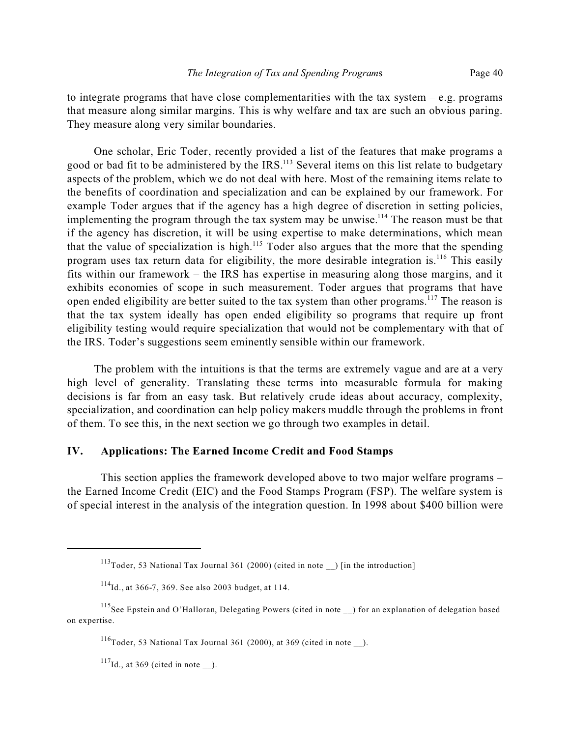to integrate programs that have close complementarities with the tax system  $-e.g.$  programs that measure along similar margins. This is why welfare and tax are such an obvious paring. They measure along very similar boundaries.

One scholar, Eric Toder, recently provided a list of the features that make programs a good or bad fit to be administered by the IRS.<sup>113</sup> Several items on this list relate to budgetary aspects of the problem, which we do not deal with here. Most of the remaining items relate to the benefits of coordination and specialization and can be explained by our framework. For example Toder argues that if the agency has a high degree of discretion in setting policies, implementing the program through the tax system may be unwise.<sup>114</sup> The reason must be that if the agency has discretion, it will be using expertise to make determinations, which mean that the value of specialization is high.<sup>115</sup> Toder also argues that the more that the spending program uses tax return data for eligibility, the more desirable integration is.<sup>116</sup> This easily fits within our framework – the IRS has expertise in measuring along those margins, and it exhibits economies of scope in such measurement. Toder argues that programs that have open ended eligibility are better suited to the tax system than other programs.<sup>117</sup> The reason is that the tax system ideally has open ended eligibility so programs that require up front eligibility testing would require specialization that would not be complementary with that of the IRS. Toder's suggestions seem eminently sensible within our framework.

The problem with the intuitions is that the terms are extremely vague and are at a very high level of generality. Translating these terms into measurable formula for making decisions is far from an easy task. But relatively crude ideas about accuracy, complexity, specialization, and coordination can help policy makers muddle through the problems in front of them. To see this, in the next section we go through two examples in detail.

# **IV. Applications: The Earned Income Credit and Food Stamps**

This section applies the framework developed above to two major welfare programs – the Earned Income Credit (EIC) and the Food Stamps Program (FSP). The welfare system is of special interest in the analysis of the integration question. In 1998 about \$400 billion were

<sup>&</sup>lt;sup>113</sup>Toder, 53 National Tax Journal 361 (2000) (cited in note ) [in the introduction]

 $114$ Id., at 366-7, 369. See also 2003 budget, at 114.

<sup>&</sup>lt;sup>115</sup>See Epstein and O'Halloran, Delegating Powers (cited in note \_\_) for an explanation of delegation based on expertise.

<sup>&</sup>lt;sup>116</sup>Toder, 53 National Tax Journal 361 (2000), at 369 (cited in note  $\blacksquare$ ).

 $^{117}$ Id., at 369 (cited in note \_\_).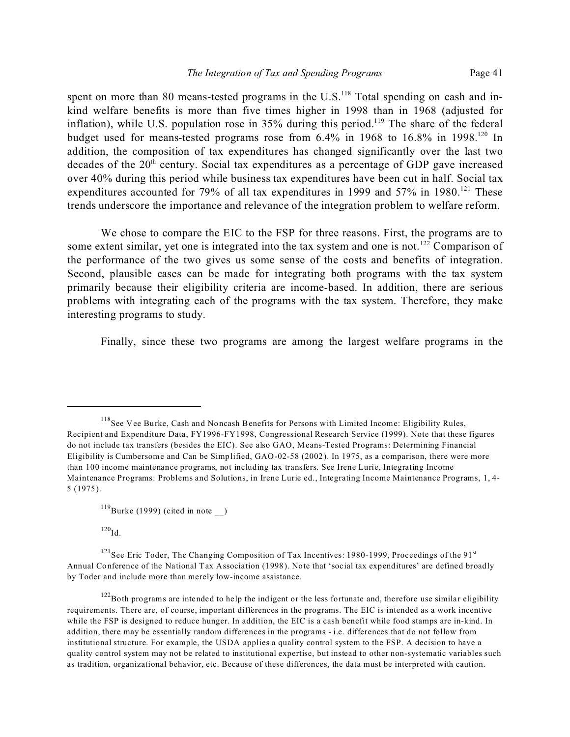spent on more than 80 means-tested programs in the  $U.S.<sup>118</sup>$  Total spending on cash and inkind welfare benefits is more than five times higher in 1998 than in 1968 (adjusted for inflation), while U.S. population rose in  $35\%$  during this period.<sup>119</sup> The share of the federal budget used for means-tested programs rose from  $6.4\%$  in 1968 to 16.8% in 1998.<sup>120</sup> In addition, the composition of tax expenditures has changed significantly over the last two decades of the  $20<sup>th</sup>$  century. Social tax expenditures as a percentage of GDP gave increased over 40% during this period while business tax expenditures have been cut in half. Social tax expenditures accounted for 79% of all tax expenditures in 1999 and 57% in 1980.<sup>121</sup> These trends underscore the importance and relevance of the integration problem to welfare reform.

We chose to compare the EIC to the FSP for three reasons. First, the programs are to some extent similar, yet one is integrated into the tax system and one is not.<sup>122</sup> Comparison of the performance of the two gives us some sense of the costs and benefits of integration. Second, plausible cases can be made for integrating both programs with the tax system primarily because their eligibility criteria are income-based. In addition, there are serious problems with integrating each of the programs with the tax system. Therefore, they make interesting programs to study.

Finally, since these two programs are among the largest welfare programs in the

 $^{120}\mathrm{Id}.$ 

<sup>&</sup>lt;sup>118</sup>See Vee Burke, Cash and Noncash Benefits for Persons with Limited Income: Eligibility Rules, Recipient and Expenditure Data, FY1996-FY1998, Congressional Research Service (1999). Note that these figures do not include tax transfers (besides the EIC). See also GAO, Means-Tested Programs: Determining Financial Eligibility is Cumbersome and Can be Simplified, GAO-02-58 (2002). In 1975, as a comparison, there were more than 100 income maintenance programs, not including tax transfers. See Irene Lurie, Integrating Income Maintenance Programs: Problems and Solutions, in Irene Lurie ed., Integrating Income Maintenance Programs, 1, 4- 5 (1975).

 $^{119}$ Burke (1999) (cited in note )

 $121$ See Eric Toder, The Changing Composition of Tax Incentives: 1980-1999, Proceedings of the 91<sup>st</sup> Annual Conference of the National Tax Association (1998). Note that 'social tax expenditures' are defined broadly by Toder and include more than merely low-income assistance.

 $122$ Both programs are intended to help the indigent or the less fortunate and, therefore use similar eligibility requirements. There are, of course, important differences in the programs. The EIC is intended as a work incentive while the FSP is designed to reduce hunger. In addition, the EIC is a cash benefit while food stamps are in-kind. In addition, there may be essentially random differences in the programs - i.e. differences that do not follow from institutional structure. For example, the USDA applies a quality control system to the FSP. A decision to have a quality control system may not be related to institutional expertise, but instead to other non-systematic variables such as tradition, organizational behavior, etc. Because of these differences, the data must be interpreted with caution.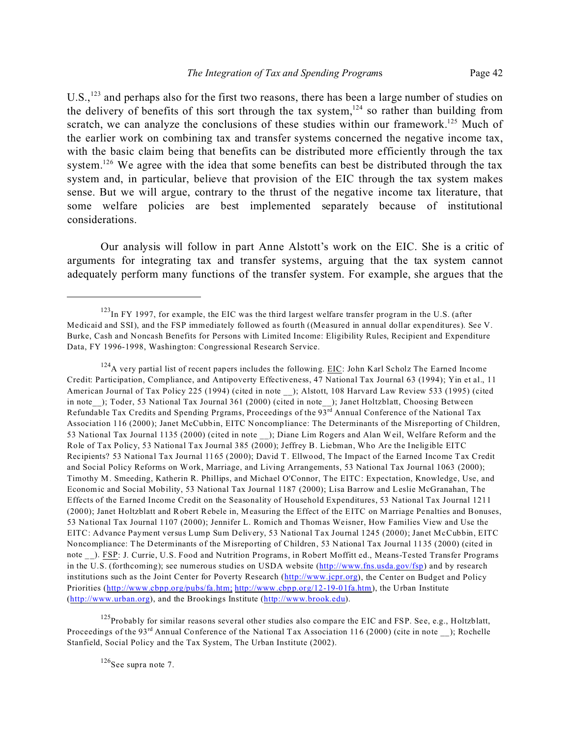U.S.,<sup>123</sup> and perhaps also for the first two reasons, there has been a large number of studies on the delivery of benefits of this sort through the tax system,<sup>124</sup> so rather than building from scratch, we can analyze the conclusions of these studies within our framework.<sup>125</sup> Much of the earlier work on combining tax and transfer systems concerned the negative income tax, with the basic claim being that benefits can be distributed more efficiently through the tax system.<sup>126</sup> We agree with the idea that some benefits can best be distributed through the tax system and, in particular, believe that provision of the EIC through the tax system makes sense. But we will argue, contrary to the thrust of the negative income tax literature, that some welfare policies are best implemented separately because of institutional considerations.

Our analysis will follow in part Anne Alstott's work on the EIC. She is a critic of arguments for integrating tax and transfer systems, arguing that the tax system cannot adequately perform many functions of the transfer system. For example, she argues that the

 $125$ Probably for similar reasons several other studies also compare the EIC and FSP. See, e.g., Holtzblatt, Proceedings of the 93<sup>rd</sup> Annual Conference of the National Tax Association 116 (2000) (cite in note ); Rochelle Stanfield, Social Policy and the Tax System, The Urban Institute (2002).

 $126$ See supra note 7.

<sup>&</sup>lt;sup>123</sup>In FY 1997, for example, the EIC was the third largest welfare transfer program in the U.S. (after Medicaid and SSI), and the FSP immediately followed as fourth ((Measured in annual dollar expenditures). See V. Burke, Cash and Noncash Benefits for Persons with Limited Income: Eligibility Rules, Recipient and Expenditure Data, FY 1996-1998, Washington: Congressional Research Service.

 $124$ A very partial list of recent papers includes the following. EIC: John Karl Scholz The Earned Income Credit: Participation, Compliance, and Antipoverty Effectiveness, 47 National Tax Journal 63 (1994); Yin et al., 11 American Journal of Tax Policy 225 (1994) (cited in note ); Alstott, 108 Harvard Law Review 533 (1995) (cited in note ); Toder, 53 National Tax Journal 361 (2000) (cited in note ); Janet Holtzblatt, Choosing Between Refundable Tax Credits and Spending Prgrams, Proceedings of the 93<sup>rd</sup> Annual Conference of the National Tax Association 116 (2000); Janet McCubbin, EITC Noncompliance: The Determinants of the Misreporting of Children, 53 National Tax Journal 1135 (2000) (cited in note ); Diane Lim Rogers and Alan Weil, Welfare Reform and the Role of Tax Policy, 53 National Tax Journal 385 (2000); Jeffrey B. Liebman, Who Are the Ineligible EITC Recipients? 53 National Tax Journal 1165 (2000); David T. Ellwood, The Impact of the Earned Income Tax Credit and Social Policy Reforms on Work, Marriage, and Living Arrangements, 53 National Tax Journal 1063 (2000); Timothy M. Smeeding, Katherin R. Phillips, and Michael O'Connor, The EITC: Expectation, Knowledge, Use, and Economic and Social Mobility, 53 National Tax Journal 1187 (2000); Lisa Barrow and Leslie McGranahan, The Effects of the Earned Income Credit on the Seasonality of Household Expenditures, 53 National Tax Journal 1211 (2000); Janet Holtzblatt and Robert Rebele in, Measuring the Effect of the EITC on Marriage Penalties and Bonuses, 53 National Tax Journal 1107 (2000); Jennifer L. Romich and Thomas Weisner, How Families View and Use the EITC: Advance Payment versus Lump Sum Delivery, 53 National Tax Journal 1245 (2000); Janet McCubbin, EITC Noncompliance: The Determinants of the Misreporting of Children, 53 National Tax Journal 1135 (2000) (cited in note ). FSP: J. Currie, U.S. Food and Nutrition Programs, in Robert Moffitt ed., Means-Tested Transfer Programs in the U.S. (forthcoming); see numerous studies on USDA website (http://www.fns.usda.gov/fsp) and by research institutions such as the Joint Center for Poverty Research (http://www.jcpr.org), the Center on Budget and Policy Priorities (http://www.cbpp.org/pubs/fa.htm; http://www.cbpp.org/12-19-01fa.htm), the Urban Institute (http://www.urban.org), and the Brookings Institute (http://www.brook.edu).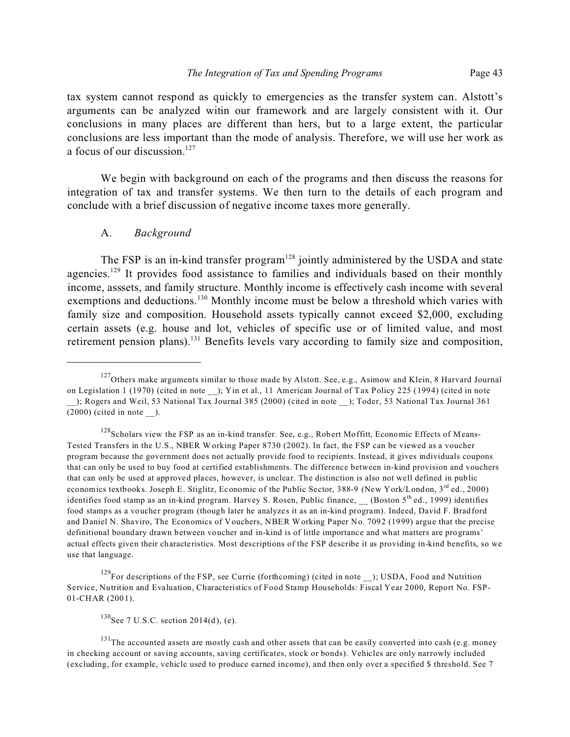tax system cannot respond as quickly to emergencies as the transfer system can. Alstott's arguments can be analyzed witin our framework and are largely consistent with it. Our conclusions in many places are different than hers, but to a large extent, the particular conclusions are less important than the mode of analysis. Therefore, we will use her work as a focus of our discussion.<sup>127</sup>

We begin with background on each of the programs and then discuss the reasons for integration of tax and transfer systems. We then turn to the details of each program and conclude with a brief discussion of negative income taxes more generally.

#### A. *Background*

The FSP is an in-kind transfer program<sup>128</sup> jointly administered by the USDA and state agencies.<sup>129</sup> It provides food assistance to families and individuals based on their monthly income, asssets, and family structure. Monthly income is effectively cash income with several exemptions and deductions.<sup>130</sup> Monthly income must be below a threshold which varies with family size and composition. Household assets typically cannot exceed \$2,000, excluding certain assets (e.g. house and lot, vehicles of specific use or of limited value, and most retirement pension plans).<sup>131</sup> Benefits levels vary according to family size and composition,

 $127$ Others make arguments similar to those made by Alstott. See, e.g., Asimow and Klein, 8 Harvard Journal on Legislation 1 (1970) (cited in note ); Yin et al., 11 American Journal of Tax Policy 225 (1994) (cited in note \_\_); Rogers and Weil, 53 National Tax Journal 385 (2000) (cited in note \_\_); Toder, 53 National Tax Journal 361  $(2000)$  (cited in note ).

<sup>&</sup>lt;sup>128</sup>Scholars view the FSP as an in-kind transfer. See, e.g., Robert Moffitt, Economic Effects of Means-Tested Transfers in the U.S., NBER W orking Paper 8730 (2002). In fact, the FSP can be viewed as a voucher program because the government does not actually provide food to recipients. Instead, it gives individuals coupons that can only be used to buy food at certified establishments. The difference between in-kind provision and vouchers that can only be used at approved places, however, is unclear. The distinction is also not well defined in public economics textbooks. Joseph E. Stiglitz, Economic of the Public Sector, 388-9 (New York/London, 3rd ed., 2000) identifies food stamp as an in-kind program. Harvey S. Rosen, Public finance,  $($ Boston 5<sup>th</sup> ed., 1999) identifies food stamps as a voucher program (though later he analyzes it as an in-kind program). Indeed, David F. Bradford and Daniel N. Shaviro, The Economics of Vouchers, NBER Working Paper No. 7092 (1999) argue that the precise definitional boundary drawn between voucher and in-kind is of little importance and what matters are programs' actual effects given their characteristics. Most descriptions of the FSP describe it as providing in-kind benefits, so we use that language.

<sup>&</sup>lt;sup>129</sup>For descriptions of the FSP, see Currie (forthcoming) (cited in note \_\_); USDA, Food and Nutrition Service, Nutrition and Evaluation, Characteristics of Food Stamp Households: Fiscal Year 2000, Report No. FSP-01-CHAR (2001).

 $^{130}$ See 7 U.S.C. section 2014(d), (e).

<sup>&</sup>lt;sup>131</sup>The accounted assets are mostly cash and other assets that can be easily converted into cash (e.g. money in checking account or saving accounts, saving certificates, stock or bonds). Vehicles are only narrowly included (excluding, for example, vehicle used to produce earned income), and then only over a specified \$ threshold. See 7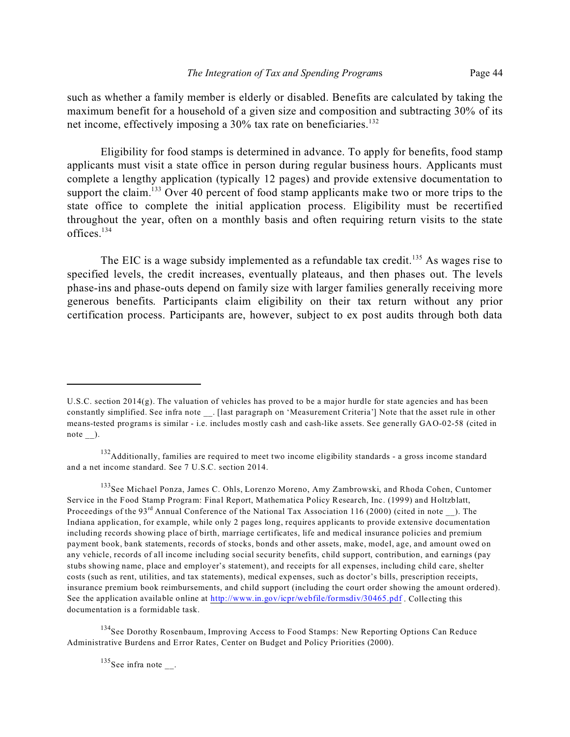such as whether a family member is elderly or disabled. Benefits are calculated by taking the maximum benefit for a household of a given size and composition and subtracting 30% of its net income, effectively imposing a 30% tax rate on beneficiaries.<sup>132</sup>

Eligibility for food stamps is determined in advance. To apply for benefits, food stamp applicants must visit a state office in person during regular business hours. Applicants must complete a lengthy application (typically 12 pages) and provide extensive documentation to support the claim.<sup>133</sup> Over 40 percent of food stamp applicants make two or more trips to the state office to complete the initial application process. Eligibility must be recertified throughout the year, often on a monthly basis and often requiring return visits to the state offices.<sup>134</sup>

The EIC is a wage subsidy implemented as a refundable tax credit.<sup>135</sup> As wages rise to specified levels, the credit increases, eventually plateaus, and then phases out. The levels phase-ins and phase-outs depend on family size with larger families generally receiving more generous benefits. Participants claim eligibility on their tax return without any prior certification process. Participants are, however, subject to ex post audits through both data

<sup>134</sup>See Dorothy Rosenbaum, Improving Access to Food Stamps: New Reporting Options Can Reduce Administrative Burdens and Error Rates, Center on Budget and Policy Priorities (2000).

 $135$ See infra note \_\_.

U.S.C. section 2014(g). The valuation of vehicles has proved to be a major hurdle for state agencies and has been constantly simplified. See infra note \_\_. [last paragraph on 'Measurement Criteria'] Note that the asset rule in other means-tested programs is similar - i.e. includes mostly cash and cash-like assets. See generally GAO-02-58 (cited in note ).

 $132$  Additionally, families are required to meet two income eligibility standards - a gross income standard and a net income standard. See 7 U.S.C. section 2014.

<sup>133</sup> See Michael Ponza, James C. Ohls, Lorenzo Moreno, Amy Zambrowski, and Rhoda Cohen, Cuntomer Service in the Food Stamp Program: Final Report, Mathematica Policy Research, Inc. (1999) and Holtzblatt, Proceedings of the 93<sup>rd</sup> Annual Conference of the National Tax Association 116 (2000) (cited in note ). The Indiana application, for example, while only 2 pages long, requires applicants to provide extensive documentation including records showing place of birth, marriage certificates, life and medical insurance policies and premium payment book, bank statements, records of stocks, bonds and other assets, make, model, age, and amount owed on any vehicle, records of all income including social security benefits, child support, contribution, and earnings (pay stubs showing name, place and employer's statement), and receipts for all expenses, including child care, shelter costs (such as rent, utilities, and tax statements), medical expenses, such as doctor's bills, prescription receipts, insurance premium book reimbursements, and child support (including the court order showing the amount ordered). See the application available online at http://www.in.gov/icpr/webfile/formsdiv/30465.pdf. Collecting this documentation is a formidable task.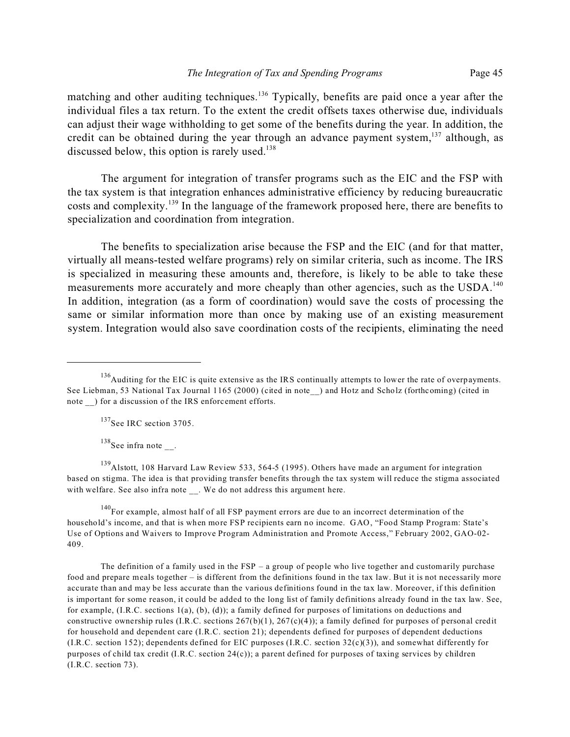matching and other auditing techniques.<sup>136</sup> Typically, benefits are paid once a year after the individual files a tax return. To the extent the credit offsets taxes otherwise due, individuals can adjust their wage withholding to get some of the benefits during the year. In addition, the credit can be obtained during the year through an advance payment system, $137$  although, as discussed below, this option is rarely used.<sup>138</sup>

The argument for integration of transfer programs such as the EIC and the FSP with the tax system is that integration enhances administrative efficiency by reducing bureaucratic costs and complexity.<sup>139</sup> In the language of the framework proposed here, there are benefits to specialization and coordination from integration.

The benefits to specialization arise because the FSP and the EIC (and for that matter, virtually all means-tested welfare programs) rely on similar criteria, such as income. The IRS is specialized in measuring these amounts and, therefore, is likely to be able to take these measurements more accurately and more cheaply than other agencies, such as the USDA.<sup>140</sup> In addition, integration (as a form of coordination) would save the costs of processing the same or similar information more than once by making use of an existing measurement system. Integration would also save coordination costs of the recipients, eliminating the need

<sup>137</sup>See IRC section 3705.

 $138$ See infra note.

<sup>139</sup>Alstott, 108 Harvard Law Review 533, 564-5 (1995). Others have made an argument for integration based on stigma. The idea is that providing transfer benefits through the tax system will reduce the stigma associated with welfare. See also infra note . We do not address this argument here.

 $140$ For example, almost half of all FSP payment errors are due to an incorrect determination of the household's income, and that is when more FSP recipients earn no income. GAO, "Food Stamp Program: State's Use of Options and Waivers to Improve Program Administration and Promote Access," February 2002, GAO-02- 409.

The definition of a family used in the  $FSP - a$  group of people who live together and customarily purchase food and prepare meals together – is different from the definitions found in the tax law. But it is not necessarily more accurate than and may be less accurate than the various definitions found in the tax law. Moreover, if this definition is important for some reason, it could be added to the long list of family definitions already found in the tax law. See, for example, (I.R.C. sections 1(a), (b), (d)); a family defined for purposes of limitations on deductions and constructive ownership rules (I.R.C. sections  $267(b)(1)$ ,  $267(c)(4)$ ); a family defined for purposes of personal credit for household and dependent care (I.R.C. section 21); dependents defined for purposes of dependent deductions (I.R.C. section 152); dependents defined for EIC purposes (I.R.C. section 32(c)(3)), and somewhat differently for purposes of child tax credit (I.R.C. section 24(c)); a parent defined for purposes of taxing services by children (I.R.C. section 73).

<sup>&</sup>lt;sup>136</sup>Auditing for the EIC is quite extensive as the IRS continually attempts to lower the rate of overpayments. See Liebman, 53 National Tax Journal 1165 (2000) (cited in note ) and Hotz and Scholz (forthcoming) (cited in note ) for a discussion of the IRS enforcement efforts.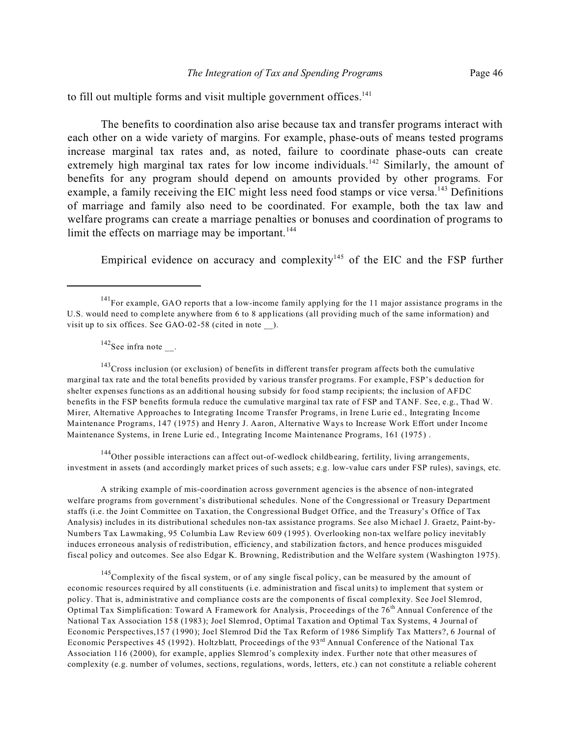to fill out multiple forms and visit multiple government offices.<sup>141</sup>

The benefits to coordination also arise because tax and transfer programs interact with each other on a wide variety of margins. For example, phase-outs of means tested programs increase marginal tax rates and, as noted, failure to coordinate phase-outs can create extremely high marginal tax rates for low income individuals.<sup>142</sup> Similarly, the amount of benefits for any program should depend on amounts provided by other programs. For example, a family receiving the EIC might less need food stamps or vice versa.<sup>143</sup> Definitions of marriage and family also need to be coordinated. For example, both the tax law and welfare programs can create a marriage penalties or bonuses and coordination of programs to limit the effects on marriage may be important. $144$ 

Empirical evidence on accuracy and complexity<sup>145</sup> of the EIC and the FSP further

 $142$ See infra note.

<sup>143</sup>Cross inclusion (or exclusion) of benefits in different transfer program affects both the cumulative marginal tax rate and the total benefits provided by various transfer programs. For example, FSP's deduction for shelter expenses functions as an additional housing subsidy for food stamp recipients; the inclusion of AFDC benefits in the FSP benefits formula reduce the cumulative marginal tax rate of FSP and TANF. See, e.g., Thad W. Mirer, Alternative Approaches to Integrating Income Transfer Programs, in Irene Lurie ed., Integrating Income Maintenance Programs, 147 (1975) and Henry J. Aaron, Alternative Ways to Increase Work Effort under Income Maintenance Systems, in Irene Lurie ed., Integrating Income Maintenance Programs, 161 (1975) .

<sup>144</sup>Other possible interactions can affect out-of-wedlock childbearing, fertility, living arrangements, investment in assets (and accordingly market prices of such assets; e.g. low-value cars under FSP rules), savings, etc.

A striking example of mis-coordination across government agencies is the absence of non-integrated welfare programs from government's distributional schedules. None of the Congressional or Treasury Department staffs (i.e. the Joint Committee on Taxation, the Congressional Budget Office, and the Treasury's Office of Tax Analysis) includes in its distributional schedules non-tax assistance programs. See also M ichael J. Graetz, Paint-by-Numbers Tax Lawmaking, 95 Columbia Law Review 609 (1995). Overlooking non-tax welfare policy inevitably induces erroneous analysis of redistribution, efficiency, and stabilization factors, and hence produces misguided fiscal policy and outcomes. See also Edgar K. Browning, Redistribution and the Welfare system (Washington 1975).

<sup>145</sup>Complexity of the fiscal system, or of any single fiscal policy, can be measured by the amount of economic resources required by all constituents (i.e. administration and fiscal units) to implement that system or policy. That is, administrative and compliance costs are the components of fiscal complexity. See Joel Slemrod, Optimal Tax Simplification: Toward A Framework for Analysis, Proceedings of the 76<sup>th</sup> Annual Conference of the National Tax Association 158 (1983); Joel Slemrod, Optimal Taxation and Optimal Tax Systems, 4 Journal of Economic Perspectives,157 (1990); Joel Slemrod Did the Tax Reform of 1986 Simplify Tax Matters?, 6 Journal of Economic Perspectives 45 (1992). Holtzblatt, Proceedings of the 93rd Annual Conference of the National Tax Association 116 (2000), for example, applies Slemrod's complexity index. Further note that other measures of complexity (e.g. number of volumes, sections, regulations, words, letters, etc.) can not constitute a reliable coherent

<sup>&</sup>lt;sup>141</sup>For example, GAO reports that a low-income family applying for the 11 major assistance programs in the U.S. would need to complete anywhere from 6 to 8 applications (all providing much of the same information) and visit up to six offices. See GAO-02-58 (cited in note ).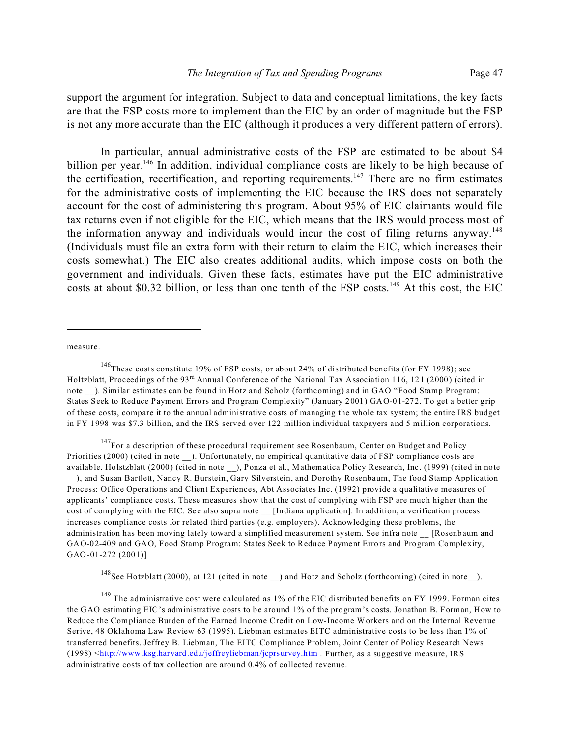support the argument for integration. Subject to data and conceptual limitations, the key facts are that the FSP costs more to implement than the EIC by an order of magnitude but the FSP is not any more accurate than the EIC (although it produces a very different pattern of errors).

In particular, annual administrative costs of the FSP are estimated to be about \$4 billion per year.<sup>146</sup> In addition, individual compliance costs are likely to be high because of the certification, recertification, and reporting requirements.<sup>147</sup> There are no firm estimates for the administrative costs of implementing the EIC because the IRS does not separately account for the cost of administering this program. About 95% of EIC claimants would file tax returns even if not eligible for the EIC, which means that the IRS would process most of the information anyway and individuals would incur the cost of filing returns anyway.<sup>148</sup> (Individuals must file an extra form with their return to claim the EIC, which increases their costs somewhat.) The EIC also creates additional audits, which impose costs on both the government and individuals. Given these facts, estimates have put the EIC administrative costs at about \$0.32 billion, or less than one tenth of the FSP costs.<sup>149</sup> At this cost, the EIC

measure.

<sup>146</sup>These costs constitute 19% of FSP costs, or about 24% of distributed benefits (for FY 1998); see Holtzblatt, Proceedings of the 93rd Annual Conference of the National Tax Association 116, 121 (2000) (cited in note ). Similar estimates can be found in Hotz and Scholz (forthcoming) and in GAO "Food Stamp Program: States Seek to Reduce Payment Errors and Program Complexity" (January 2001) GAO-01-272. To get a better grip of these costs, compare it to the annual administrative costs of managing the whole tax system; the entire IRS budget in FY 1998 was \$7.3 billion, and the IRS served over 122 million individual taxpayers and 5 million corporations.

 $147$  For a description of these procedural requirement see Rosenbaum, Center on Budget and Policy Priorities (2000) (cited in note ). Unfortunately, no empirical quantitative data of FSP compliance costs are available. Holstzblatt (2000) (cited in note \_\_), Ponza et al., Mathematica Policy Research, Inc. (1999) (cited in note \_\_), and Susan Bartlett, Nancy R. Burstein, Gary Silverstein, and Dorothy Rosenbaum, The food Stamp Application Process: Office Operations and Client Experiences, Abt Associates Inc. (1992) provide a qualitative measures of applicants' compliance costs. These measures show that the cost of complying with FSP are much higher than the cost of complying with the EIC. See also supra note [Indiana application]. In addition, a verification process increases compliance costs for related third parties (e.g. employers). Acknowledging these problems, the administration has been moving lately toward a simplified measurement system. See infra note [Rosenbaum and GAO-02-409 and GAO, Food Stamp Program: States Seek to Reduce Payment Errors and Program Complexity, GAO-01-272 (2001)]

<sup>148</sup>See Hotzblatt (2000), at 121 (cited in note) and Hotz and Scholz (forthcoming) (cited in note).

 $149$  The administrative cost were calculated as 1% of the EIC distributed benefits on FY 1999. Forman cites the GAO estimating EIC's administrative costs to be around 1% of the program's costs. Jonathan B. Forman, How to Reduce the Compliance Burden of the Earned Income Credit on Low-Income Workers and on the Internal Revenue Serive, 48 Oklahoma Law Review 63 (1995). Liebman estimates EITC administrative costs to be less than 1% of transferred benefits. Jeffrey B. Liebman, The EITC Compliance Problem, Joint Center of Policy Research News (1998) <http://www.ksg.harvard.edu/jeffreyliebman/jcprsurvey.htm . Further, as a suggestive measure, IRS administrative costs of tax collection are around 0.4% of collected revenue.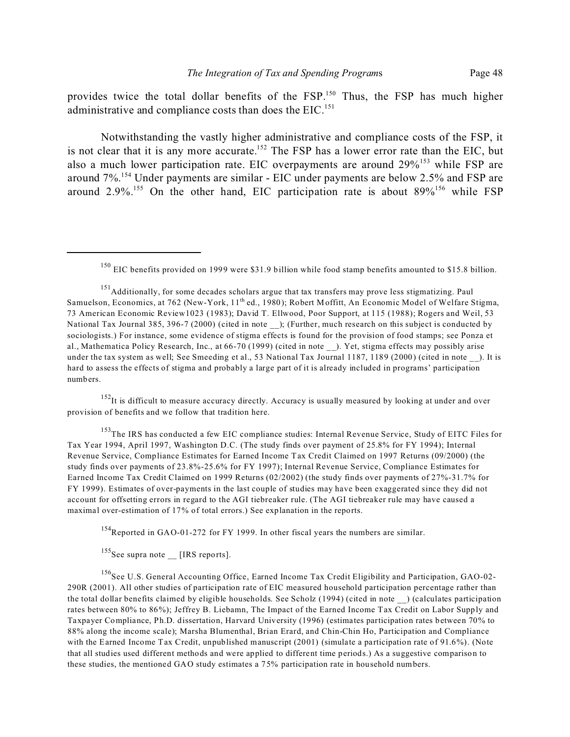provides twice the total dollar benefits of the FSP.<sup>150</sup> Thus, the FSP has much higher administrative and compliance costs than does the  $EIC$ <sup>151</sup>

Notwithstanding the vastly higher administrative and compliance costs of the FSP, it is not clear that it is any more accurate.<sup>152</sup> The FSP has a lower error rate than the EIC, but also a much lower participation rate. EIC overpayments are around 29%<sup>153</sup> while FSP are around 7%.<sup>154</sup> Under payments are similar - EIC under payments are below 2.5% and FSP are around  $2.9\%$ <sup>155</sup> On the other hand, EIC participation rate is about  $89\%$ <sup>156</sup> while FSP

<sup>152</sup>It is difficult to measure accuracy directly. Accuracy is usually measured by looking at under and over provision of benefits and we follow that tradition here.

<sup>153</sup>The IRS has conducted a few EIC compliance studies: Internal Revenue Service, Study of EITC Files for Tax Year 1994, April 1997, Washington D.C. (The study finds over payment of 25.8% for FY 1994); Internal Revenue Service, Compliance Estimates for Earned Income Tax Credit Claimed on 1997 Returns (09/2000) (the study finds over payments of 23.8%-25.6% for FY 1997); Internal Revenue Service, Compliance Estimates for Earned Income Tax Credit Claimed on 1999 Returns (02/2002) (the study finds over payments of 27%-31.7% for FY 1999). Estimates of over-payments in the last couple of studies may have been exaggerated since they did not account for offsetting errors in regard to the AGI tiebreaker rule. (The AGI tiebreaker rule may have caused a maximal over-estimation of 17% of total errors.) See explanation in the reports.

<sup>154</sup>Reported in GAO-01-272 for FY 1999. In other fiscal years the numbers are similar.

 $155$ See supra note \_\_ [IRS reports].

<sup>156</sup>See U.S. General Accounting Office, Earned Income Tax Credit Eligibility and Participation, GAO-02-290R (2001). All other studies of participation rate of EIC measured household participation percentage rather than the total dollar benefits claimed by eligible households. See Scholz (1994) (cited in note \_\_) (calculates participation rates between 80% to 86%); Jeffrey B. Liebamn, The Impact of the Earned Income Tax Credit on Labor Supply and Taxpayer Compliance, Ph.D. dissertation, Harvard University (1996) (estimates participation rates between 70% to 88% along the income scale); Marsha Blumenthal, Brian Erard, and Chin-Chin Ho, Participation and Compliance with the Earned Income Tax Credit, unpublished manuscript (2001) (simulate a participation rate of 91.6%). (Note that all studies used different methods and were applied to different time periods.) As a suggestive comparison to these studies, the mentioned GAO study estimates a 75% participation rate in household numbers.

<sup>&</sup>lt;sup>150</sup> EIC benefits provided on 1999 were \$31.9 billion while food stamp benefits amounted to \$15.8 billion.

<sup>&</sup>lt;sup>151</sup>Additionally, for some decades scholars argue that tax transfers may prove less stigmatizing. Paul Samuelson, Economics, at 762 (New-York, 11<sup>th</sup> ed., 1980); Robert Moffitt, An Economic Model of Welfare Stigma, 73 American Economic Review1023 (1983); David T. Ellwood, Poor Support, at 115 (1988); Rogers and Weil, 53 National Tax Journal 385, 396-7 (2000) (cited in note ); (Further, much research on this subject is conducted by sociologists.) For instance, some evidence of stigma effects is found for the provision of food stamps; see Ponza et al., Mathematica Policy Research, Inc., at 66-70 (1999) (cited in note ). Yet, stigma effects may possibly arise under the tax system as well; See Smeeding et al., 53 National Tax Journal 1187, 1189 (2000) (cited in note ). It is hard to assess the effects of stigma and probably a large part of it is already included in programs' participation numbers.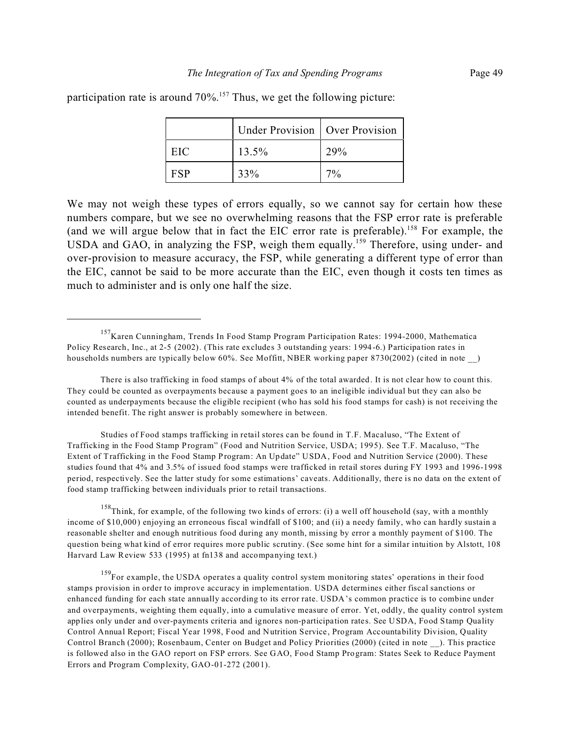participation rate is around 70%.<sup>157</sup> Thus, we get the following picture:

|     | Under Provision   Over Provision |     |
|-----|----------------------------------|-----|
| EIC | 13.5%                            | 29% |
| FSP | 33%                              | 70/ |

We may not weigh these types of errors equally, so we cannot say for certain how these numbers compare, but we see no overwhelming reasons that the FSP error rate is preferable (and we will argue below that in fact the EIC error rate is preferable).<sup>158</sup> For example, the USDA and GAO, in analyzing the FSP, weigh them equally.<sup>159</sup> Therefore, using under- and over-provision to measure accuracy, the FSP, while generating a different type of error than the EIC, cannot be said to be more accurate than the EIC, even though it costs ten times as much to administer and is only one half the size.

Studies of Food stamps trafficking in retail stores can be found in T.F. Macaluso, "The Extent of Trafficking in the Food Stamp Program" (Food and Nutrition Service, USDA; 1995). See T.F. Macaluso, "The Extent of Trafficking in the Food Stamp Program: An Update" USDA, Food and Nutrition Service (2000). These studies found that 4% and 3.5% of issued food stamps were trafficked in retail stores during FY 1993 and 1996-1998 period, respectively. See the latter study for some estimations' caveats. Additionally, there is no data on the extent of food stamp trafficking between individuals prior to retail transactions.

<sup>158</sup>Think, for example, of the following two kinds of errors: (i) a well off household (say, with a monthly income of \$10,000) enjoying an erroneous fiscal windfall of \$100; and (ii) a needy family, who can hardly sustain a reasonable shelter and enough nutritious food during any month, missing by error a monthly payment of \$100. The question being what kind of error requires more public scrutiny. (See some hint for a similar intuition by Alstott, 108 Harvard Law Review 533 (1995) at fn138 and accompanying text.)

<sup>159</sup>For example, the USDA operates a quality control system monitoring states' operations in their food stamps provision in order to improve accuracy in implementation. USDA determines either fiscal sanctions or enhanced funding for each state annually according to its error rate. USDA's common practice is to combine under and overpayments, weighting them equally, into a cumulative measure of error. Yet, oddly, the quality control system applies only under and over-payments criteria and ignores non-participation rates. See USDA, Food Stamp Quality Control Annual Report; Fiscal Year 1998, Food and Nutrition Service, Program Accountability Division, Quality Control Branch (2000); Rosenbaum, Center on Budget and Policy Priorities (2000) (cited in note ). This practice is followed also in the GAO report on FSP errors. See GAO, Food Stamp Program: States Seek to Reduce Payment Errors and Program Complexity, GAO-01-272 (2001).

<sup>157</sup>Karen Cunningham, Trends In Food Stamp Program Participation Rates: 1994-2000, Mathematica Policy Research, Inc., at 2-5 (2002). (This rate excludes 3 outstanding years: 1994-6.) Participation rates in households numbers are typically below 60%. See Moffitt, NBER working paper 8730(2002) (cited in note )

There is also trafficking in food stamps of about 4% of the total awarded. It is not clear how to count this. They could be counted as overpayments because a payment goes to an ineligible individual but they can also be counted as underpayments because the eligible recipient (who has sold his food stamps for cash) is not receiving the intended benefit. The right answer is probably somewhere in between.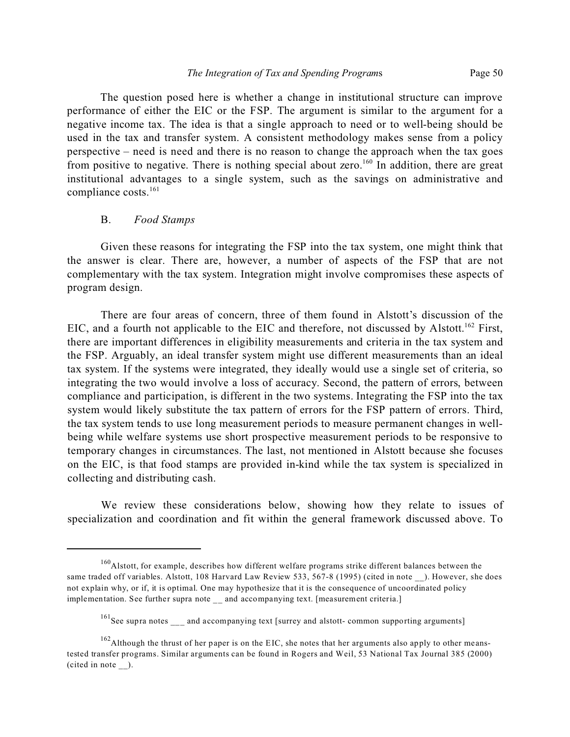The question posed here is whether a change in institutional structure can improve performance of either the EIC or the FSP. The argument is similar to the argument for a negative income tax. The idea is that a single approach to need or to well-being should be used in the tax and transfer system. A consistent methodology makes sense from a policy perspective – need is need and there is no reason to change the approach when the tax goes from positive to negative. There is nothing special about zero.<sup>160</sup> In addition, there are great institutional advantages to a single system, such as the savings on administrative and compliance costs.<sup>161</sup>

#### B. *Food Stamps*

Given these reasons for integrating the FSP into the tax system, one might think that the answer is clear. There are, however, a number of aspects of the FSP that are not complementary with the tax system. Integration might involve compromises these aspects of program design.

There are four areas of concern, three of them found in Alstott's discussion of the EIC, and a fourth not applicable to the EIC and therefore, not discussed by Alstott.<sup>162</sup> First, there are important differences in eligibility measurements and criteria in the tax system and the FSP. Arguably, an ideal transfer system might use different measurements than an ideal tax system. If the systems were integrated, they ideally would use a single set of criteria, so integrating the two would involve a loss of accuracy. Second, the pattern of errors, between compliance and participation, is different in the two systems. Integrating the FSP into the tax system would likely substitute the tax pattern of errors for the FSP pattern of errors. Third, the tax system tends to use long measurement periods to measure permanent changes in wellbeing while welfare systems use short prospective measurement periods to be responsive to temporary changes in circumstances. The last, not mentioned in Alstott because she focuses on the EIC, is that food stamps are provided in-kind while the tax system is specialized in collecting and distributing cash.

We review these considerations below, showing how they relate to issues of specialization and coordination and fit within the general framework discussed above. To

<sup>160</sup>Alstott, for example, describes how different welfare programs strike different balances between the same traded off variables. Alstott, 108 Harvard Law Review 533, 567-8 (1995) (cited in note ). However, she does not explain why, or if, it is optimal. One may hypothesize that it is the consequence of uncoordinated policy implementation. See further supra note and accompanying text. [measurement criteria.]

<sup>&</sup>lt;sup>161</sup>See supra notes and accompanying text [surrey and alstott- common supporting arguments]

 $162$ Although the thrust of her paper is on the EIC, she notes that her arguments also apply to other meanstested transfer programs. Similar arguments can be found in Rogers and Weil, 53 National Tax Journal 385 (2000) (cited in note \_\_).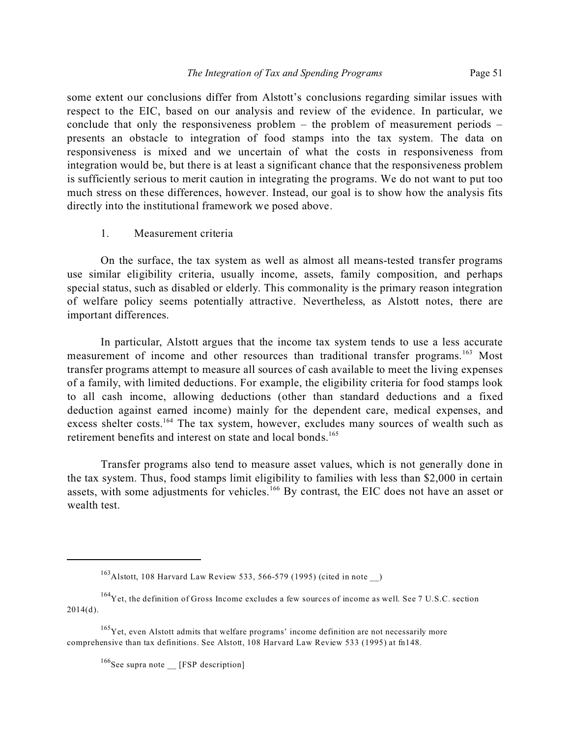some extent our conclusions differ from Alstott's conclusions regarding similar issues with respect to the EIC, based on our analysis and review of the evidence. In particular, we conclude that only the responsiveness problem – the problem of measurement periods – presents an obstacle to integration of food stamps into the tax system. The data on responsiveness is mixed and we uncertain of what the costs in responsiveness from integration would be, but there is at least a significant chance that the responsiveness problem is sufficiently serious to merit caution in integrating the programs. We do not want to put too much stress on these differences, however. Instead, our goal is to show how the analysis fits directly into the institutional framework we posed above.

1. Measurement criteria

On the surface, the tax system as well as almost all means-tested transfer programs use similar eligibility criteria, usually income, assets, family composition, and perhaps special status, such as disabled or elderly. This commonality is the primary reason integration of welfare policy seems potentially attractive. Nevertheless, as Alstott notes, there are important differences.

In particular, Alstott argues that the income tax system tends to use a less accurate measurement of income and other resources than traditional transfer programs.<sup>163</sup> Most transfer programs attempt to measure all sources of cash available to meet the living expenses of a family, with limited deductions. For example, the eligibility criteria for food stamps look to all cash income, allowing deductions (other than standard deductions and a fixed deduction against earned income) mainly for the dependent care, medical expenses, and excess shelter costs.<sup>164</sup> The tax system, however, excludes many sources of wealth such as retirement benefits and interest on state and local bonds.<sup>165</sup>

Transfer programs also tend to measure asset values, which is not generally done in the tax system. Thus, food stamps limit eligibility to families with less than \$2,000 in certain assets, with some adjustments for vehicles.<sup>166</sup> By contrast, the EIC does not have an asset or wealth test.

 $^{163}$ Alstott, 108 Harvard Law Review 533, 566-579 (1995) (cited in note )

<sup>&</sup>lt;sup>164</sup>Yet, the definition of Gross Income excludes a few sources of income as well. See 7 U.S.C. section 2014(d).

 $165$  Yet, even Alstott admits that welfare programs' income definition are not necessarily more comprehensive than tax definitions. See Alstott, 108 Harvard Law Review 533 (1995) at fn148.

 $166$ See supra note \_\_ [FSP description]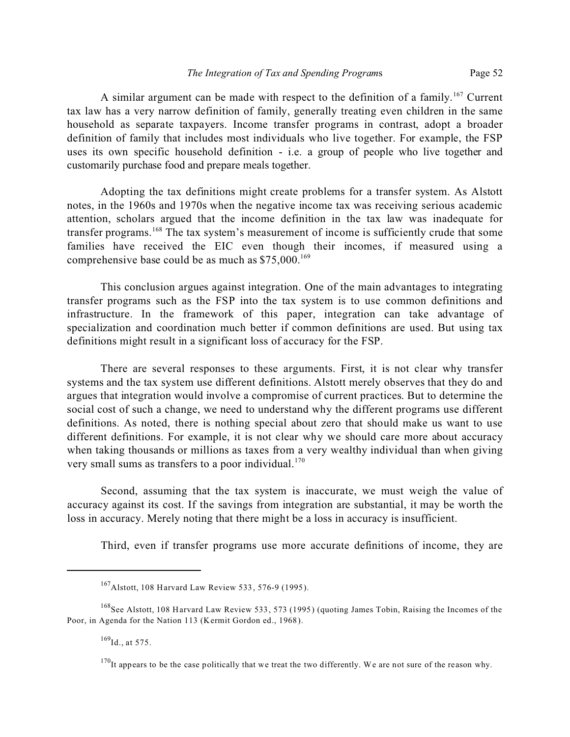A similar argument can be made with respect to the definition of a family.<sup>167</sup> Current tax law has a very narrow definition of family, generally treating even children in the same household as separate taxpayers. Income transfer programs in contrast, adopt a broader definition of family that includes most individuals who live together. For example, the FSP uses its own specific household definition - i.e. a group of people who live together and customarily purchase food and prepare meals together.

Adopting the tax definitions might create problems for a transfer system. As Alstott notes, in the 1960s and 1970s when the negative income tax was receiving serious academic attention, scholars argued that the income definition in the tax law was inadequate for transfer programs.<sup>168</sup> The tax system's measurement of income is sufficiently crude that some families have received the EIC even though their incomes, if measured using a comprehensive base could be as much as  $$75,000$ .<sup>169</sup>

This conclusion argues against integration. One of the main advantages to integrating transfer programs such as the FSP into the tax system is to use common definitions and infrastructure. In the framework of this paper, integration can take advantage of specialization and coordination much better if common definitions are used. But using tax definitions might result in a significant loss of accuracy for the FSP.

There are several responses to these arguments. First, it is not clear why transfer systems and the tax system use different definitions. Alstott merely observes that they do and argues that integration would involve a compromise of current practices. But to determine the social cost of such a change, we need to understand why the different programs use different definitions. As noted, there is nothing special about zero that should make us want to use different definitions. For example, it is not clear why we should care more about accuracy when taking thousands or millions as taxes from a very wealthy individual than when giving very small sums as transfers to a poor individual.<sup>170</sup>

Second, assuming that the tax system is inaccurate, we must weigh the value of accuracy against its cost. If the savings from integration are substantial, it may be worth the loss in accuracy. Merely noting that there might be a loss in accuracy is insufficient.

Third, even if transfer programs use more accurate definitions of income, they are

<sup>167</sup>Alstott, 108 Harvard Law Review 533, 576-9 (1995).

<sup>&</sup>lt;sup>168</sup>See Alstott, 108 Harvard Law Review 533, 573 (1995) (quoting James Tobin, Raising the Incomes of the Poor, in Agenda for the Nation 113 (Kermit Gordon ed., 1968).

 $169$ Id., at 575.

<sup>&</sup>lt;sup>170</sup>It appears to be the case politically that we treat the two differently. We are not sure of the reason why.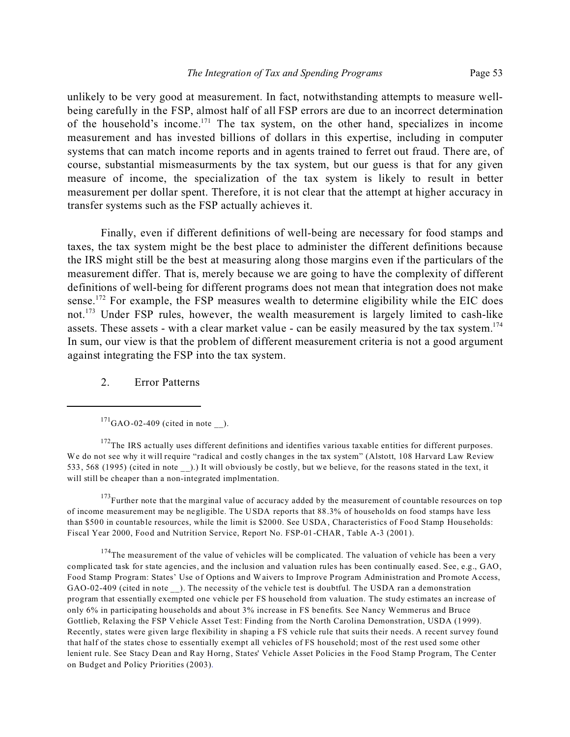unlikely to be very good at measurement. In fact, notwithstanding attempts to measure wellbeing carefully in the FSP, almost half of all FSP errors are due to an incorrect determination of the household's income.<sup>171</sup> The tax system, on the other hand, specializes in income measurement and has invested billions of dollars in this expertise, including in computer systems that can match income reports and in agents trained to ferret out fraud. There are, of course, substantial mismeasurments by the tax system, but our guess is that for any given measure of income, the specialization of the tax system is likely to result in better measurement per dollar spent. Therefore, it is not clear that the attempt at higher accuracy in transfer systems such as the FSP actually achieves it.

Finally, even if different definitions of well-being are necessary for food stamps and taxes, the tax system might be the best place to administer the different definitions because the IRS might still be the best at measuring along those margins even if the particulars of the measurement differ. That is, merely because we are going to have the complexity of different definitions of well-being for different programs does not mean that integration does not make sense.<sup>172</sup> For example, the FSP measures wealth to determine eligibility while the EIC does not.<sup>173</sup> Under FSP rules, however, the wealth measurement is largely limited to cash-like assets. These assets - with a clear market value - can be easily measured by the tax system.<sup>174</sup> In sum, our view is that the problem of different measurement criteria is not a good argument against integrating the FSP into the tax system.

### 2. Error Patterns

<sup>172</sup>The IRS actually uses different definitions and identifies various taxable entities for different purposes. We do not see why it will require "radical and costly changes in the tax system" (Alstott, 108 Harvard Law Review 533, 568 (1995) (cited in note \_\_).) It will obviously be costly, but we believe, for the reasons stated in the text, it will still be cheaper than a non-integrated implmentation.

<sup>173</sup>Further note that the marginal value of accuracy added by the measurement of countable resources on top of income measurement may be negligible. The USDA reports that 88.3% of households on food stamps have less than \$500 in countable resources, while the limit is \$2000. See USDA, Characteristics of Food Stamp Households: Fiscal Year 2000, Food and Nutrition Service, Report No. FSP-01-CHAR, Table A-3 (2001).

 $174$ The measurement of the value of vehicles will be complicated. The valuation of vehicle has been a very complicated task for state agencies, and the inclusion and valuation rules has been continually eased. See, e.g., GAO, Food Stamp Program: States' Use of Options and Waivers to Improve Program Administration and Promote Access, GAO-02-409 (cited in note \_\_). The necessity of the vehicle test is doubtful. The USDA ran a demonstration program that essentially exempted one vehicle per FS household from valuation. The study estimates an increase of only 6% in participating households and about 3% increase in FS benefits. See Nancy Wemmerus and Bruce Gottlieb, Relaxing the FSP Vehicle Asset Test: Finding from the North Carolina Demonstration, USDA (1999). Recently, states were given large flexibility in shaping a FS vehicle rule that suits their needs. A recent survey found that half of the states chose to essentially exempt all vehicles of FS household; most of the rest used some other lenient rule. See Stacy Dean and Ray Horng, States' Vehicle Asset Policies in the Food Stamp Program, The Center on Budget and Policy Priorities (2003).

 $^{171}$ GAO-02-409 (cited in note).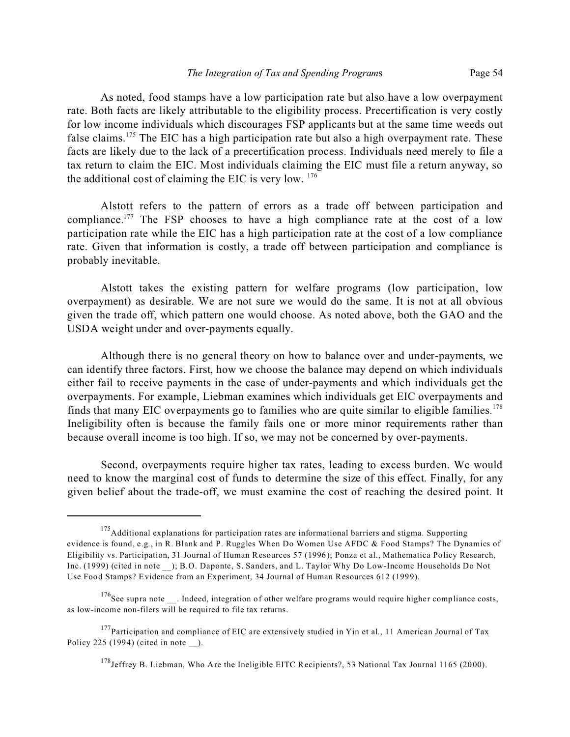As noted, food stamps have a low participation rate but also have a low overpayment rate. Both facts are likely attributable to the eligibility process. Precertification is very costly for low income individuals which discourages FSP applicants but at the same time weeds out false claims.<sup>175</sup> The EIC has a high participation rate but also a high overpayment rate. These facts are likely due to the lack of a precertification process. Individuals need merely to file a tax return to claim the EIC. Most individuals claiming the EIC must file a return anyway, so the additional cost of claiming the EIC is very low.  $176$ 

Alstott refers to the pattern of errors as a trade off between participation and compliance.<sup>177</sup> The FSP chooses to have a high compliance rate at the cost of a low participation rate while the EIC has a high participation rate at the cost of a low compliance rate. Given that information is costly, a trade off between participation and compliance is probably inevitable.

Alstott takes the existing pattern for welfare programs (low participation, low overpayment) as desirable. We are not sure we would do the same. It is not at all obvious given the trade off, which pattern one would choose. As noted above, both the GAO and the USDA weight under and over-payments equally.

Although there is no general theory on how to balance over and under-payments, we can identify three factors. First, how we choose the balance may depend on which individuals either fail to receive payments in the case of under-payments and which individuals get the overpayments. For example, Liebman examines which individuals get EIC overpayments and finds that many EIC overpayments go to families who are quite similar to eligible families.<sup>178</sup> Ineligibility often is because the family fails one or more minor requirements rather than because overall income is too high. If so, we may not be concerned by over-payments.

Second, overpayments require higher tax rates, leading to excess burden. We would need to know the marginal cost of funds to determine the size of this effect. Finally, for any given belief about the trade-off, we must examine the cost of reaching the desired point. It

<sup>&</sup>lt;sup>175</sup>Additional explanations for participation rates are informational barriers and stigma. Supporting evidence is found, e.g., in R. Blank and P. Ruggles When Do Women Use AFDC & Food Stamps? The Dynamics of Eligibility vs. Participation, 31 Journal of Human Resources 57 (1996); Ponza et al., Mathematica Policy Research, Inc. (1999) (cited in note \_\_); B.O. Daponte, S. Sanders, and L. Taylor Why Do Low-Income Households Do Not Use Food Stamps? Evidence from an Experiment, 34 Journal of Human Resources 612 (1999).

 $176$ See supra note . Indeed, integration of other welfare programs would require higher compliance costs, as low-income non-filers will be required to file tax returns.

 $177$ Participation and compliance of EIC are extensively studied in Yin et al., 11 American Journal of Tax Policy 225 (1994) (cited in note ).

<sup>&</sup>lt;sup>178</sup>Jeffrey B. Liebman, Who Are the Ineligible EITC Recipients?, 53 National Tax Journal 1165 (2000).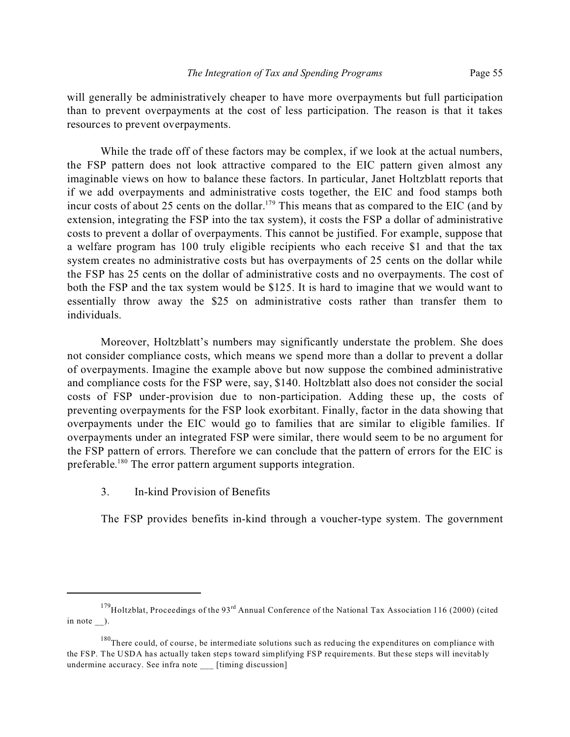will generally be administratively cheaper to have more overpayments but full participation than to prevent overpayments at the cost of less participation. The reason is that it takes resources to prevent overpayments.

While the trade off of these factors may be complex, if we look at the actual numbers, the FSP pattern does not look attractive compared to the EIC pattern given almost any imaginable views on how to balance these factors. In particular, Janet Holtzblatt reports that if we add overpayments and administrative costs together, the EIC and food stamps both incur costs of about 25 cents on the dollar.<sup>179</sup> This means that as compared to the EIC (and by extension, integrating the FSP into the tax system), it costs the FSP a dollar of administrative costs to prevent a dollar of overpayments. This cannot be justified. For example, suppose that a welfare program has 100 truly eligible recipients who each receive \$1 and that the tax system creates no administrative costs but has overpayments of 25 cents on the dollar while the FSP has 25 cents on the dollar of administrative costs and no overpayments. The cost of both the FSP and the tax system would be \$125. It is hard to imagine that we would want to essentially throw away the \$25 on administrative costs rather than transfer them to individuals.

Moreover, Holtzblatt's numbers may significantly understate the problem. She does not consider compliance costs, which means we spend more than a dollar to prevent a dollar of overpayments. Imagine the example above but now suppose the combined administrative and compliance costs for the FSP were, say, \$140. Holtzblatt also does not consider the social costs of FSP under-provision due to non-participation. Adding these up, the costs of preventing overpayments for the FSP look exorbitant. Finally, factor in the data showing that overpayments under the EIC would go to families that are similar to eligible families. If overpayments under an integrated FSP were similar, there would seem to be no argument for the FSP pattern of errors. Therefore we can conclude that the pattern of errors for the EIC is preferable.<sup>180</sup> The error pattern argument supports integration.

3. In-kind Provision of Benefits

The FSP provides benefits in-kind through a voucher-type system. The government

 $179$ Holtzblat, Proceedings of the 93<sup>rd</sup> Annual Conference of the National Tax Association 116 (2000) (cited in note ).

 $180$ There could, of course, be intermediate solutions such as reducing the expenditures on compliance with the FSP. The USDA has actually taken steps toward simplifying FSP requirements. But these steps will inevitably undermine accuracy. See infra note \_\_\_ [timing discussion]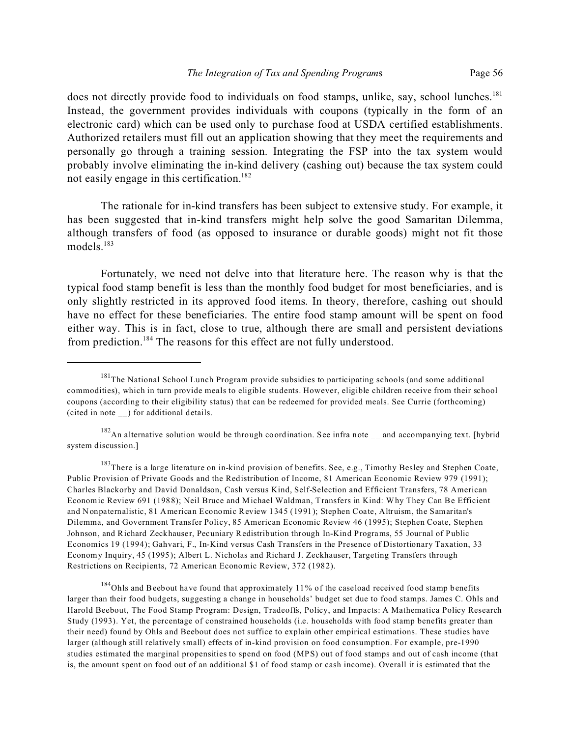does not directly provide food to individuals on food stamps, unlike, say, school lunches.<sup>181</sup> Instead, the government provides individuals with coupons (typically in the form of an electronic card) which can be used only to purchase food at USDA certified establishments. Authorized retailers must fill out an application showing that they meet the requirements and personally go through a training session. Integrating the FSP into the tax system would probably involve eliminating the in-kind delivery (cashing out) because the tax system could not easily engage in this certification.<sup>182</sup>

The rationale for in-kind transfers has been subject to extensive study. For example, it has been suggested that in-kind transfers might help solve the good Samaritan Dilemma, although transfers of food (as opposed to insurance or durable goods) might not fit those models.<sup>183</sup>

Fortunately, we need not delve into that literature here. The reason why is that the typical food stamp benefit is less than the monthly food budget for most beneficiaries, and is only slightly restricted in its approved food items. In theory, therefore, cashing out should have no effect for these beneficiaries. The entire food stamp amount will be spent on food either way. This is in fact, close to true, although there are small and persistent deviations from prediction.<sup>184</sup> The reasons for this effect are not fully understood.

<sup>&</sup>lt;sup>181</sup>The National School Lunch Program provide subsidies to participating schools (and some additional commodities), which in turn provide meals to eligible students. However, eligible children receive from their school coupons (according to their eligibility status) that can be redeemed for provided meals. See Currie (forthcoming) (cited in note \_\_) for additional details.

 $182$ An alternative solution would be through coordination. See infra note  $\mu$  and accompanying text. [hybrid] system discussion.]

<sup>&</sup>lt;sup>183</sup>There is a large literature on in-kind provision of benefits. See, e.g., Timothy Besley and Stephen Coate, Public Provision of Private Goods and the Redistribution of Income, 81 American Economic Review 979 (1991); Charles Blackorby and David Donaldson, Cash versus Kind, Self-Selection and Efficient Transfers, 78 American Economic Review 691 (1988); Neil Bruce and Michael Waldman, Transfers in Kind: Why They Can Be Efficient and Nonpaternalistic, 81 American Economic Review 1345 (1991); Stephen Coate, Altruism, the Samaritan's Dilemma, and Government Transfer Policy, 85 American Economic Review 46 (1995); Stephen Coate, Stephen Johnson, and Richard Zeckhauser, Pecuniary Redistribution through In-Kind Programs, 55 Journal of Public Economics 19 (1994); Gahvari, F., In-Kind versus Cash Transfers in the Presence of Distortionary Taxation, 33 Economy Inquiry, 45 (1995); Albert L. Nicholas and Richard J. Zeckhauser, Targeting Transfers through Restrictions on Recipients, 72 American Economic Review, 372 (1982).

<sup>&</sup>lt;sup>184</sup>Ohls and Beebout have found that approximately 11% of the caseload received food stamp benefits larger than their food budgets, suggesting a change in households' budget set due to food stamps. James C. Ohls and Harold Beebout, The Food Stamp Program: Design, Tradeoffs, Policy, and Impacts: A Mathematica Policy Research Study (1993). Yet, the percentage of constrained households (i.e. households with food stamp benefits greater than their need) found by Ohls and Beebout does not suffice to explain other empirical estimations. These studies have larger (although still relatively small) effects of in-kind provision on food consumption. For example, pre-1990 studies estimated the marginal propensities to spend on food (MPS) out of food stamps and out of cash income (that is, the amount spent on food out of an additional \$1 of food stamp or cash income). Overall it is estimated that the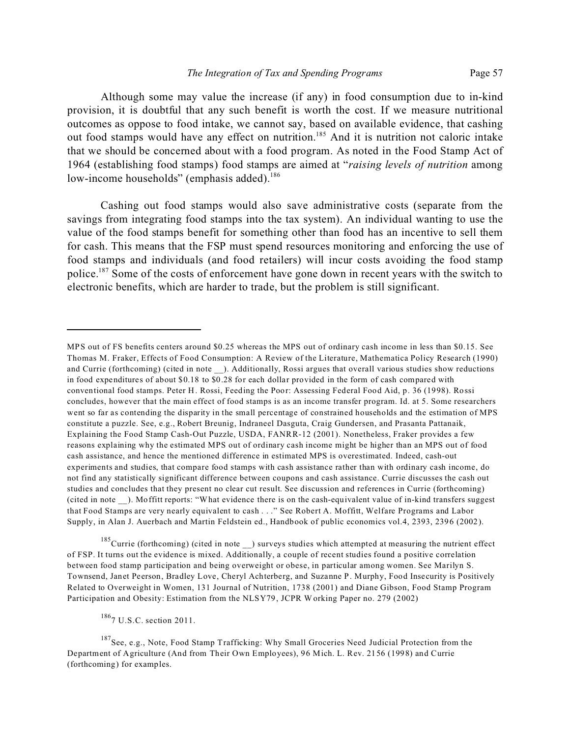Although some may value the increase (if any) in food consumption due to in-kind provision, it is doubtful that any such benefit is worth the cost. If we measure nutritional outcomes as oppose to food intake, we cannot say, based on available evidence, that cashing out food stamps would have any effect on nutrition.<sup>185</sup> And it is nutrition not caloric intake that we should be concerned about with a food program. As noted in the Food Stamp Act of 1964 (establishing food stamps) food stamps are aimed at "*raising levels of nutrition* among low-income households" (emphasis added).<sup>186</sup>

Cashing out food stamps would also save administrative costs (separate from the savings from integrating food stamps into the tax system). An individual wanting to use the value of the food stamps benefit for something other than food has an incentive to sell them for cash. This means that the FSP must spend resources monitoring and enforcing the use of food stamps and individuals (and food retailers) will incur costs avoiding the food stamp police.<sup>187</sup> Some of the costs of enforcement have gone down in recent years with the switch to electronic benefits, which are harder to trade, but the problem is still significant.

 $185$ Currie (forthcoming) (cited in note  $\Box$ ) surveys studies which attempted at measuring the nutrient effect of FSP. It turns out the evidence is mixed. Additionally, a couple of recent studies found a positive correlation between food stamp participation and being overweight or obese, in particular among women. See Marilyn S. Townsend, Janet Peerson, Bradley Love, Cheryl Achterberg, and Suzanne P. Murphy, Food Insecurity is Positively Related to Overweight in Women, 131 Journal of Nutrition, 1738 (2001) and Diane Gibson, Food Stamp Program Participation and Obesity: Estimation from the NLSY79, JCPR Working Paper no. 279 (2002)

<sup>186</sup>7 U.S.C. section 2011.

<sup>187</sup>See, e.g., Note, Food Stamp Trafficking: Why Small Groceries Need Judicial Protection from the Department of Agriculture (And from Their Own Employees), 96 Mich. L. Rev. 2156 (1998) and Currie (forthcoming) for examples.

MPS out of FS benefits centers around \$0.25 whereas the MPS out of ordinary cash income in less than \$0.15. See Thomas M. Fraker, Effects of Food Consumption: A Review of the Literature, Mathematica Policy Research (1990) and Currie (forthcoming) (cited in note \_\_). Additionally, Rossi argues that overall various studies show reductions in food expenditures of about \$0.18 to \$0.28 for each dollar provided in the form of cash compared with conventional food stamps. Peter H. Rossi, Feeding the Poor: Assessing Federal Food Aid, p. 36 (1998). Rossi concludes, however that the main effect of food stamps is as an income transfer program. Id. at 5. Some researchers went so far as contending the disparity in the small percentage of constrained households and the estimation of MPS constitute a puzzle. See, e.g., Robert Breunig, Indraneel Dasguta, Craig Gundersen, and Prasanta Pattanaik, Explaining the Food Stamp Cash-Out Puzzle, USDA, FANRR-12 (2001). Nonetheless, Fraker provides a few reasons explaining why the estimated MPS out of ordinary cash income might be higher than an MPS out of food cash assistance, and hence the mentioned difference in estimated MPS is overestimated. Indeed, cash-out experiments and studies, that compare food stamps with cash assistance rather than with ordinary cash income, do not find any statistically significant difference between coupons and cash assistance. Currie discusses the cash out studies and concludes that they present no clear cut result. See discussion and references in Currie (forthcoming) (cited in note \_\_). Moffitt reports: "What evidence there is on the cash-equivalent value of in-kind transfers suggest that Food Stamps are very nearly equivalent to cash . . ." See Robert A. Moffitt, Welfare Programs and Labor Supply, in Alan J. Auerbach and Martin Feldstein ed., Handbook of public economics vol.4, 2393, 2396 (2002).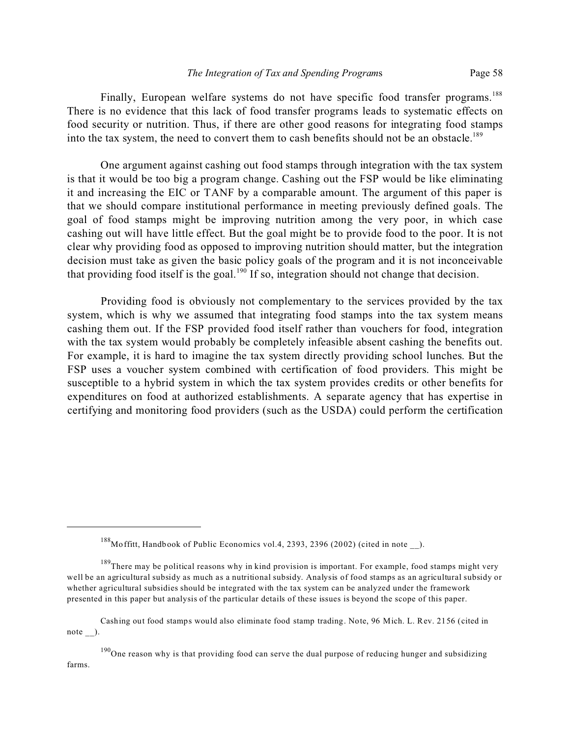Finally, European welfare systems do not have specific food transfer programs.<sup>188</sup> There is no evidence that this lack of food transfer programs leads to systematic effects on food security or nutrition. Thus, if there are other good reasons for integrating food stamps into the tax system, the need to convert them to cash benefits should not be an obstacle.<sup>189</sup>

One argument against cashing out food stamps through integration with the tax system is that it would be too big a program change. Cashing out the FSP would be like eliminating it and increasing the EIC or TANF by a comparable amount. The argument of this paper is that we should compare institutional performance in meeting previously defined goals. The goal of food stamps might be improving nutrition among the very poor, in which case cashing out will have little effect. But the goal might be to provide food to the poor. It is not clear why providing food as opposed to improving nutrition should matter, but the integration decision must take as given the basic policy goals of the program and it is not inconceivable that providing food itself is the goal.<sup>190</sup> If so, integration should not change that decision.

Providing food is obviously not complementary to the services provided by the tax system, which is why we assumed that integrating food stamps into the tax system means cashing them out. If the FSP provided food itself rather than vouchers for food, integration with the tax system would probably be completely infeasible absent cashing the benefits out. For example, it is hard to imagine the tax system directly providing school lunches. But the FSP uses a voucher system combined with certification of food providers. This might be susceptible to a hybrid system in which the tax system provides credits or other benefits for expenditures on food at authorized establishments. A separate agency that has expertise in certifying and monitoring food providers (such as the USDA) could perform the certification

<sup>188</sup>Moffitt, Handbook of Public Economics vol.4, 2393, 2396 (2002) (cited in note \_\_).

<sup>&</sup>lt;sup>189</sup>There may be political reasons why in kind provision is important. For example, food stamps might very well be an agricultural subsidy as much as a nutritional subsidy. Analysis of food stamps as an agricultural subsidy or whether agricultural subsidies should be integrated with the tax system can be analyzed under the framework presented in this paper but analysis of the particular details of these issues is beyond the scope of this paper.

Cashing out food stamps would also eliminate food stamp trading. Note, 96 Mich. L. Rev. 2156 (cited in note ).

 $190$  One reason why is that providing food can serve the dual purpose of reducing hunger and subsidizing farms.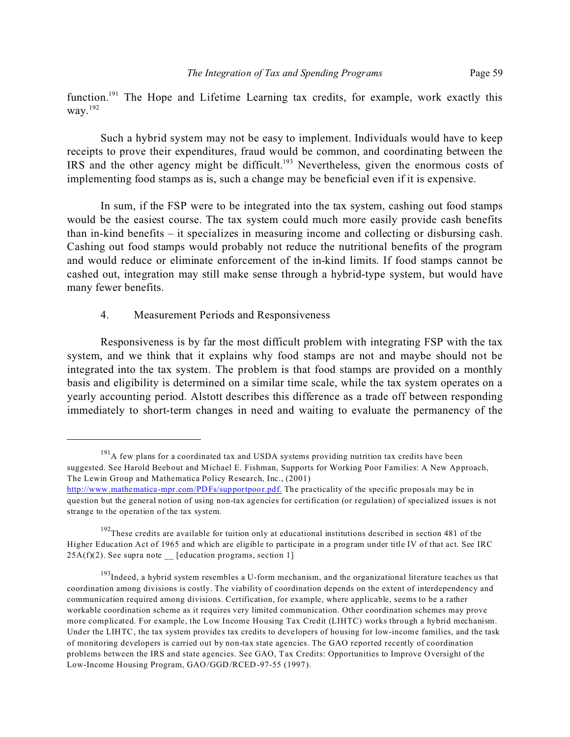function.<sup>191</sup> The Hope and Lifetime Learning tax credits, for example, work exactly this way.<sup>192</sup>

Such a hybrid system may not be easy to implement. Individuals would have to keep receipts to prove their expenditures, fraud would be common, and coordinating between the IRS and the other agency might be difficult.<sup>193</sup> Nevertheless, given the enormous costs of implementing food stamps as is, such a change may be beneficial even if it is expensive.

In sum, if the FSP were to be integrated into the tax system, cashing out food stamps would be the easiest course. The tax system could much more easily provide cash benefits than in-kind benefits – it specializes in measuring income and collecting or disbursing cash. Cashing out food stamps would probably not reduce the nutritional benefits of the program and would reduce or eliminate enforcement of the in-kind limits. If food stamps cannot be cashed out, integration may still make sense through a hybrid-type system, but would have many fewer benefits.

# 4. Measurement Periods and Responsiveness

Responsiveness is by far the most difficult problem with integrating FSP with the tax system, and we think that it explains why food stamps are not and maybe should not be integrated into the tax system. The problem is that food stamps are provided on a monthly basis and eligibility is determined on a similar time scale, while the tax system operates on a yearly accounting period. Alstott describes this difference as a trade off between responding immediately to short-term changes in need and waiting to evaluate the permanency of the

 $191A$  few plans for a coordinated tax and USDA systems providing nutrition tax credits have been suggested. See Harold Beebout and Michael E. Fishman, Supports for Working Poor Families: A New Approach, The Lewin Group and Mathematica Policy Research, Inc., (2001)

http://www.mathematica-mpr.com/PDFs/supportpoor.pdf. The practicality of the specific proposals may be in question but the general notion of using non-tax agencies for certification (or regulation) of specialized issues is not strange to the operation of the tax system.

 $192$ These credits are available for tuition only at educational institutions described in section 481 of the Higher Education Act of 1965 and which are eligible to participate in a program under title IV of that act. See IRC  $25A(f)(2)$ . See supra note [education programs, section 1]

<sup>&</sup>lt;sup>193</sup>Indeed, a hybrid system resembles a U-form mechanism, and the organizational literature teaches us that coordination among divisions is costly. The viability of coordination depends on the extent of interdependency and communication required among divisions. Certification, for example, where applicable, seems to be a rather workable coordination scheme as it requires very limited communication. Other coordination schemes may prove more complicated. For example, the Low Income Housing Tax Credit (LIHTC) works through a hybrid mechanism. Under the LIHTC, the tax system provides tax credits to developers of housing for low-income families, and the task of monitoring developers is carried out by non-tax state agencies. The GAO reported recently of coordination problems between the IRS and state agencies. See GAO, Tax Credits: Opportunities to Improve Oversight of the Low-Income Housing Program, GAO/GGD/RCED-97-55 (1997).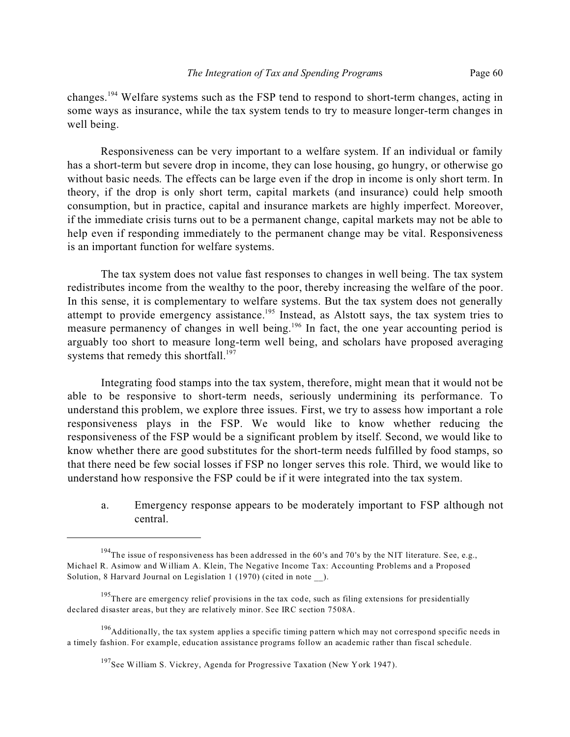changes.<sup>194</sup> Welfare systems such as the FSP tend to respond to short-term changes, acting in some ways as insurance, while the tax system tends to try to measure longer-term changes in well being.

Responsiveness can be very important to a welfare system. If an individual or family has a short-term but severe drop in income, they can lose housing, go hungry, or otherwise go without basic needs. The effects can be large even if the drop in income is only short term. In theory, if the drop is only short term, capital markets (and insurance) could help smooth consumption, but in practice, capital and insurance markets are highly imperfect. Moreover, if the immediate crisis turns out to be a permanent change, capital markets may not be able to help even if responding immediately to the permanent change may be vital. Responsiveness is an important function for welfare systems.

The tax system does not value fast responses to changes in well being. The tax system redistributes income from the wealthy to the poor, thereby increasing the welfare of the poor. In this sense, it is complementary to welfare systems. But the tax system does not generally attempt to provide emergency assistance.<sup>195</sup> Instead, as Alstott says, the tax system tries to measure permanency of changes in well being.<sup>196</sup> In fact, the one year accounting period is arguably too short to measure long-term well being, and scholars have proposed averaging systems that remedy this shortfall. $197$ 

Integrating food stamps into the tax system, therefore, might mean that it would not be able to be responsive to short-term needs, seriously undermining its performance. To understand this problem, we explore three issues. First, we try to assess how important a role responsiveness plays in the FSP. We would like to know whether reducing the responsiveness of the FSP would be a significant problem by itself. Second, we would like to know whether there are good substitutes for the short-term needs fulfilled by food stamps, so that there need be few social losses if FSP no longer serves this role. Third, we would like to understand how responsive the FSP could be if it were integrated into the tax system.

a. Emergency response appears to be moderately important to FSP although not central.

<sup>196</sup>Additionally, the tax system applies a specific timing pattern which may not correspond specific needs in a timely fashion. For example, education assistance programs follow an academic rather than fiscal schedule.

 $194$ The issue of responsiveness has been addressed in the 60's and 70's by the NIT literature. See, e.g., Michael R. Asimow and William A. Klein, The Negative Income Tax: Accounting Problems and a Proposed Solution, 8 Harvard Journal on Legislation 1 (1970) (cited in note ).

<sup>&</sup>lt;sup>195</sup>There are emergency relief provisions in the tax code, such as filing extensions for presidentially declared disaster areas, but they are relatively minor. See IRC section 7508A.

 $197$ See William S. Vickrey, Agenda for Progressive Taxation (New York 1947).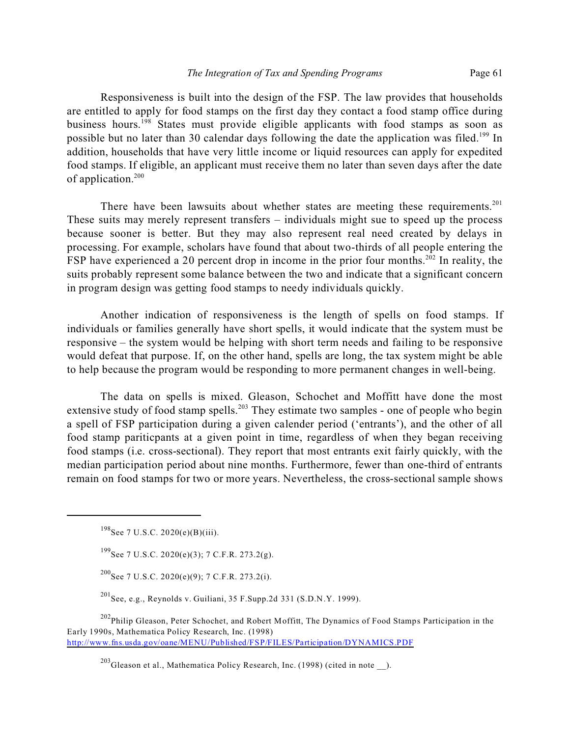Responsiveness is built into the design of the FSP. The law provides that households are entitled to apply for food stamps on the first day they contact a food stamp office during business hours.<sup>198</sup> States must provide eligible applicants with food stamps as soon as possible but no later than 30 calendar days following the date the application was filed.<sup>199</sup> In addition, households that have very little income or liquid resources can apply for expedited food stamps. If eligible, an applicant must receive them no later than seven days after the date of application.<sup>200</sup>

There have been lawsuits about whether states are meeting these requirements.<sup>201</sup> These suits may merely represent transfers – individuals might sue to speed up the process because sooner is better. But they may also represent real need created by delays in processing. For example, scholars have found that about two-thirds of all people entering the FSP have experienced a 20 percent drop in income in the prior four months.<sup>202</sup> In reality, the suits probably represent some balance between the two and indicate that a significant concern in program design was getting food stamps to needy individuals quickly.

Another indication of responsiveness is the length of spells on food stamps. If individuals or families generally have short spells, it would indicate that the system must be responsive – the system would be helping with short term needs and failing to be responsive would defeat that purpose. If, on the other hand, spells are long, the tax system might be able to help because the program would be responding to more permanent changes in well-being.

The data on spells is mixed. Gleason, Schochet and Moffitt have done the most extensive study of food stamp spells.<sup>203</sup> They estimate two samples - one of people who begin a spell of FSP participation during a given calender period ('entrants'), and the other of all food stamp pariticpants at a given point in time, regardless of when they began receiving food stamps (i.e. cross-sectional). They report that most entrants exit fairly quickly, with the median participation period about nine months. Furthermore, fewer than one-third of entrants remain on food stamps for two or more years. Nevertheless, the cross-sectional sample shows

 $^{200}$ See 7 U.S.C. 2020(e)(9); 7 C.F.R. 273.2(i).

<sup>201</sup>See, e.g., Reynolds v. Guiliani, 35 F.Supp.2d 331 (S.D.N.Y. 1999).

<sup>202</sup>Philip Gleason, Peter Schochet, and Robert Moffitt, The Dynamics of Food Stamps Participation in the Early 1990s, Mathematica Policy Research, Inc. (1998) http://www.fns.usda.gov/oane/MENU/Published/FSP/FILES/Participation/DYNAMICS.PDF

 $198$ See 7 U.S.C. 2020(e)(B)(iii).

 $^{199}$ See 7 U.S.C. 2020(e)(3); 7 C.F.R. 273.2(g).

<sup>&</sup>lt;sup>203</sup>Gleason et al., Mathematica Policy Research, Inc. (1998) (cited in note  $\qquad$ ).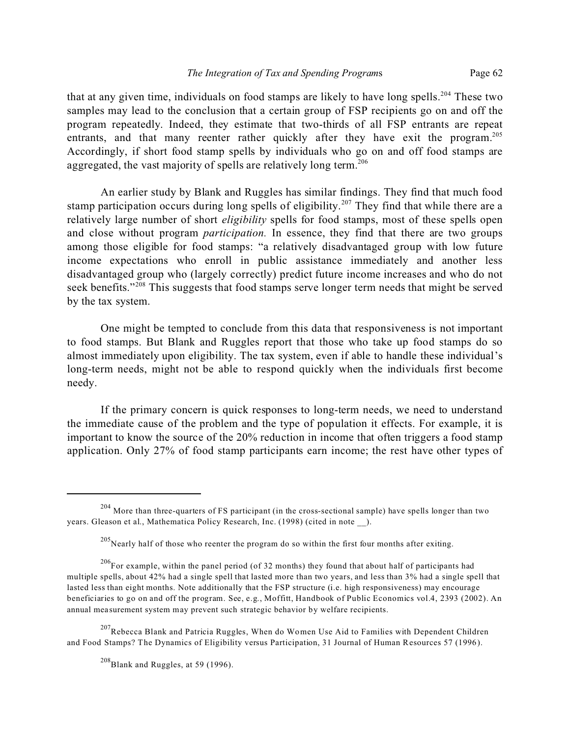that at any given time, individuals on food stamps are likely to have long spells.<sup>204</sup> These two samples may lead to the conclusion that a certain group of FSP recipients go on and off the program repeatedly. Indeed, they estimate that two-thirds of all FSP entrants are repeat entrants, and that many reenter rather quickly after they have exit the program.<sup>205</sup> Accordingly, if short food stamp spells by individuals who go on and off food stamps are aggregated, the vast majority of spells are relatively long term.<sup>206</sup>

An earlier study by Blank and Ruggles has similar findings. They find that much food stamp participation occurs during long spells of eligibility.<sup>207</sup> They find that while there are a relatively large number of short *eligibility* spells for food stamps, most of these spells open and close without program *participation.* In essence, they find that there are two groups among those eligible for food stamps: "a relatively disadvantaged group with low future income expectations who enroll in public assistance immediately and another less disadvantaged group who (largely correctly) predict future income increases and who do not seek benefits."<sup>208</sup> This suggests that food stamps serve longer term needs that might be served by the tax system.

One might be tempted to conclude from this data that responsiveness is not important to food stamps. But Blank and Ruggles report that those who take up food stamps do so almost immediately upon eligibility. The tax system, even if able to handle these individual's long-term needs, might not be able to respond quickly when the individuals first become needy.

If the primary concern is quick responses to long-term needs, we need to understand the immediate cause of the problem and the type of population it effects. For example, it is important to know the source of the 20% reduction in income that often triggers a food stamp application. Only 27% of food stamp participants earn income; the rest have other types of

 $207$ Rebecca Blank and Patricia Ruggles, When do Women Use Aid to Families with Dependent Children and Food Stamps? The Dynamics of Eligibility versus Participation, 31 Journal of Human Resources 57 (1996).

 $^{208}$ Blank and Ruggles, at 59 (1996).

 $204$  More than three-quarters of FS participant (in the cross-sectional sample) have spells longer than two years. Gleason et al., Mathematica Policy Research, Inc. (1998) (cited in note \_\_).

 $205$ Nearly half of those who reenter the program do so within the first four months after exiting.

<sup>&</sup>lt;sup>206</sup>For example, within the panel period (of 32 months) they found that about half of participants had multiple spells, about 42% had a single spell that lasted more than two years, and less than 3% had a single spell that lasted less than eight months. Note additionally that the FSP structure (i.e. high responsiveness) may encourage beneficiaries to go on and off the program. See, e.g., Moffitt, Handbook of Public Economics vol.4, 2393 (2002). An annual measurement system may prevent such strategic behavior by welfare recipients.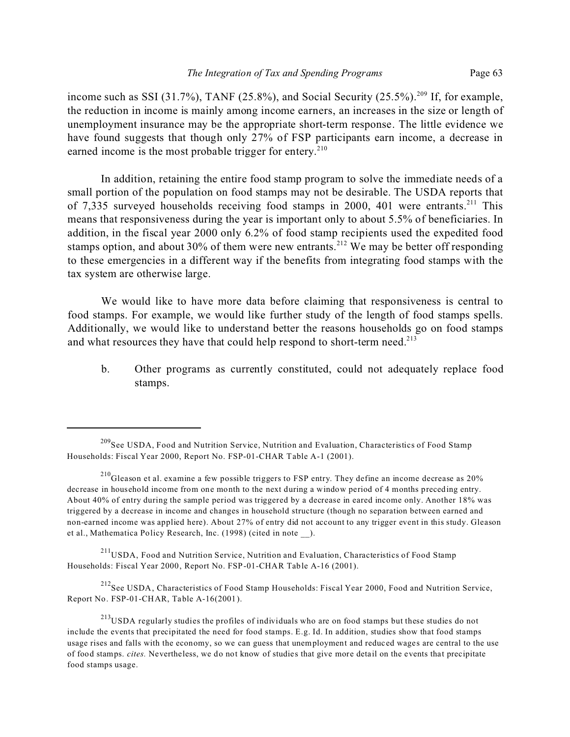income such as SSI (31.7%), TANF (25.8%), and Social Security (25.5%).<sup>209</sup> If, for example, the reduction in income is mainly among income earners, an increases in the size or length of unemployment insurance may be the appropriate short-term response. The little evidence we have found suggests that though only 27% of FSP participants earn income, a decrease in earned income is the most probable trigger for entery.<sup>210</sup>

In addition, retaining the entire food stamp program to solve the immediate needs of a small portion of the population on food stamps may not be desirable. The USDA reports that of 7,335 surveyed households receiving food stamps in 2000, 401 were entrants.<sup>211</sup> This means that responsiveness during the year is important only to about 5.5% of beneficiaries. In addition, in the fiscal year 2000 only 6.2% of food stamp recipients used the expedited food stamps option, and about 30% of them were new entrants.<sup>212</sup> We may be better off responding to these emergencies in a different way if the benefits from integrating food stamps with the tax system are otherwise large.

We would like to have more data before claiming that responsiveness is central to food stamps. For example, we would like further study of the length of food stamps spells. Additionally, we would like to understand better the reasons households go on food stamps and what resources they have that could help respond to short-term need.<sup>213</sup>

b. Other programs as currently constituted, could not adequately replace food stamps.

<sup>211</sup>USDA, Food and Nutrition Service, Nutrition and Evaluation, Characteristics of Food Stamp Households: Fiscal Year 2000, Report No. FSP-01-CHAR Table A-16 (2001).

<sup>212</sup>See USDA, Characteristics of Food Stamp Households: Fiscal Year 2000, Food and Nutrition Service, Report No. FSP-01-CHAR, Table A-16(2001).

<sup>&</sup>lt;sup>209</sup>See USDA, Food and Nutrition Service, Nutrition and Evaluation, Characteristics of Food Stamp Households: Fiscal Year 2000, Report No. FSP-01-CHAR Table A-1 (2001).

 $^{210}$ Gleason et al. examine a few possible triggers to FSP entry. They define an income decrease as 20% decrease in household income from one month to the next during a window period of 4 months preceding entry. About 40% of entry during the sample period was triggered by a decrease in eared income only. Another 18% was triggered by a decrease in income and changes in household structure (though no separation between earned and non-earned income was applied here). About 27% of entry did not account to any trigger event in this study. Gleason et al., Mathematica Policy Research, Inc. (1998) (cited in note \_\_).

<sup>&</sup>lt;sup>213</sup>USDA regularly studies the profiles of individuals who are on food stamps but these studies do not include the events that precipitated the need for food stamps. E.g. Id. In addition, studies show that food stamps usage rises and falls with the economy, so we can guess that unemployment and reduced wages are central to the use of food stamps. *cites.* Nevertheless, we do not know of studies that give more detail on the events that precipitate food stamps usage.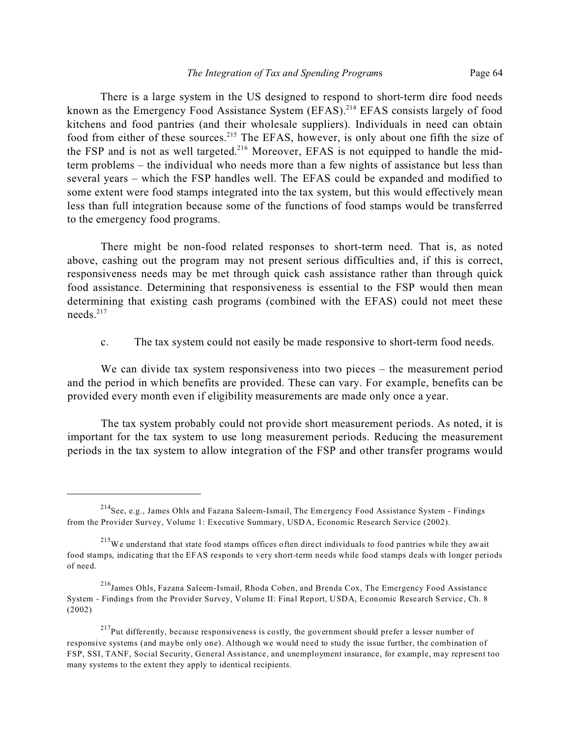There is a large system in the US designed to respond to short-term dire food needs known as the Emergency Food Assistance System (EFAS).<sup>214</sup> EFAS consists largely of food kitchens and food pantries (and their wholesale suppliers). Individuals in need can obtain food from either of these sources.<sup>215</sup> The EFAS, however, is only about one fifth the size of the FSP and is not as well targeted.<sup>216</sup> Moreover, EFAS is not equipped to handle the midterm problems – the individual who needs more than a few nights of assistance but less than several years – which the FSP handles well. The EFAS could be expanded and modified to some extent were food stamps integrated into the tax system, but this would effectively mean less than full integration because some of the functions of food stamps would be transferred to the emergency food programs.

There might be non-food related responses to short-term need. That is, as noted above, cashing out the program may not present serious difficulties and, if this is correct, responsiveness needs may be met through quick cash assistance rather than through quick food assistance. Determining that responsiveness is essential to the FSP would then mean determining that existing cash programs (combined with the EFAS) could not meet these needs.<sup>217</sup>

c. The tax system could not easily be made responsive to short-term food needs.

We can divide tax system responsiveness into two pieces – the measurement period and the period in which benefits are provided. These can vary. For example, benefits can be provided every month even if eligibility measurements are made only once a year.

The tax system probably could not provide short measurement periods. As noted, it is important for the tax system to use long measurement periods. Reducing the measurement periods in the tax system to allow integration of the FSP and other transfer programs would

<sup>&</sup>lt;sup>214</sup> See, e.g., James Ohls and Fazana Saleem-Ismail, The Emergency Food Assistance System - Findings from the Provider Survey, Volume 1: Executive Summary, USDA, Economic Research Service (2002).

<sup>&</sup>lt;sup>215</sup>We understand that state food stamps offices often direct individuals to food pantries while they await food stamps, indicating that the EFAS responds to very short-term needs while food stamps deals with longer periods of need.

<sup>216</sup>James Ohls, Fazana Saleem-Ismail, Rhoda Cohen, and Brenda Cox, The Emergency Food Assistance System - Findings from the Provider Survey, Volume II: Final Report, USDA, Economic Research Service, Ch. 8 (2002)

 $^{217}$ Put differently, because responsiveness is costly, the government should prefer a lesser number of responsive systems (and maybe only one). Although we would need to study the issue further, the combination of FSP, SSI, TANF, Social Security, General Assistance, and unemployment insurance, for example, may represent too many systems to the extent they apply to identical recipients.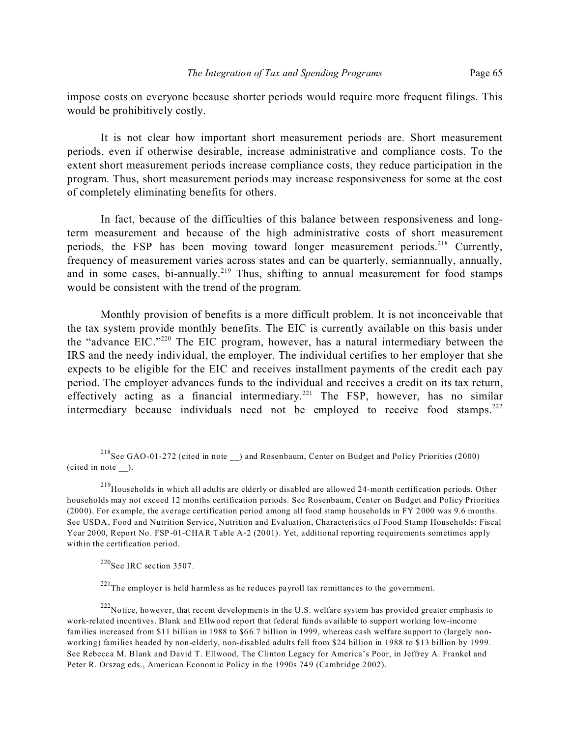impose costs on everyone because shorter periods would require more frequent filings. This would be prohibitively costly.

It is not clear how important short measurement periods are. Short measurement periods, even if otherwise desirable, increase administrative and compliance costs. To the extent short measurement periods increase compliance costs, they reduce participation in the program. Thus, short measurement periods may increase responsiveness for some at the cost of completely eliminating benefits for others.

In fact, because of the difficulties of this balance between responsiveness and longterm measurement and because of the high administrative costs of short measurement periods, the FSP has been moving toward longer measurement periods.<sup>218</sup> Currently, frequency of measurement varies across states and can be quarterly, semiannually, annually, and in some cases, bi-annually.<sup>219</sup> Thus, shifting to annual measurement for food stamps would be consistent with the trend of the program.

Monthly provision of benefits is a more difficult problem. It is not inconceivable that the tax system provide monthly benefits. The EIC is currently available on this basis under the "advance EIC."<sup>220</sup> The EIC program, however, has a natural intermediary between the IRS and the needy individual, the employer. The individual certifies to her employer that she expects to be eligible for the EIC and receives installment payments of the credit each pay period. The employer advances funds to the individual and receives a credit on its tax return, effectively acting as a financial intermediary.<sup>221</sup> The FSP, however, has no similar intermediary because individuals need not be employed to receive food stamps.<sup>222</sup>

 $220$ See IRC section 3507.

 $221$ The employer is held harmless as he reduces payroll tax remittances to the government.

<sup>218</sup>See GAO-01-272 (cited in note \_\_) and Rosenbaum, Center on Budget and Policy Priorities (2000) (cited in note \_\_).

<sup>&</sup>lt;sup>219</sup>Households in which all adults are elderly or disabled are allowed 24-month certification periods. Other households may not exceed 12 months certification periods. See Rosenbaum, Center on Budget and Policy Priorities (2000). For example, the average certification period among all food stamp households in FY 2000 was 9.6 months. See USDA, Food and Nutrition Service, Nutrition and Evaluation, Characteristics of Food Stamp Households: Fiscal Year 2000, Report No. FSP-01-CHAR Table A-2 (2001). Yet, additional reporting requirements sometimes apply within the certification period.

<sup>&</sup>lt;sup>222</sup>Notice, however, that recent developments in the U.S. welfare system has provided greater emphasis to work-related incentives. Blank and Ellwood report that federal funds available to support working low-income families increased from \$11 billion in 1988 to \$66.7 billion in 1999, whereas cash welfare support to (largely nonworking) families headed by non-elderly, non-disabled adults fell from \$24 billion in 1988 to \$13 billion by 1999. See Rebecca M. Blank and David T. Ellwood, The Clinton Legacy for America's Poor, in Jeffrey A. Frankel and Peter R. Orszag eds., American Economic Policy in the 1990s 749 (Cambridge 2002).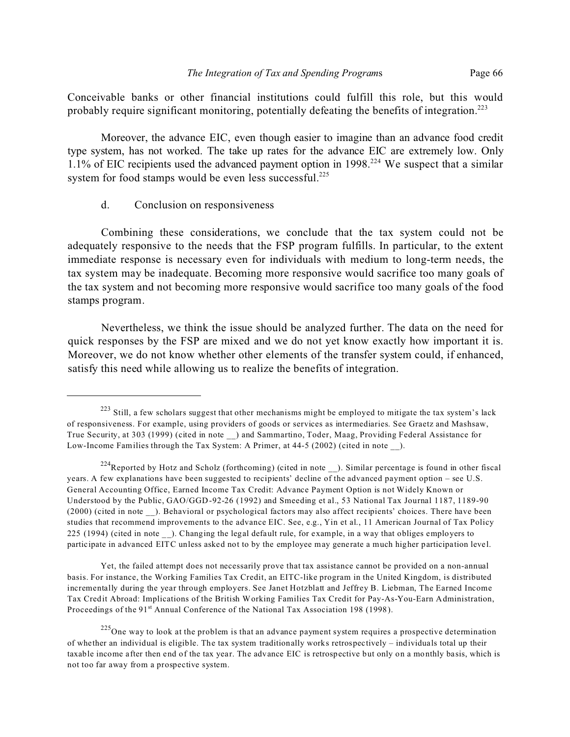Conceivable banks or other financial institutions could fulfill this role, but this would probably require significant monitoring, potentially defeating the benefits of integration.<sup>223</sup>

Moreover, the advance EIC, even though easier to imagine than an advance food credit type system, has not worked. The take up rates for the advance EIC are extremely low. Only 1.1% of EIC recipients used the advanced payment option in 1998.<sup>224</sup> We suspect that a similar system for food stamps would be even less successful.<sup>225</sup>

# d. Conclusion on responsiveness

Combining these considerations, we conclude that the tax system could not be adequately responsive to the needs that the FSP program fulfills. In particular, to the extent immediate response is necessary even for individuals with medium to long-term needs, the tax system may be inadequate. Becoming more responsive would sacrifice too many goals of the tax system and not becoming more responsive would sacrifice too many goals of the food stamps program.

Nevertheless, we think the issue should be analyzed further. The data on the need for quick responses by the FSP are mixed and we do not yet know exactly how important it is. Moreover, we do not know whether other elements of the transfer system could, if enhanced, satisfy this need while allowing us to realize the benefits of integration.

Yet, the failed attempt does not necessarily prove that tax assistance cannot be provided on a non-annual basis. For instance, the Working Families Tax Credit, an EITC-like program in the United Kingdom, is distributed incrementally during the year through employers. See Janet Hotzblatt and Jeffrey B. Liebman, The Earned Income Tax Credit Abroad: Implications of the British Working Families Tax Credit for Pay-As-You-Earn Administration, Proceedings of the 91<sup>st</sup> Annual Conference of the National Tax Association 198 (1998).

<sup>&</sup>lt;sup>223</sup> Still, a few scholars suggest that other mechanisms might be employed to mitigate the tax system's lack of responsiveness. For example, using providers of goods or services as intermediaries. See Graetz and Mashsaw, True Security, at 303 (1999) (cited in note \_\_) and Sammartino, Toder, Maag, Providing Federal Assistance for Low-Income Families through the Tax System: A Primer, at 44-5 (2002) (cited in note ).

 $224$ Reported by Hotz and Scholz (forthcoming) (cited in note  $\Box$ ). Similar percentage is found in other fiscal years. A few explanations have been suggested to recipients' decline of the advanced payment option – see U.S. General Accounting Office, Earned Income Tax Credit: Advance Payment Option is not Widely Known or Understood by the Public, GAO/GGD-92-26 (1992) and Smeeding et al., 53 National Tax Journal 1187, 1189-90 (2000) (cited in note \_\_). Behavioral or psychological factors may also affect recipients' choices. There have been studies that recommend improvements to the advance EIC. See, e.g., Yin et al., 11 American Journal of Tax Policy 225 (1994) (cited in note \_\_). Changing the legal default rule, for example, in a way that obliges employers to participate in advanced EITC unless asked not to by the employee may generate a much higher participation level.

 $225$ One way to look at the problem is that an advance payment system requires a prospective determination of whether an individual is eligible. The tax system traditionally works retrospectively – individuals total up their taxable income after then end of the tax year. The advance EIC is retrospective but only on a monthly basis, which is not too far away from a prospective system.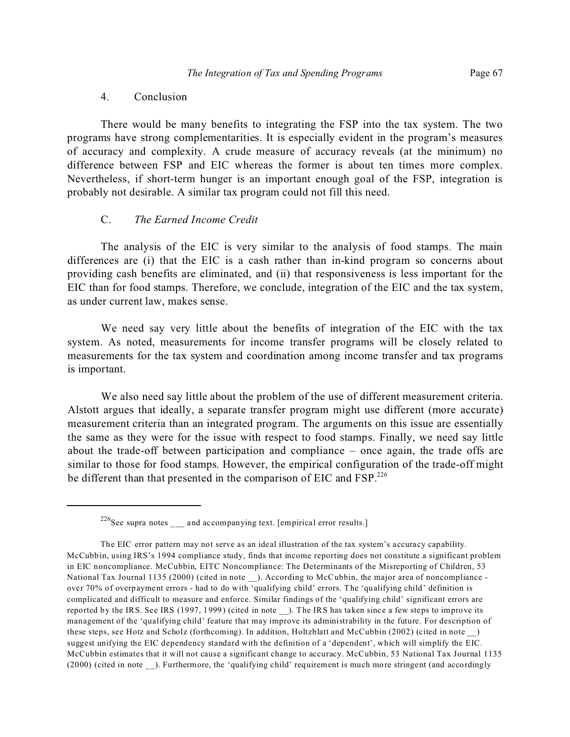There would be many benefits to integrating the FSP into the tax system. The two programs have strong complementarities. It is especially evident in the program's measures of accuracy and complexity. A crude measure of accuracy reveals (at the minimum) no difference between FSP and EIC whereas the former is about ten times more complex. Nevertheless, if short-term hunger is an important enough goal of the FSP, integration is probably not desirable. A similar tax program could not fill this need.

### C. *The Earned Income Credit*

The analysis of the EIC is very similar to the analysis of food stamps. The main differences are (i) that the EIC is a cash rather than in-kind program so concerns about providing cash benefits are eliminated, and (ii) that responsiveness is less important for the EIC than for food stamps. Therefore, we conclude, integration of the EIC and the tax system, as under current law, makes sense.

We need say very little about the benefits of integration of the EIC with the tax system. As noted, measurements for income transfer programs will be closely related to measurements for the tax system and coordination among income transfer and tax programs is important.

We also need say little about the problem of the use of different measurement criteria. Alstott argues that ideally, a separate transfer program might use different (more accurate) measurement criteria than an integrated program. The arguments on this issue are essentially the same as they were for the issue with respect to food stamps. Finally, we need say little about the trade-off between participation and compliance – once again, the trade offs are similar to those for food stamps. However, the empirical configuration of the trade-off might be different than that presented in the comparison of EIC and FSP.<sup>226</sup>

 $226$ See supra notes  $\frac{1}{2}$  and accompanying text. [empirical error results.]

The EIC error pattern may not serve as an ideal illustration of the tax system's accuracy capability. McCubbin, using IRS's 1994 compliance study, finds that income reporting does not constitute a significant problem in EIC noncompliance. McCubbin, EITC Noncompliance: The Determinants of the Misreporting of Children, 53 National Tax Journal 1135 (2000) (cited in note \_\_). According to McCubbin, the major area of noncompliance over 70% of overpayment errors - had to do with 'qualifying child' errors. The 'qualifying child' definition is complicated and difficult to measure and enforce. Similar findings of the 'qualifying child' significant errors are reported by the IRS. See IRS (1997, 1999) (cited in note ). The IRS has taken since a few steps to improve its management of the 'qualifying child' feature that may improve its administrability in the future. For description of these steps, see Hotz and Scholz (forthcoming). In addition, Holtzblatt and McCubbin (2002) (cited in note \_\_) suggest unifying the EIC dependency standard with the definition of a 'dependent', which will simplify the EIC. McCubbin estimates that it will not cause a significant change to accuracy. McCubbin, 53 National Tax Journal 1135 (2000) (cited in note \_\_). Furthermore, the 'qualifying child' requirement is much more stringent (and accordingly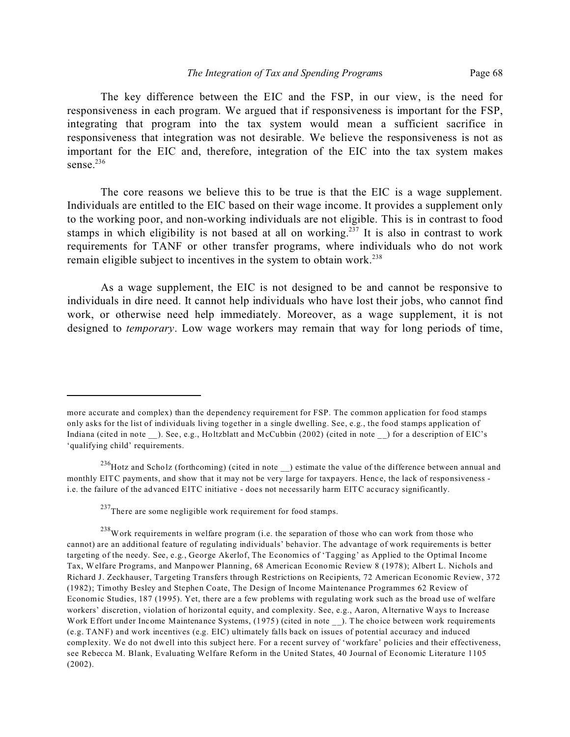The key difference between the EIC and the FSP, in our view, is the need for responsiveness in each program. We argued that if responsiveness is important for the FSP, integrating that program into the tax system would mean a sufficient sacrifice in responsiveness that integration was not desirable. We believe the responsiveness is not as important for the EIC and, therefore, integration of the EIC into the tax system makes sense. $236$ 

The core reasons we believe this to be true is that the EIC is a wage supplement. Individuals are entitled to the EIC based on their wage income. It provides a supplement only to the working poor, and non-working individuals are not eligible. This is in contrast to food stamps in which eligibility is not based at all on working.<sup>237</sup> It is also in contrast to work requirements for TANF or other transfer programs, where individuals who do not work remain eligible subject to incentives in the system to obtain work.<sup>238</sup>

As a wage supplement, the EIC is not designed to be and cannot be responsive to individuals in dire need. It cannot help individuals who have lost their jobs, who cannot find work, or otherwise need help immediately. Moreover, as a wage supplement, it is not designed to *temporary*. Low wage workers may remain that way for long periods of time,

more accurate and complex) than the dependency requirement for FSP. The common application for food stamps only asks for the list of individuals living together in a single dwelling. See, e.g., the food stamps application of Indiana (cited in note ). See, e.g., Holtzblatt and McCubbin (2002) (cited in note ) for a description of EIC's 'qualifying child' requirements.

 $^{236}$ Hotz and Scholz (forthcoming) (cited in note  $\Box$ ) estimate the value of the difference between annual and monthly EITC payments, and show that it may not be very large for taxpayers. Hence, the lack of responsiveness i.e. the failure of the advanced EITC initiative - does not necessarily harm EITC accuracy significantly.

 $237$ There are some negligible work requirement for food stamps.

 $^{238}$ Work requirements in welfare program (i.e. the separation of those who can work from those who cannot) are an additional feature of regulating individuals' behavior. The advantage of work requirements is better targeting of the needy. See, e.g., George Akerlof, The Economics of 'Tagging' as Applied to the Optimal Income Tax, Welfare Programs, and Manpower Planning, 68 American Economic Review 8 (1978); Albert L. Nichols and Richard J. Zeckhauser, Targeting Transfers through Restrictions on Recipients, 72 American Economic Review, 372 (1982); Timothy Besley and Stephen Coate, The Design of Income Maintenance Programmes 62 Review of Economic Studies, 187 (1995). Yet, there are a few problems with regulating work such as the broad use of welfare workers' discretion, violation of horizontal equity, and complexity. See, e.g., Aaron, Alternative Ways to Increase Work Effort under Income Maintenance Systems, (1975) (cited in note \_\_). The choice between work requirements (e.g. TANF) and work incentives (e.g. EIC) ultimately falls back on issues of potential accuracy and induced complexity. We do not dwell into this subject here. For a recent survey of 'workfare' policies and their effectiveness, see Rebecca M. Blank, Evaluating Welfare Reform in the United States, 40 Journal of Economic Literature 1105 (2002).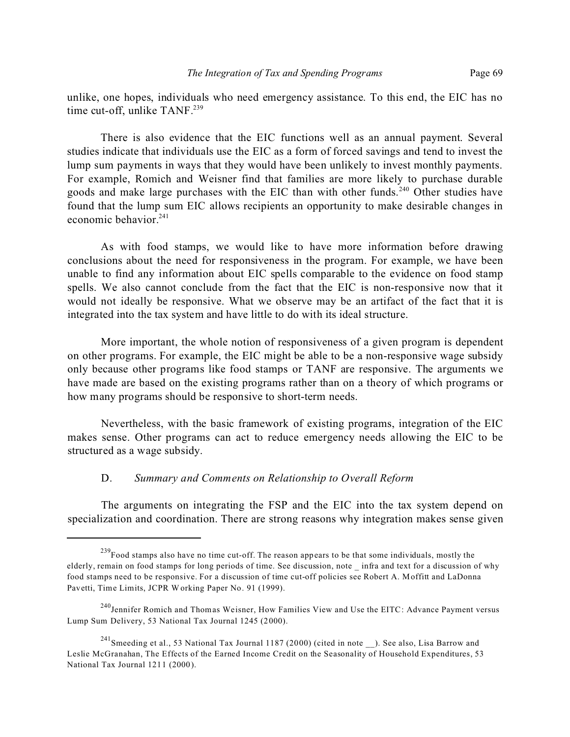unlike, one hopes, individuals who need emergency assistance. To this end, the EIC has no time cut-off, unlike TANF.<sup>239</sup>

There is also evidence that the EIC functions well as an annual payment. Several studies indicate that individuals use the EIC as a form of forced savings and tend to invest the lump sum payments in ways that they would have been unlikely to invest monthly payments. For example, Romich and Weisner find that families are more likely to purchase durable goods and make large purchases with the EIC than with other funds.<sup>240</sup> Other studies have found that the lump sum EIC allows recipients an opportunity to make desirable changes in economic behavior.<sup>241</sup>

As with food stamps, we would like to have more information before drawing conclusions about the need for responsiveness in the program. For example, we have been unable to find any information about EIC spells comparable to the evidence on food stamp spells. We also cannot conclude from the fact that the EIC is non-responsive now that it would not ideally be responsive. What we observe may be an artifact of the fact that it is integrated into the tax system and have little to do with its ideal structure.

More important, the whole notion of responsiveness of a given program is dependent on other programs. For example, the EIC might be able to be a non-responsive wage subsidy only because other programs like food stamps or TANF are responsive. The arguments we have made are based on the existing programs rather than on a theory of which programs or how many programs should be responsive to short-term needs.

Nevertheless, with the basic framework of existing programs, integration of the EIC makes sense. Other programs can act to reduce emergency needs allowing the EIC to be structured as a wage subsidy.

### D. *Summary and Comments on Relationship to Overall Reform*

The arguments on integrating the FSP and the EIC into the tax system depend on specialization and coordination. There are strong reasons why integration makes sense given

 $^{239}$ Food stamps also have no time cut-off. The reason appears to be that some individuals, mostly the elderly, remain on food stamps for long periods of time. See discussion, note \_ infra and text for a discussion of why food stamps need to be responsive. For a discussion of time cut-off policies see Robert A. Moffitt and LaDonna Pavetti, Time Limits, JCPR Working Paper No. 91 (1999).

<sup>&</sup>lt;sup>240</sup>Jennifer Romich and Thomas Weisner, How Families View and Use the EITC: Advance Payment versus Lump Sum Delivery, 53 National Tax Journal 1245 (2000).

<sup>241</sup>Smeeding et al., 53 National Tax Journal 1187 (2000) (cited in note \_\_). See also, Lisa Barrow and Leslie McGranahan, The Effects of the Earned Income Credit on the Seasonality of Household Expenditures, 53 National Tax Journal 1211 (2000).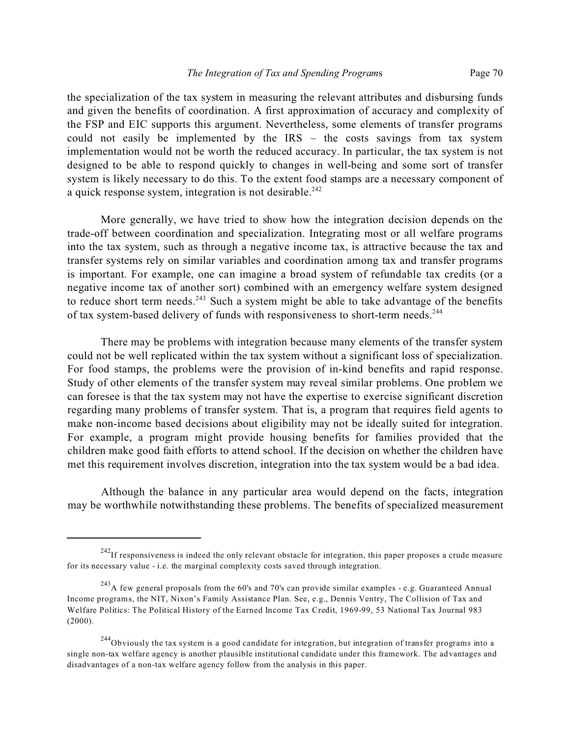the specialization of the tax system in measuring the relevant attributes and disbursing funds and given the benefits of coordination. A first approximation of accuracy and complexity of the FSP and EIC supports this argument. Nevertheless, some elements of transfer programs could not easily be implemented by the IRS – the costs savings from tax system implementation would not be worth the reduced accuracy. In particular, the tax system is not designed to be able to respond quickly to changes in well-being and some sort of transfer system is likely necessary to do this. To the extent food stamps are a necessary component of a quick response system, integration is not desirable.<sup>242</sup>

More generally, we have tried to show how the integration decision depends on the trade-off between coordination and specialization. Integrating most or all welfare programs into the tax system, such as through a negative income tax, is attractive because the tax and transfer systems rely on similar variables and coordination among tax and transfer programs is important. For example, one can imagine a broad system of refundable tax credits (or a negative income tax of another sort) combined with an emergency welfare system designed to reduce short term needs.<sup>243</sup> Such a system might be able to take advantage of the benefits of tax system-based delivery of funds with responsiveness to short-term needs.<sup>244</sup>

There may be problems with integration because many elements of the transfer system could not be well replicated within the tax system without a significant loss of specialization. For food stamps, the problems were the provision of in-kind benefits and rapid response. Study of other elements of the transfer system may reveal similar problems. One problem we can foresee is that the tax system may not have the expertise to exercise significant discretion regarding many problems of transfer system. That is, a program that requires field agents to make non-income based decisions about eligibility may not be ideally suited for integration. For example, a program might provide housing benefits for families provided that the children make good faith efforts to attend school. If the decision on whether the children have met this requirement involves discretion, integration into the tax system would be a bad idea.

Although the balance in any particular area would depend on the facts, integration may be worthwhile notwithstanding these problems. The benefits of specialized measurement

 $242$ If responsiveness is indeed the only relevant obstacle for integration, this paper proposes a crude measure for its necessary value - i.e. the marginal complexity costs saved through integration.

<sup>&</sup>lt;sup>243</sup>A few general proposals from the 60's and 70's can provide similar examples - e.g. Guaranteed Annual Income programs, the NIT, Nixon's Family Assistance Plan. See, e.g., Dennis Ventry, The Collision of Tax and Welfare Politics: The Political History of the Earned Income Tax Credit, 1969-99, 53 National Tax Journal 983 (2000).

 $^{244}$ Obviously the tax system is a good candidate for integration, but integration of transfer programs into a single non-tax welfare agency is another plausible institutional candidate under this framework. The advantages and disadvantages of a non-tax welfare agency follow from the analysis in this paper.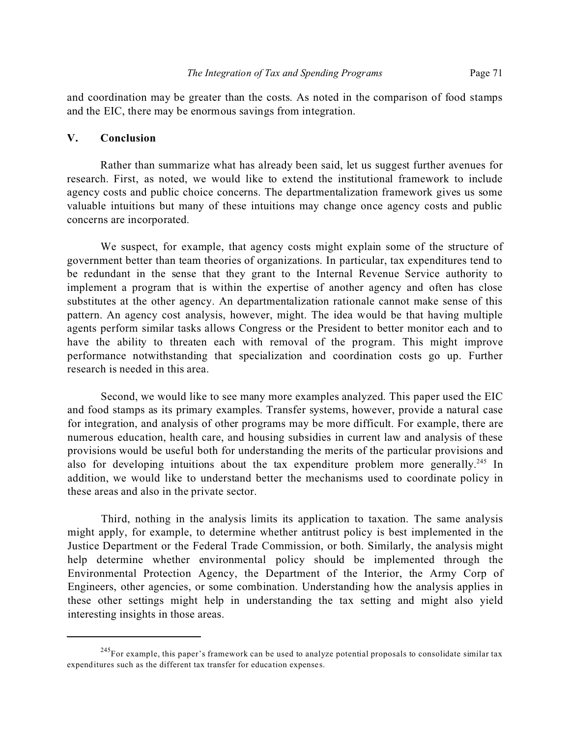and coordination may be greater than the costs. As noted in the comparison of food stamps and the EIC, there may be enormous savings from integration.

## **V. Conclusion**

Rather than summarize what has already been said, let us suggest further avenues for research. First, as noted, we would like to extend the institutional framework to include agency costs and public choice concerns. The departmentalization framework gives us some valuable intuitions but many of these intuitions may change once agency costs and public concerns are incorporated.

We suspect, for example, that agency costs might explain some of the structure of government better than team theories of organizations. In particular, tax expenditures tend to be redundant in the sense that they grant to the Internal Revenue Service authority to implement a program that is within the expertise of another agency and often has close substitutes at the other agency. An departmentalization rationale cannot make sense of this pattern. An agency cost analysis, however, might. The idea would be that having multiple agents perform similar tasks allows Congress or the President to better monitor each and to have the ability to threaten each with removal of the program. This might improve performance notwithstanding that specialization and coordination costs go up. Further research is needed in this area.

Second, we would like to see many more examples analyzed. This paper used the EIC and food stamps as its primary examples. Transfer systems, however, provide a natural case for integration, and analysis of other programs may be more difficult. For example, there are numerous education, health care, and housing subsidies in current law and analysis of these provisions would be useful both for understanding the merits of the particular provisions and also for developing intuitions about the tax expenditure problem more generally.<sup>245</sup> In addition, we would like to understand better the mechanisms used to coordinate policy in these areas and also in the private sector.

Third, nothing in the analysis limits its application to taxation. The same analysis might apply, for example, to determine whether antitrust policy is best implemented in the Justice Department or the Federal Trade Commission, or both. Similarly, the analysis might help determine whether environmental policy should be implemented through the Environmental Protection Agency, the Department of the Interior, the Army Corp of Engineers, other agencies, or some combination. Understanding how the analysis applies in these other settings might help in understanding the tax setting and might also yield interesting insights in those areas.

 $245$ For example, this paper's framework can be used to analyze potential proposals to consolidate similar tax expenditures such as the different tax transfer for education expenses.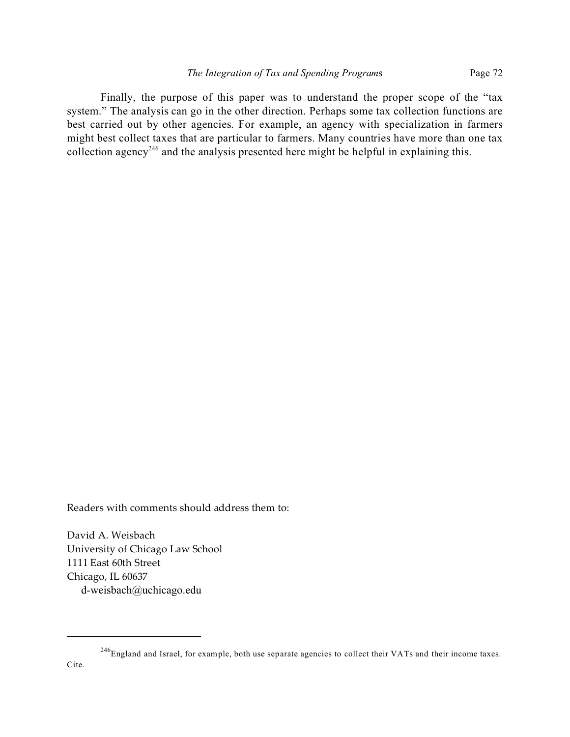Finally, the purpose of this paper was to understand the proper scope of the "tax system." The analysis can go in the other direction. Perhaps some tax collection functions are best carried out by other agencies. For example, an agency with specialization in farmers might best collect taxes that are particular to farmers. Many countries have more than one tax collection agency<sup>246</sup> and the analysis presented here might be helpful in explaining this.

Readers with comments should address them to:

David A. Weisbach University of Chicago Law School 1111 East 60th Street Chicago, IL 60637 d-weisbach@uchicago.edu

<sup>&</sup>lt;sup>246</sup>England and Israel, for example, both use separate agencies to collect their VATs and their income taxes.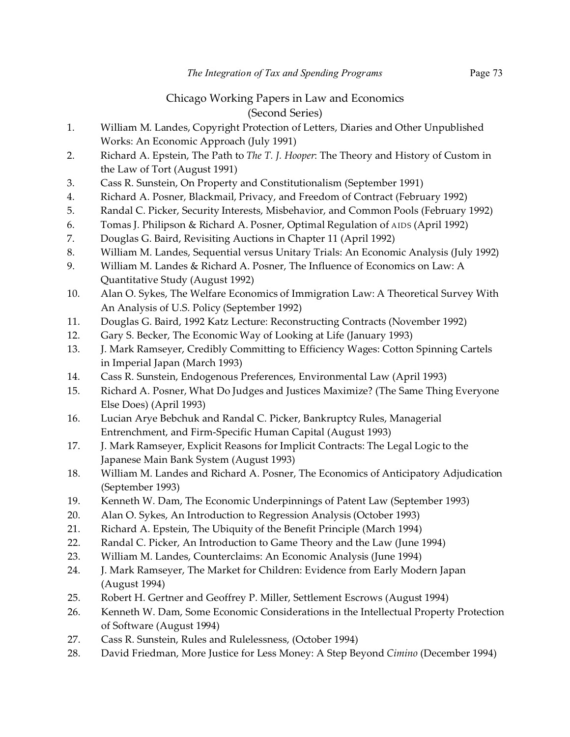## Chicago Working Papers in Law and Economics (Second Series)

- 1. William M. Landes, Copyright Protection of Letters, Diaries and Other Unpublished Works: An Economic Approach (July 1991)
- 2. Richard A. Epstein, The Path to *The T. J. Hooper*: The Theory and History of Custom in the Law of Tort (August 1991)
- 3. Cass R. Sunstein, On Property and Constitutionalism (September 1991)
- 4. Richard A. Posner, Blackmail, Privacy, and Freedom of Contract (February 1992)
- 5. Randal C. Picker, Security Interests, Misbehavior, and Common Pools (February 1992)
- 6. Tomas J. Philipson & Richard A. Posner, Optimal Regulation of AIDS (April 1992)
- 7. Douglas G. Baird, Revisiting Auctions in Chapter 11 (April 1992)
- 8. William M. Landes, Sequential versus Unitary Trials: An Economic Analysis (July 1992)
- 9. William M. Landes & Richard A. Posner, The Influence of Economics on Law: A Quantitative Study (August 1992)
- 10. Alan O. Sykes, The Welfare Economics of Immigration Law: A Theoretical Survey With An Analysis of U.S. Policy (September 1992)
- 11. Douglas G. Baird, 1992 Katz Lecture: Reconstructing Contracts (November 1992)
- 12. Gary S. Becker, The Economic Way of Looking at Life (January 1993)
- 13. J. Mark Ramseyer, Credibly Committing to Efficiency Wages: Cotton Spinning Cartels in Imperial Japan (March 1993)
- 14. Cass R. Sunstein, Endogenous Preferences, Environmental Law (April 1993)
- 15. Richard A. Posner, What Do Judges and Justices Maximize? (The Same Thing Everyone Else Does) (April 1993)
- 16. Lucian Arye Bebchuk and Randal C. Picker, Bankruptcy Rules, Managerial Entrenchment, and Firm-Specific Human Capital (August 1993)
- 17. J. Mark Ramseyer, Explicit Reasons for Implicit Contracts: The Legal Logic to the Japanese Main Bank System (August 1993)
- 18. William M. Landes and Richard A. Posner, The Economics of Anticipatory Adjudication (September 1993)
- 19. Kenneth W. Dam, The Economic Underpinnings of Patent Law (September 1993)
- 20. Alan O. Sykes, An Introduction to Regression Analysis (October 1993)
- 21. Richard A. Epstein, The Ubiquity of the Benefit Principle (March 1994)
- 22. Randal C. Picker, An Introduction to Game Theory and the Law (June 1994)
- 23. William M. Landes, Counterclaims: An Economic Analysis (June 1994)
- 24. J. Mark Ramseyer, The Market for Children: Evidence from Early Modern Japan (August 1994)
- 25. Robert H. Gertner and Geoffrey P. Miller, Settlement Escrows (August 1994)
- 26. Kenneth W. Dam, Some Economic Considerations in the Intellectual Property Protection of Software (August 1994)
- 27. Cass R. Sunstein, Rules and Rulelessness, (October 1994)
- 28. David Friedman, More Justice for Less Money: A Step Beyond *Cimino* (December 1994)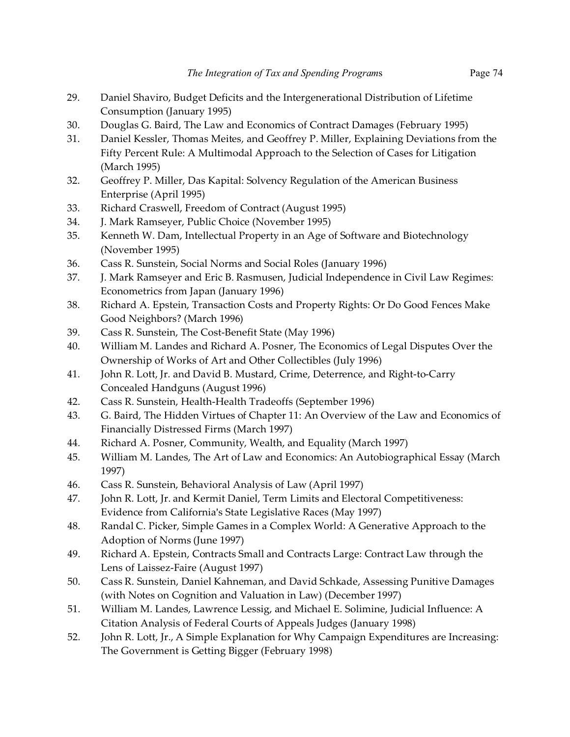- 29. Daniel Shaviro, Budget Deficits and the Intergenerational Distribution of Lifetime Consumption (January 1995)
- 30. Douglas G. Baird, The Law and Economics of Contract Damages (February 1995)
- 31. Daniel Kessler, Thomas Meites, and Geoffrey P. Miller, Explaining Deviations from the Fifty Percent Rule: A Multimodal Approach to the Selection of Cases for Litigation (March 1995)
- 32. Geoffrey P. Miller, Das Kapital: Solvency Regulation of the American Business Enterprise (April 1995)
- 33. Richard Craswell, Freedom of Contract (August 1995)
- 34. J. Mark Ramseyer, Public Choice (November 1995)
- 35. Kenneth W. Dam, Intellectual Property in an Age of Software and Biotechnology (November 1995)
- 36. Cass R. Sunstein, Social Norms and Social Roles (January 1996)
- 37. J. Mark Ramseyer and Eric B. Rasmusen, Judicial Independence in Civil Law Regimes: Econometrics from Japan (January 1996)
- 38. Richard A. Epstein, Transaction Costs and Property Rights: Or Do Good Fences Make Good Neighbors? (March 1996)
- 39. Cass R. Sunstein, The Cost-Benefit State (May 1996)
- 40. William M. Landes and Richard A. Posner, The Economics of Legal Disputes Over the Ownership of Works of Art and Other Collectibles (July 1996)
- 41. John R. Lott, Jr. and David B. Mustard, Crime, Deterrence, and Right-to-Carry Concealed Handguns (August 1996)
- 42. Cass R. Sunstein, Health-Health Tradeoffs (September 1996)
- 43. G. Baird, The Hidden Virtues of Chapter 11: An Overview of the Law and Economics of Financially Distressed Firms (March 1997)
- 44. Richard A. Posner, Community, Wealth, and Equality (March 1997)
- 45. William M. Landes, The Art of Law and Economics: An Autobiographical Essay (March 1997)
- 46. Cass R. Sunstein, Behavioral Analysis of Law (April 1997)
- 47. John R. Lott, Jr. and Kermit Daniel, Term Limits and Electoral Competitiveness: Evidence from California's State Legislative Races (May 1997)
- 48. Randal C. Picker, Simple Games in a Complex World: A Generative Approach to the Adoption of Norms (June 1997)
- 49. Richard A. Epstein, Contracts Small and Contracts Large: Contract Law through the Lens of Laissez-Faire (August 1997)
- 50. Cass R. Sunstein, Daniel Kahneman, and David Schkade, Assessing Punitive Damages (with Notes on Cognition and Valuation in Law) (December 1997)
- 51. William M. Landes, Lawrence Lessig, and Michael E. Solimine, Judicial Influence: A Citation Analysis of Federal Courts of Appeals Judges (January 1998)
- 52. John R. Lott, Jr., A Simple Explanation for Why Campaign Expenditures are Increasing: The Government is Getting Bigger (February 1998)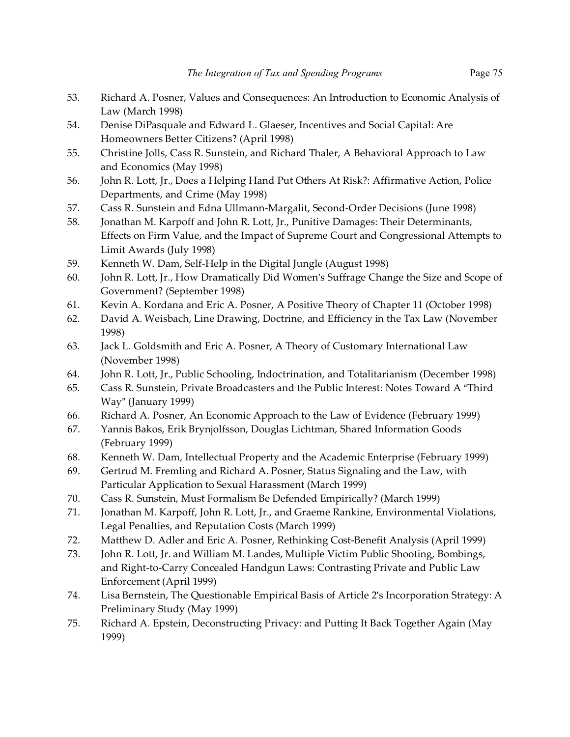- 53. Richard A. Posner, Values and Consequences: An Introduction to Economic Analysis of Law (March 1998)
- 54. Denise DiPasquale and Edward L. Glaeser, Incentives and Social Capital: Are Homeowners Better Citizens? (April 1998)
- 55. Christine Jolls, Cass R. Sunstein, and Richard Thaler, A Behavioral Approach to Law and Economics (May 1998)
- 56. John R. Lott, Jr., Does a Helping Hand Put Others At Risk?: Affirmative Action, Police Departments, and Crime (May 1998)
- 57. Cass R. Sunstein and Edna Ullmann-Margalit, Second-Order Decisions (June 1998)
- 58. Jonathan M. Karpoff and John R. Lott, Jr., Punitive Damages: Their Determinants, Effects on Firm Value, and the Impact of Supreme Court and Congressional Attempts to Limit Awards (July 1998)
- 59. Kenneth W. Dam, Self-Help in the Digital Jungle (August 1998)
- 60. John R. Lott, Jr., How Dramatically Did Women's Suffrage Change the Size and Scope of Government? (September 1998)
- 61. Kevin A. Kordana and Eric A. Posner, A Positive Theory of Chapter 11 (October 1998)
- 62. David A. Weisbach, Line Drawing, Doctrine, and Efficiency in the Tax Law (November 1998)
- 63. Jack L. Goldsmith and Eric A. Posner, A Theory of Customary International Law (November 1998)
- 64. John R. Lott, Jr., Public Schooling, Indoctrination, and Totalitarianism (December 1998)
- 65. Cass R. Sunstein, Private Broadcasters and the Public Interest: Notes Toward A "Third Way" (January 1999)
- 66. Richard A. Posner, An Economic Approach to the Law of Evidence (February 1999)
- 67. Yannis Bakos, Erik Brynjolfsson, Douglas Lichtman, Shared Information Goods (February 1999)
- 68. Kenneth W. Dam, Intellectual Property and the Academic Enterprise (February 1999)
- 69. Gertrud M. Fremling and Richard A. Posner, Status Signaling and the Law, with Particular Application to Sexual Harassment (March 1999)
- 70. Cass R. Sunstein, Must Formalism Be Defended Empirically? (March 1999)
- 71. Jonathan M. Karpoff, John R. Lott, Jr., and Graeme Rankine, Environmental Violations, Legal Penalties, and Reputation Costs (March 1999)
- 72. Matthew D. Adler and Eric A. Posner, Rethinking Cost-Benefit Analysis (April 1999)
- 73. John R. Lott, Jr. and William M. Landes, Multiple Victim Public Shooting, Bombings, and Right-to-Carry Concealed Handgun Laws: Contrasting Private and Public Law Enforcement (April 1999)
- 74. Lisa Bernstein, The Questionable Empirical Basis of Article 2's Incorporation Strategy: A Preliminary Study (May 1999)
- 75. Richard A. Epstein, Deconstructing Privacy: and Putting It Back Together Again (May 1999)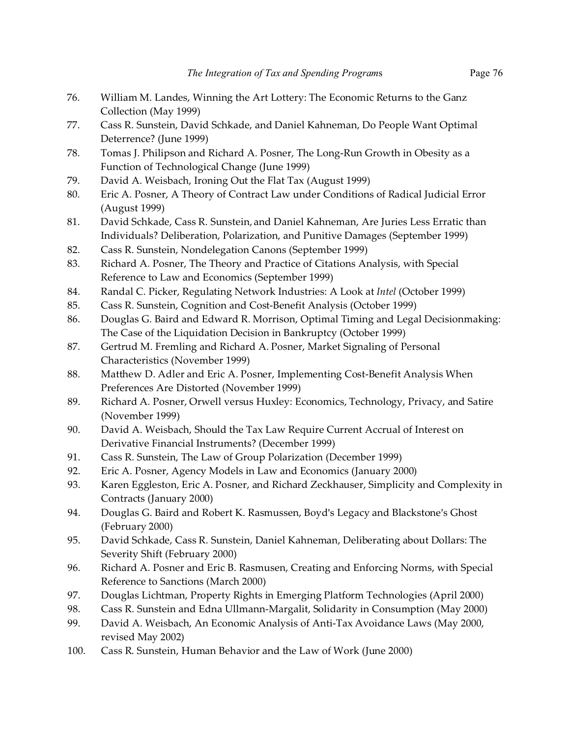- 76. William M. Landes, Winning the Art Lottery: The Economic Returns to the Ganz Collection (May 1999)
- 77. Cass R. Sunstein, David Schkade, and Daniel Kahneman, Do People Want Optimal Deterrence? (June 1999)
- 78. Tomas J. Philipson and Richard A. Posner, The Long-Run Growth in Obesity as a Function of Technological Change (June 1999)
- 79. David A. Weisbach, Ironing Out the Flat Tax (August 1999)
- 80. Eric A. Posner, A Theory of Contract Law under Conditions of Radical Judicial Error (August 1999)
- 81. David Schkade, Cass R. Sunstein, and Daniel Kahneman, Are Juries Less Erratic than Individuals? Deliberation, Polarization, and Punitive Damages (September 1999)
- 82. Cass R. Sunstein, Nondelegation Canons (September 1999)
- 83. Richard A. Posner, The Theory and Practice of Citations Analysis, with Special Reference to Law and Economics (September 1999)
- 84. Randal C. Picker, Regulating Network Industries: A Look at *Intel* (October 1999)
- 85. Cass R. Sunstein, Cognition and Cost-Benefit Analysis (October 1999)
- 86. Douglas G. Baird and Edward R. Morrison, Optimal Timing and Legal Decisionmaking: The Case of the Liquidation Decision in Bankruptcy (October 1999)
- 87. Gertrud M. Fremling and Richard A. Posner, Market Signaling of Personal Characteristics (November 1999)
- 88. Matthew D. Adler and Eric A. Posner, Implementing Cost-Benefit Analysis When Preferences Are Distorted (November 1999)
- 89. Richard A. Posner, Orwell versus Huxley: Economics, Technology, Privacy, and Satire (November 1999)
- 90. David A. Weisbach, Should the Tax Law Require Current Accrual of Interest on Derivative Financial Instruments? (December 1999)
- 91. Cass R. Sunstein, The Law of Group Polarization (December 1999)
- 92. Eric A. Posner, Agency Models in Law and Economics (January 2000)
- 93. Karen Eggleston, Eric A. Posner, and Richard Zeckhauser, Simplicity and Complexity in Contracts (January 2000)
- 94. Douglas G. Baird and Robert K. Rasmussen, Boyd's Legacy and Blackstone's Ghost (February 2000)
- 95. David Schkade, Cass R. Sunstein, Daniel Kahneman, Deliberating about Dollars: The Severity Shift (February 2000)
- 96. Richard A. Posner and Eric B. Rasmusen, Creating and Enforcing Norms, with Special Reference to Sanctions (March 2000)
- 97. Douglas Lichtman, Property Rights in Emerging Platform Technologies (April 2000)
- 98. Cass R. Sunstein and Edna Ullmann-Margalit, Solidarity in Consumption (May 2000)
- 99. David A. Weisbach, An Economic Analysis of Anti-Tax Avoidance Laws (May 2000, revised May 2002)
- 100. Cass R. Sunstein, Human Behavior and the Law of Work (June 2000)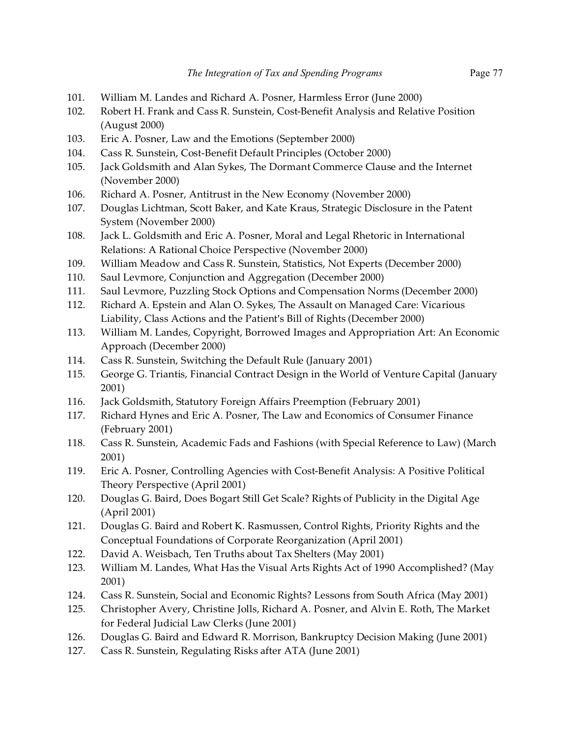- 101. William M. Landes and Richard A. Posner, Harmless Error (June 2000)
- 102. Robert H. Frank and Cass R. Sunstein, Cost-Benefit Analysis and Relative Position (August 2000)
- 103. Eric A. Posner, Law and the Emotions (September 2000)
- 104. Cass R. Sunstein, Cost-Benefit Default Principles (October 2000)
- 105. Jack Goldsmith and Alan Sykes, The Dormant Commerce Clause and the Internet (November 2000)
- 106. Richard A. Posner, Antitrust in the New Economy (November 2000)
- 107. Douglas Lichtman, Scott Baker, and Kate Kraus, Strategic Disclosure in the Patent System (November 2000)
- 108. Jack L. Goldsmith and Eric A. Posner, Moral and Legal Rhetoric in International Relations: A Rational Choice Perspective (November 2000)
- 109. William Meadow and Cass R. Sunstein, Statistics, Not Experts (December 2000)
- 110. Saul Levmore, Conjunction and Aggregation (December 2000)
- 111. Saul Levmore, Puzzling Stock Options and Compensation Norms (December 2000)
- 112. Richard A. Epstein and Alan O. Sykes, The Assault on Managed Care: Vicarious Liability, Class Actions and the Patient's Bill of Rights (December 2000)
- 113. William M. Landes, Copyright, Borrowed Images and Appropriation Art: An Economic Approach (December 2000)
- 114. Cass R. Sunstein, Switching the Default Rule (January 2001)
- 115. George G. Triantis, Financial Contract Design in the World of Venture Capital (January 2001)
- 116. Jack Goldsmith, Statutory Foreign Affairs Preemption (February 2001)
- 117. Richard Hynes and Eric A. Posner, The Law and Economics of Consumer Finance (February 2001)
- 118. Cass R. Sunstein, Academic Fads and Fashions (with Special Reference to Law) (March 2001)
- 119. Eric A. Posner, Controlling Agencies with Cost-Benefit Analysis: A Positive Political Theory Perspective (April 2001)
- 120. Douglas G. Baird, Does Bogart Still Get Scale? Rights of Publicity in the Digital Age (April 2001)
- 121. Douglas G. Baird and Robert K. Rasmussen, Control Rights, Priority Rights and the Conceptual Foundations of Corporate Reorganization (April 2001)
- 122. David A. Weisbach, Ten Truths about Tax Shelters (May 2001)
- 123. William M. Landes, What Has the Visual Arts Rights Act of 1990 Accomplished? (May 2001)
- 124. Cass R. Sunstein, Social and Economic Rights? Lessons from South Africa (May 2001)
- 125. Christopher Avery, Christine Jolls, Richard A. Posner, and Alvin E. Roth, The Market for Federal Judicial Law Clerks (June 2001)
- 126. Douglas G. Baird and Edward R. Morrison, Bankruptcy Decision Making (June 2001)
- 127. Cass R. Sunstein, Regulating Risks after ATA (June 2001)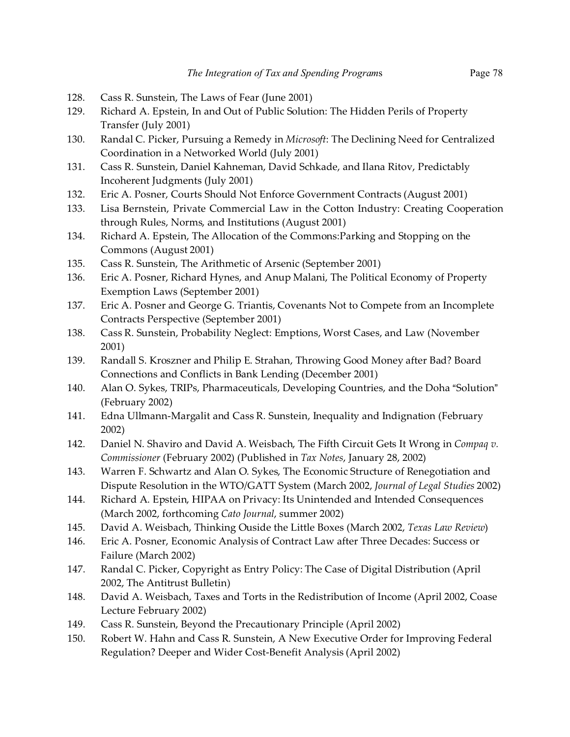- 128. Cass R. Sunstein, The Laws of Fear (June 2001)
- 129. Richard A. Epstein, In and Out of Public Solution: The Hidden Perils of Property Transfer (July 2001)
- 130. Randal C. Picker, Pursuing a Remedy in *Microsoft*: The Declining Need for Centralized Coordination in a Networked World (July 2001)
- 131. Cass R. Sunstein, Daniel Kahneman, David Schkade, and Ilana Ritov, Predictably Incoherent Judgments (July 2001)
- 132. Eric A. Posner, Courts Should Not Enforce Government Contracts (August 2001)
- 133. Lisa Bernstein, Private Commercial Law in the Cotton Industry: Creating Cooperation through Rules, Norms, and Institutions (August 2001)
- 134. Richard A. Epstein, The Allocation of the Commons:Parking and Stopping on the Commons (August 2001)
- 135. Cass R. Sunstein, The Arithmetic of Arsenic (September 2001)
- 136. Eric A. Posner, Richard Hynes, and Anup Malani, The Political Economy of Property Exemption Laws (September 2001)
- 137. Eric A. Posner and George G. Triantis, Covenants Not to Compete from an Incomplete Contracts Perspective (September 2001)
- 138. Cass R. Sunstein, Probability Neglect: Emptions, Worst Cases, and Law (November 2001)
- 139. Randall S. Kroszner and Philip E. Strahan, Throwing Good Money after Bad? Board Connections and Conflicts in Bank Lending (December 2001)
- 140. Alan O. Sykes, TRIPs, Pharmaceuticals, Developing Countries, and the Doha "Solution" (February 2002)
- 141. Edna Ullmann-Margalit and Cass R. Sunstein, Inequality and Indignation (February 2002)
- 142. Daniel N. Shaviro and David A. Weisbach, The Fifth Circuit Gets It Wrong in *Compaq v. Commissioner* (February 2002) (Published in *Tax Notes*, January 28, 2002)
- 143. Warren F. Schwartz and Alan O. Sykes, The Economic Structure of Renegotiation and Dispute Resolution in the WTO/GATT System (March 2002, *Journal of Legal Studies* 2002)
- 144. Richard A. Epstein, HIPAA on Privacy: Its Unintended and Intended Consequences (March 2002, forthcoming *Cato Journal*, summer 2002)
- 145. David A. Weisbach, Thinking Ouside the Little Boxes (March 2002, *Texas Law Review*)
- 146. Eric A. Posner, Economic Analysis of Contract Law after Three Decades: Success or Failure (March 2002)
- 147. Randal C. Picker, Copyright as Entry Policy: The Case of Digital Distribution (April 2002, The Antitrust Bulletin)
- 148. David A. Weisbach, Taxes and Torts in the Redistribution of Income (April 2002, Coase Lecture February 2002)
- 149. Cass R. Sunstein, Beyond the Precautionary Principle (April 2002)
- 150. Robert W. Hahn and Cass R. Sunstein, A New Executive Order for Improving Federal Regulation? Deeper and Wider Cost-Benefit Analysis (April 2002)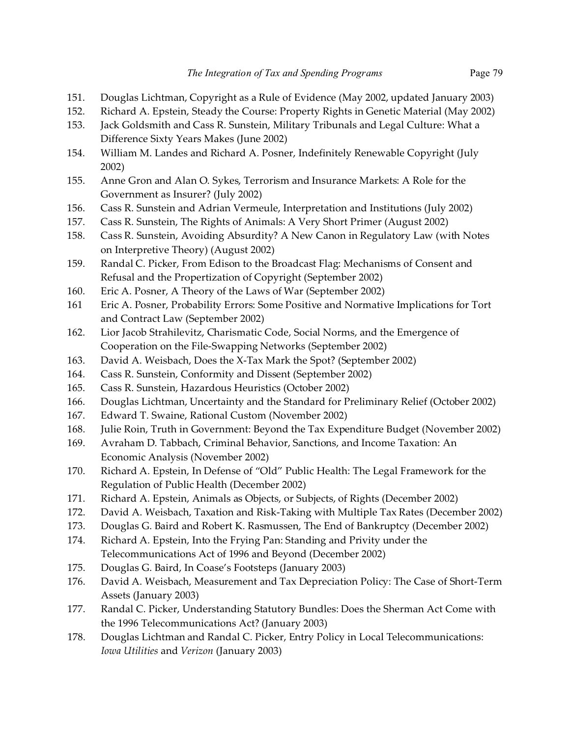- 151. Douglas Lichtman, Copyright as a Rule of Evidence (May 2002, updated January 2003)
- 152. Richard A. Epstein, Steady the Course: Property Rights in Genetic Material (May 2002)
- 153. Jack Goldsmith and Cass R. Sunstein, Military Tribunals and Legal Culture: What a Difference Sixty Years Makes (June 2002)
- 154. William M. Landes and Richard A. Posner, Indefinitely Renewable Copyright (July 2002)
- 155. Anne Gron and Alan O. Sykes, Terrorism and Insurance Markets: A Role for the Government as Insurer? (July 2002)
- 156. Cass R. Sunstein and Adrian Vermeule, Interpretation and Institutions (July 2002)
- 157. Cass R. Sunstein, The Rights of Animals: A Very Short Primer (August 2002)
- 158. Cass R. Sunstein, Avoiding Absurdity? A New Canon in Regulatory Law (with Notes on Interpretive Theory) (August 2002)
- 159. Randal C. Picker, From Edison to the Broadcast Flag: Mechanisms of Consent and Refusal and the Propertization of Copyright (September 2002)
- 160. Eric A. Posner, A Theory of the Laws of War (September 2002)
- 161 Eric A. Posner, Probability Errors: Some Positive and Normative Implications for Tort and Contract Law (September 2002)
- 162. Lior Jacob Strahilevitz, Charismatic Code, Social Norms, and the Emergence of Cooperation on the File-Swapping Networks (September 2002)
- 163. David A. Weisbach, Does the X-Tax Mark the Spot? (September 2002)
- 164. Cass R. Sunstein, Conformity and Dissent (September 2002)
- 165. Cass R. Sunstein, Hazardous Heuristics (October 2002)
- 166. Douglas Lichtman, Uncertainty and the Standard for Preliminary Relief (October 2002)
- 167. Edward T. Swaine, Rational Custom (November 2002)
- 168. Julie Roin, Truth in Government: Beyond the Tax Expenditure Budget (November 2002)
- 169. Avraham D. Tabbach, Criminal Behavior, Sanctions, and Income Taxation: An Economic Analysis (November 2002)
- 170. Richard A. Epstein, In Defense of "Old" Public Health: The Legal Framework for the Regulation of Public Health (December 2002)
- 171. Richard A. Epstein, Animals as Objects, or Subjects, of Rights (December 2002)
- 172. David A. Weisbach, Taxation and Risk-Taking with Multiple Tax Rates (December 2002)
- 173. Douglas G. Baird and Robert K. Rasmussen, The End of Bankruptcy (December 2002)
- 174. Richard A. Epstein, Into the Frying Pan: Standing and Privity under the Telecommunications Act of 1996 and Beyond (December 2002)
- 175. Douglas G. Baird, In Coase's Footsteps (January 2003)
- 176. David A. Weisbach, Measurement and Tax Depreciation Policy: The Case of Short-Term Assets (January 2003)
- 177. Randal C. Picker, Understanding Statutory Bundles: Does the Sherman Act Come with the 1996 Telecommunications Act? (January 2003)
- 178. Douglas Lichtman and Randal C. Picker, Entry Policy in Local Telecommunications: *Iowa Utilities* and *Verizon* (January 2003)